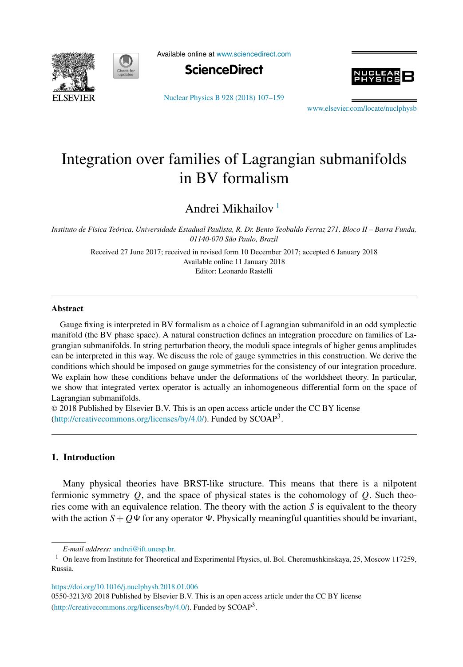



Available online at [www.sciencedirect.com](http://www.sciencedirect.com)



[Nuclear Physics B 928 \(2018\) 107–159](https://doi.org/10.1016/j.nuclphysb.2018.01.006)



[www.elsevier.com/locate/nuclphysb](http://www.elsevier.com/locate/nuclphysb)

# Integration over families of Lagrangian submanifolds in BV formalism

Andrei Mikhailov <sup>1</sup>

Instituto de Física Teórica, Universidade Estadual Paulista, R. Dr. Bento Teobaldo Ferraz 271, Bloco II - Barra Funda, *01140-070 São Paulo, Brazil*

> Received 27 June 2017; received in revised form 10 December 2017; accepted 6 January 2018 Available online 11 January 2018 Editor: Leonardo Rastelli

## **Abstract**

Gauge fixing is interpreted in BV formalism as a choice of Lagrangian submanifold in an odd symplectic manifold (the BV phase space). A natural construction defines an integration procedure on families of Lagrangian submanifolds. In string perturbation theory, the moduli space integrals of higher genus amplitudes can be interpreted in this way. We discuss the role of gauge symmetries in this construction. We derive the conditions which should be imposed on gauge symmetries for the consistency of our integration procedure. We explain how these conditions behave under the deformations of the worldsheet theory. In particular, we show that integrated vertex operator is actually an inhomogeneous differential form on the space of Lagrangian submanifolds.

© 2018 Published by Elsevier B.V. This is an open access article under the CC BY license [\(http://creativecommons.org/licenses/by/4.0/](http://creativecommons.org/licenses/by/4.0/)). Funded by SCOAP<sup>3</sup>.

## **1. Introduction**

Many physical theories have BRST-like structure. This means that there is a nilpotent fermionic symmetry *Q*, and the space of physical states is the cohomology of *Q*. Such theories come with an equivalence relation. The theory with the action *S* is equivalent to the theory with the action  $S + Q\Psi$  for any operator  $\Psi$ . Physically meaningful quantities should be invariant,

<https://doi.org/10.1016/j.nuclphysb.2018.01.006>

0550-3213/© 2018 Published by Elsevier B.V. This is an open access article under the CC BY license [\(http://creativecommons.org/licenses/by/4.0/](http://creativecommons.org/licenses/by/4.0/)). Funded by SCOAP<sup>3</sup>.

*E-mail address:* [andrei@ift.unesp.br.](mailto:andrei@ift.unesp.br)

<sup>&</sup>lt;sup>1</sup> On leave from Institute for Theoretical and Experimental Physics, ul. Bol. Cheremushkinskaya, 25, Moscow 117259, Russia.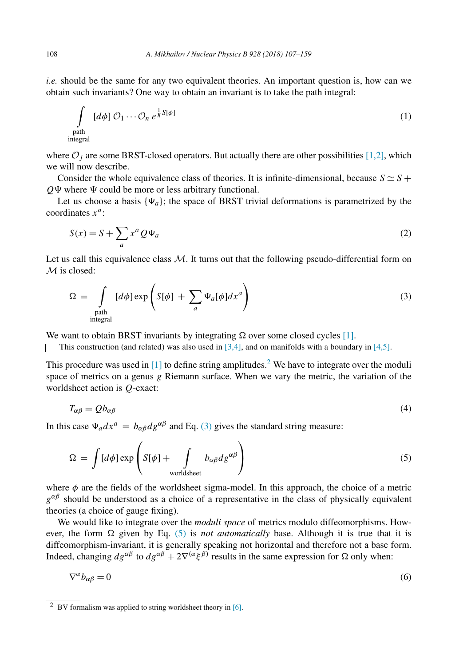<span id="page-1-0"></span>*i.e.* should be the same for any two equivalent theories. An important question is, how can we obtain such invariants? One way to obtain an invariant is to take the path integral:

$$
\int_{\text{path}} [d\phi] \mathcal{O}_1 \cdots \mathcal{O}_n e^{\frac{1}{\hbar} S[\phi]}
$$
 (1)

where  $\mathcal{O}_i$  are some BRST-closed operators. But actually there are other possibilities [\[1,2\],](#page-52-0) which we will now describe.

Consider the whole equivalence class of theories. It is infinite-dimensional, because  $S \simeq S +$  $Q\Psi$  where  $\Psi$  could be more or less arbitrary functional.

Let us choose a basis  $\{\Psi_a\}$ ; the space of BRST trivial deformations is parametrized by the coordinates *xa*:

$$
S(x) = S + \sum_{a} x^{a} Q \Psi_{a}
$$
 (2)

Let us call this equivalence class  $M$ . It turns out that the following pseudo-differential form on M is closed:

$$
\Omega = \int_{\text{path of integral}} [d\phi] \exp\left(S[\phi] + \sum_{a} \Psi_a[\phi] dx^a\right) \tag{3}
$$

We want to obtain BRST invariants by integrating  $\Omega$  over some closed cycles [\[1\].](#page-52-0)

This construction (and related) was also used in  $[3,4]$ , and on manifolds with a boundary in  $[4,5]$ .

This procedure was used in  $[1]$  to define string amplitudes.<sup>2</sup> We have to integrate over the moduli space of metrics on a genus *g* Riemann surface. When we vary the metric, the variation of the worldsheet action is *Q*-exact:

$$
T_{\alpha\beta} = Qb_{\alpha\beta} \tag{4}
$$

In this case  $\Psi_a dx^a = b_{\alpha\beta} dg^{\alpha\beta}$  and Eq. (3) gives the standard string measure:

$$
\Omega = \int [d\phi] \exp\left( S[\phi] + \int_{\text{worldsheet}} b_{\alpha\beta} ds^{\alpha\beta} \right) \tag{5}
$$

where  $\phi$  are the fields of the worldsheet sigma-model. In this approach, the choice of a metric  $g^{\alpha\beta}$  should be understood as a choice of a representative in the class of physically equivalent theories (a choice of gauge fixing).

We would like to integrate over the *moduli space* of metrics modulo diffeomorphisms. However, the form  $\Omega$  given by Eq. (5) is *not automatically* base. Although it is true that it is diffeomorphism-invariant, it is generally speaking not horizontal and therefore not a base form. Indeed, changing  $d_g^{\alpha\beta}$  to  $d_g^{\alpha\beta} + 2\nabla^{(\alpha} \xi^{\beta)}$  results in the same expression for Ω only when:

$$
\nabla^{\alpha}b_{\alpha\beta}=0\tag{6}
$$

<sup>2</sup> BV formalism was applied to string worldsheet theory in [\[6\].](#page-52-0)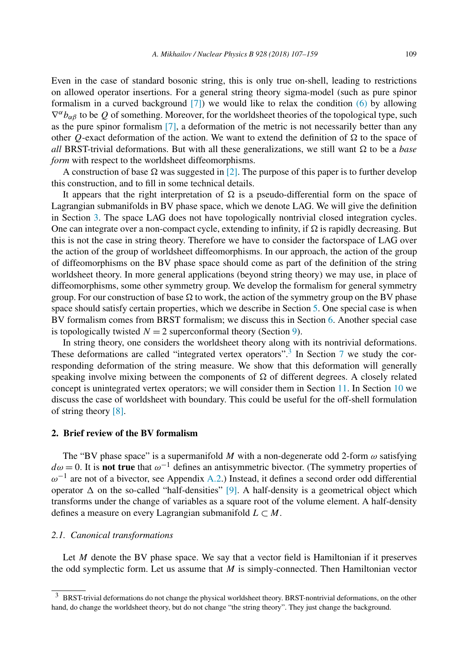<span id="page-2-0"></span>Even in the case of standard bosonic string, this is only true on-shell, leading to restrictions on allowed operator insertions. For a general string theory sigma-model (such as pure spinor formalism in a curved background [\[7\]\)](#page-52-0) we would like to relax the condition [\(6\)](#page-1-0) by allowing  $\nabla^{\alpha}b_{\alpha\beta}$  to be *Q* of something. Moreover, for the worldsheet theories of the topological type, such as the pure spinor formalism [\[7\],](#page-52-0) a deformation of the metric is not necessarily better than any other *Q*-exact deformation of the action. We want to extend the definition of  $\Omega$  to the space of *all* BRST-trivial deformations. But with all these generalizations, we still want  $\Omega$  to be a *base form* with respect to the worldsheet diffeomorphisms.

A construction of base  $\Omega$  was suggested in [\[2\].](#page-52-0) The purpose of this paper is to further develop this construction, and to fill in some technical details.

It appears that the right interpretation of  $\Omega$  is a pseudo-differential form on the space of Lagrangian submanifolds in BV phase space, which we denote LAG. We will give the definition in Section [3.](#page-6-0) The space LAG does not have topologically nontrivial closed integration cycles. One can integrate over a non-compact cycle, extending to infinity, if  $\Omega$  is rapidly decreasing. But this is not the case in string theory. Therefore we have to consider the factorspace of LAG over the action of the group of worldsheet diffeomorphisms. In our approach, the action of the group of diffeomorphisms on the BV phase space should come as part of the definition of the string worldsheet theory. In more general applications (beyond string theory) we may use, in place of diffeomorphisms, some other symmetry group. We develop the formalism for general symmetry group. For our construction of base  $\Omega$  to work, the action of the symmetry group on the BV phase space should satisfy certain properties, which we describe in Section [5.](#page-14-0) One special case is when BV formalism comes from BRST formalism; we discuss this in Section [6.](#page-24-0) Another special case is topologically twisted  $N = 2$  superconformal theory (Section [9\)](#page-37-0).

In string theory, one considers the worldsheet theory along with its nontrivial deformations. These deformations are called "integrated vertex operators".<sup>3</sup> In Section [7](#page-31-0) we study the corresponding deformation of the string measure. We show that this deformation will generally speaking involve mixing between the components of  $\Omega$  of different degrees. A closely related concept is unintegrated vertex operators; we will consider them in Section [11.](#page-44-0) In Section [10](#page-39-0) we discuss the case of worldsheet with boundary. This could be useful for the off-shell formulation of string theory [\[8\].](#page-52-0)

## **2. Brief review of the BV formalism**

The "BV phase space" is a supermanifold  $M$  with a non-degenerate odd 2-form  $\omega$  satisfying *dω* = 0. It is **not true** that *ω*−<sup>1</sup> defines an antisymmetric bivector. (The symmetry properties of *ω*−<sup>1</sup> are not of a bivector, see Appendix [A.2.](#page-49-0)) Instead, it defines a second order odd differential operator  $\Delta$  on the so-called "half-densities" [\[9\].](#page-52-0) A half-density is a geometrical object which transforms under the change of variables as a square root of the volume element. A half-density defines a measure on every Lagrangian submanifold  $L \subset M$ .

## *2.1. Canonical transformations*

Let *M* denote the BV phase space. We say that a vector field is Hamiltonian if it preserves the odd symplectic form. Let us assume that *M* is simply-connected. Then Hamiltonian vector

 $3$  BRST-trivial deformations do not change the physical worldsheet theory. BRST-nontrivial deformations, on the other hand, do change the worldsheet theory, but do not change "the string theory". They just change the background.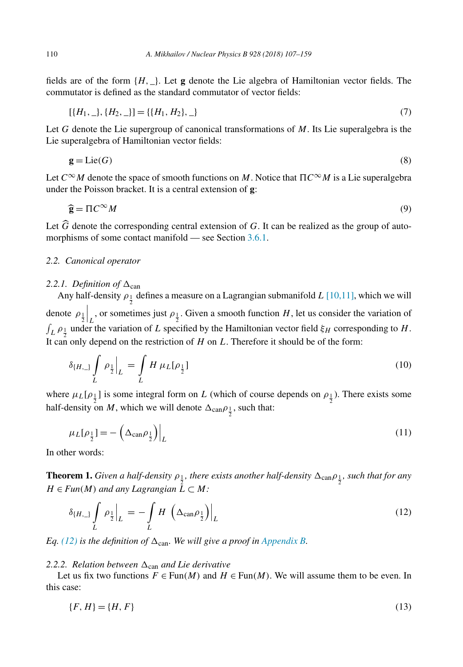<span id="page-3-0"></span>fields are of the form  $\{H, \_\}$ . Let **g** denote the Lie algebra of Hamiltonian vector fields. The commutator is defined as the standard commutator of vector fields:

$$
[\{H_1, \_ \}, \{H_2, \_ \}]=\{\{H_1, H_2\}, \_ \} \tag{7}
$$

Let *G* denote the Lie supergroup of canonical transformations of *M*. Its Lie superalgebra is the Lie superalgebra of Hamiltonian vector fields:

$$
\mathbf{g} = \text{Lie}(G) \tag{8}
$$

Let *C*∞*M* denote the space of smooth functions on *M*. Notice that  *C*∞*M* is a Lie superalgebra under the Poisson bracket. It is a central extension of **g**:

 $\tilde{\phantom{a}}$  $\hat{\mathbf{g}} = \Pi C^{\infty} M$  $C^{\infty}M$  (9)

Let *G* denote the corresponding central extension of *G*. It can be realized as the group of auto-<br>morphisms of some contest manifold see Section 3.6.1 morphisms of some contact manifold — see Section [3.6.1.](#page-11-0)

#### *2.2. Canonical operator*

#### 2.2.1. Definition of  $\Delta_{\text{can}}$

Any half-density  $\rho_{\frac{1}{2}}$  defines a measure on a Lagrangian submanifold *L* [\[10,11\],](#page-52-0) which we will denote  $ρ_1$ <sub>2</sub>  $L$ , or sometimes just  $\rho_1$ . Given a smooth function *H*, let us consider the variation of  $\int_L \rho_{\frac{1}{2}}$  under the variation of *L* specified by the Hamiltonian vector field  $\xi_H$  corresponding to *H*. It can only depend on the restriction of *H* on *L*. Therefore it should be of the form:

$$
\delta_{\{H,\_\}} \int_L \rho_{\frac{1}{2}} \Big|_L = \int_L H \,\mu_L[\rho_{\frac{1}{2}}] \tag{10}
$$

where  $\mu_L[\rho_1]$  is some integral form on *L* (which of course depends on  $\rho_1$ ). There exists some half-density on *M*, which we will denote  $\Delta_{\text{can}}\rho_{\frac{1}{2}}$ , such that:

$$
\mu_L[\rho_{\frac{1}{2}}] = -\left(\Delta_{\text{can}}\rho_{\frac{1}{2}}\right)\Big|_L\tag{11}
$$

In other words:

**Theorem 1.** Given a half-density  $\rho_1$ , there exists another half-density  $\Delta_{can} \rho_1$ , such that for any  $H \in Fun(M)$  *and any Lagrangian*  $\overline{L} \subset M$ :

$$
\delta_{\{H,\_\}} \int_L \rho_{\frac{1}{2}} \Big|_L = - \int_L H \left( \Delta_{\text{can}} \rho_{\frac{1}{2}} \right) \Big|_L \tag{12}
$$

*Eq.* (12) *is the definition of*  $\Delta_{can}$ *. We will give a proof in [Appendix B.](#page-50-0)* 

#### 2.2.2. *Relation between*  $\Delta_{\text{can}}$  *and Lie derivative*

Let us fix two functions  $F \in Fun(M)$  and  $H \in Fun(M)$ . We will assume them to be even. In this case:

$$
\{F, H\} = \{H, F\} \tag{13}
$$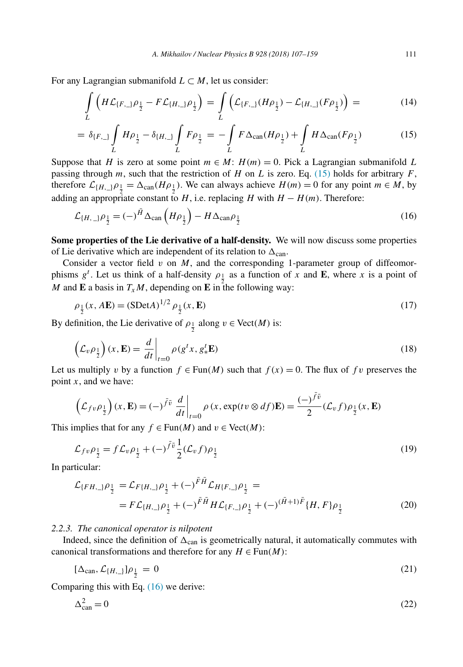<span id="page-4-0"></span>For any Lagrangian submanifold  $L \subset M$ , let us consider:

$$
\int_{L} \left( H \mathcal{L}_{\{F,\_\} \rho_{\frac{1}{2}} - F \mathcal{L}_{\{H,\_\} \rho_{\frac{1}{2}} \right) = \int_{L} \left( \mathcal{L}_{\{F,\_\} \{H \rho_{\frac{1}{2}} - \mathcal{L}_{\{H,\_\} \{F \rho_{\frac{1}{2}}\} \right) = \tag{14}
$$

$$
= \delta_{\{F,\_\}} \int_L H \rho_{\frac{1}{2}} - \delta_{\{H,\_\}} \int_L F \rho_{\frac{1}{2}} = - \int_L F \Delta_{\text{can}} (H \rho_{\frac{1}{2}}) + \int_L H \Delta_{\text{can}} (F \rho_{\frac{1}{2}}) \tag{15}
$$

Suppose that *H* is zero at some point  $m \in M$ :  $H(m) = 0$ . Pick a Lagrangian submanifold *L* passing through *m*, such that the restriction of *H* on *L* is zero. Eq. (15) holds for arbitrary *F*, therefore  $\mathcal{L}_{\{H,\_}\} \rho_{\frac{1}{2}} = \Delta_{\text{can}} (H \rho_{\frac{1}{2}})$ . We can always achieve  $H(m) = 0$  for any point  $m \in M$ , by adding an appropriate constant to *H*, i.e. replacing *H* with  $H - H(m)$ . Therefore:

$$
\mathcal{L}_{\{H,\_}\rho_{\frac{1}{2}} = (-)}{}^{\bar{H}}\Delta_{\text{can}}\left(H\rho_{\frac{1}{2}}\right) - H\Delta_{\text{can}}\rho_{\frac{1}{2}}\tag{16}
$$

**Some properties of the Lie derivative of a half-density.** We will now discuss some properties of Lie derivative which are independent of its relation to  $\Delta_{\text{can}}$ .

Consider a vector field  $v$  on  $M$ , and the corresponding 1-parameter group of diffeomorphisms  $g^t$ . Let us think of a half-density  $\rho_1$  as a function of *x* and **E**, where *x* is a point of M and **E** a basis in  $T_xM$ , depending on **E** in the following way:

$$
\rho_{\frac{1}{2}}(x, A\mathbf{E}) = (\text{SDet}A)^{1/2} \rho_{\frac{1}{2}}(x, \mathbf{E})
$$
\n(17)

By definition, the Lie derivative of  $\rho_{\frac{1}{2}}$  along  $v \in \text{Vect}(M)$  is:

$$
\left(\mathcal{L}_v \rho_{\frac{1}{2}}\right)(x, \mathbf{E}) = \frac{d}{dt}\bigg|_{t=0} \rho(g^t x, g^t_* \mathbf{E})\tag{18}
$$

Let us multiply *v* by a function  $f \in Fun(M)$  such that  $f(x) = 0$ . The flux of f *v* preserves the point *x*, and we have:

$$
\left(\mathcal{L}_{fv}\rho_{\frac{1}{2}}\right)(x,\mathbf{E})=(-)^{\tilde{f}\tilde{v}}\left.\frac{d}{dt}\right|_{t=0}\rho\left(x,\exp(tv\otimes df)\mathbf{E}\right)=\frac{(-)^{\tilde{f}\tilde{v}}}{2}(\mathcal{L}_vf)\rho_{\frac{1}{2}}(x,\mathbf{E})
$$

This implies that for any  $f \in \text{Fun}(M)$  and  $v \in \text{Vect}(M)$ :

$$
\mathcal{L}_{fv}\rho_{\frac{1}{2}} = f\mathcal{L}_v\rho_{\frac{1}{2}} + (-)^{\bar{f}\bar{v}}\frac{1}{2}(\mathcal{L}_v f)\rho_{\frac{1}{2}} \tag{19}
$$

In particular:

$$
\mathcal{L}_{\{FH, \_}\rho_{\frac{1}{2}} = \mathcal{L}_{F\{H, \_}\rho_{\frac{1}{2}} + (-)} \bar{F}^{\bar{H}} \mathcal{L}_{H\{F, \_}\rho_{\frac{1}{2}} =
$$
\n
$$
= F \mathcal{L}_{\{H, \_}\rho_{\frac{1}{2}} + (-)} \bar{F}^{\bar{H}} H \mathcal{L}_{\{F, \_}\rho_{\frac{1}{2}} + (-)} (\bar{H}^{\{H\}})^{\bar{F}} \{H, F\} \rho_{\frac{1}{2}} \tag{20}
$$

## *2.2.3. The canonical operator is nilpotent*

Indeed, since the definition of  $\Delta_{\text{can}}$  is geometrically natural, it automatically commutes with canonical transformations and therefore for any  $H \in \text{Fun}(M)$ :

$$
[\Delta_{\text{can}}, \mathcal{L}_{\{H, \_\}}] \rho_{\frac{1}{2}} = 0 \tag{21}
$$

Comparing this with Eq. (16) we derive:

$$
\Delta_{\text{can}}^2 = 0\tag{22}
$$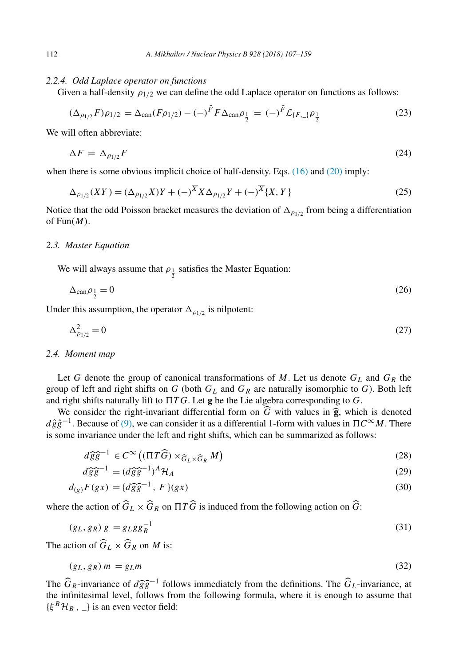### <span id="page-5-0"></span>*2.2.4. Odd Laplace operator on functions*

Given a half-density  $\rho_{1/2}$  we can define the odd Laplace operator on functions as follows:

$$
(\Delta_{\rho_{1/2}} F)\rho_{1/2} = \Delta_{\text{can}} (F\rho_{1/2}) - (-)^{\bar{F}} F \Delta_{\text{can}} \rho_{\frac{1}{2}} = (-)^{\bar{F}} \mathcal{L}_{\{F,\_\}} \rho_{\frac{1}{2}}
$$
(23)

We will often abbreviate:

$$
\Delta F = \Delta_{\rho_{1/2}} F \tag{24}
$$

when there is some obvious implicit choice of half-density. Eqs. [\(16\)](#page-4-0) and [\(20\)](#page-4-0) imply:

$$
\Delta_{\rho_{1/2}}(XY) = (\Delta_{\rho_{1/2}}X)Y + (-)^{\overline{X}}X\Delta_{\rho_{1/2}}Y + (-)^{\overline{X}}\{X, Y\}
$$
\n(25)

Notice that the odd Poisson bracket measures the deviation of  $\Delta_{\rho_1/\rho}$  from being a differentiation of Fun*(M)*.

#### *2.3. Master Equation*

We will always assume that  $\rho_{\frac{1}{2}}$  satisfies the Master Equation:

$$
\Delta_{\text{can}}\rho_{\frac{1}{2}} = 0\tag{26}
$$

Under this assumption, the operator  $\Delta_{\rho_{1/2}}$  is nilpotent:

$$
\Delta_{\rho_{1/2}}^2 = 0\tag{27}
$$

#### *2.4. Moment map*

Let *G* denote the group of canonical transformations of *M*. Let us denote  $G_L$  and  $G_R$  the group of left and right shifts on  $G$  (both  $G_L$  and  $G_R$  are naturally isomorphic to  $G$ ). Both left and right shifts naturally lift to  *T G*. Let **g** be the Lie algebra corresponding to *G*.

We consider the right-invariant differential form on *G* with values in  $\hat{g}$ , which is denoted  $\hat{\sigma}^{-1}$ . Because of (9) we can consider it as a differential 1-form with values in  $\Pi C^{\infty}M$ . There *d*ĝ $\hat{g}$ <sup>−1</sup>. Because of [\(9\),](#page-3-0) we can consider it as a differential 1-form with values in  $\Pi C^{\infty}M$ . There is some invariance under the left and right shifts, which can be summarized as follows:

$$
d\hat{g}\hat{g}^{-1} \in C^{\infty}((\Pi T\hat{G}) \times_{\hat{G}_L \times \hat{G}_R} M)
$$
\n(28)

$$
d\widehat{gg}^{-1} = (d\widehat{gg}^{-1})^A \mathcal{H}_A
$$
\n(29)

$$
d_{(g)}F(gx) = \{d\widehat{g}\widehat{g}^{-1}, F\}(gx)
$$
\n(30)

where the action of  $G_L \times G_R$  on  $\Pi T G$  is induced from the following action on  $G$ :

$$
(g_L, g_R) g = g_L g g_R^{-1}
$$
\n
$$
(31)
$$

The action of  $\widehat{G}_L \times \widehat{G}_R$  on *M* is:

$$
(g_L, g_R) m = g_L m \tag{32}
$$

The  $\widehat{G}_R$ -invariance of  $d\widehat{g}g^{-1}$  follows immediately from the definitions. The  $\widehat{G}_L$ -invariance, at the infinitesimal level follows from the following formula where it is enough to assume that the infinitesimal level, follows from the following formula, where it is enough to assume that  ${\{\xi^B\mathcal{H}_B, \_\}$  is an even vector field: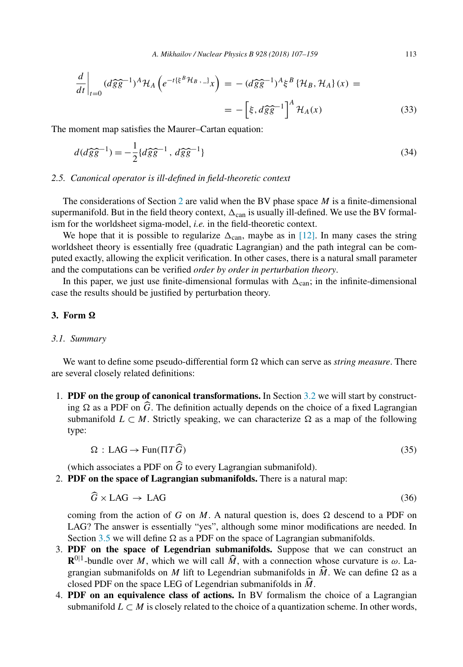<span id="page-6-0"></span>
$$
\frac{d}{dt}\bigg|_{t=0} (d\widehat{g}\widehat{g}^{-1})^A \mathcal{H}_A \left(e^{-t(\xi^B \mathcal{H}_B, -)}x\right) = -(d\widehat{g}\widehat{g}^{-1})^A \xi^B \left\{\mathcal{H}_B, \mathcal{H}_A\right\}(x) =
$$

$$
= -\left[\xi, d\widehat{g}\widehat{g}^{-1}\right]^A \mathcal{H}_A(x) \tag{33}
$$

The moment map satisfies the Maurer–Cartan equation:

$$
d(d\widehat{gg}^{-1}) = -\frac{1}{2} \{d\widehat{gg}^{-1}, d\widehat{gg}^{-1}\}\tag{34}
$$

## *2.5. Canonical operator is ill-defined in field-theoretic context*

The considerations of Section [2](#page-2-0) are valid when the BV phase space *M* is a finite-dimensional supermanifold. But in the field theory context,  $\Delta_{can}$  is usually ill-defined. We use the BV formalism for the worldsheet sigma-model, *i.e.* in the field-theoretic context.

We hope that it is possible to regularize  $\Delta_{can}$ , maybe as in [\[12\].](#page-52-0) In many cases the string worldsheet theory is essentially free (quadratic Lagrangian) and the path integral can be computed exactly, allowing the explicit verification. In other cases, there is a natural small parameter and the computations can be verified *order by order in perturbation theory*.

In this paper, we just use finite-dimensional formulas with  $\Delta_{\text{can}}$ ; in the infinite-dimensional case the results should be justified by perturbation theory.

## **3. Form Ω**

#### *3.1. Summary*

We want to define some pseudo-differential form  $\Omega$  which can serve as *string measure*. There are several closely related definitions:

1. **PDF on the group of canonical transformations.** In Section [3.2](#page-7-0) we will start by constructing  $\Omega$  as a PDF on *G*. The definition actually depends on the choice of a fixed Lagrangian<br>submanifold  $I \subseteq M$ . Strictly apositing, we can abspectatize  $\Omega$  as a map of the following submanifold  $L \subset M$ . Strictly speaking, we can characterize  $\Omega$  as a map of the following type:

$$
\Omega : \text{LAG} \to \text{Fun}(\Pi T\widehat{G}) \tag{35}
$$

(which associates a PDF on *G* to every Lagrangian submanifold).<br>**PDF** on the space of Lagrangian submanifolds. There is a nature

2. **PDF on the space of Lagrangian submanifolds.** There is a natural map:

$$
\widehat{G} \times \text{LAG} \rightarrow \text{LAG} \tag{36}
$$

coming from the action of *G* on *M*. A natural question is, does  $\Omega$  descend to a PDF on LAG? The answer is essentially "yes", although some minor modifications are needed. In Section [3.5](#page-10-0) we will define  $\Omega$  as a PDF on the space of Lagrangian submanifolds.

- 3. **PDF on the space of Legendrian submanifolds.** Suppose that we can construct an  $\mathbf{R}^{0|1}$ -bundle over *M*, which we will call  $\widehat{M}$ , with a connection whose curvature is  $\omega$ . La-<br>gropping whose if also an *M* lift to Lagandrian whose if also in  $\widehat{M}$ , We can define O as a grangian submanifolds on *M* lift to Legendrian submanifolds in *M*. We can define  $\Omega$  as a algoed PDE on the grace LEG of Legendrian submanifolds in  $\widehat{M}$ closed PDF on the space LEG of Legendrian submanifolds in *M*.<br>**PDF** on an equivalence close of equipment in PV formalism the
- 4. **PDF on an equivalence class of actions.** In BV formalism the choice of a Lagrangian submanifold  $L \subset M$  is closely related to the choice of a quantization scheme. In other words,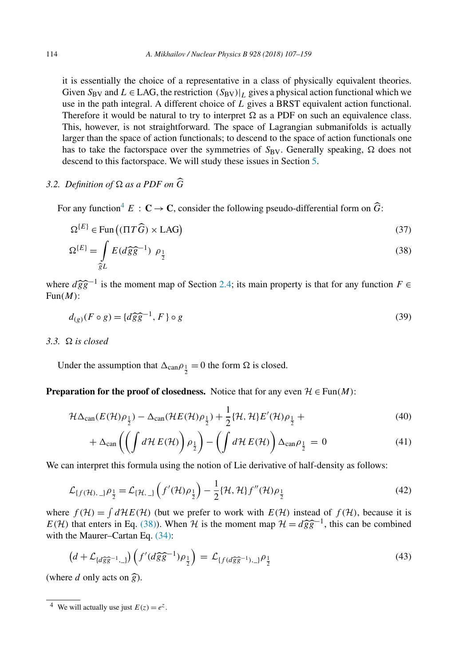<span id="page-7-0"></span>it is essentially the choice of a representative in a class of physically equivalent theories. Given  $S_{\rm BV}$  and  $L \in {\rm LAG}$ , the restriction  $(S_{\rm BV})|_L$  gives a physical action functional which we use in the path integral. A different choice of *L* gives a BRST equivalent action functional. Therefore it would be natural to try to interpret  $\Omega$  as a PDF on such an equivalence class. This, however, is not straightforward. The space of Lagrangian submanifolds is actually larger than the space of action functionals; to descend to the space of action functionals one has to take the factorspace over the symmetries of  $S_{BV}$ . Generally speaking,  $\Omega$  does not descend to this factorspace. We will study these issues in Section [5.](#page-14-0)

# *3.2. Definition of*  $\Omega$  *as a PDF on G*

For any function<sup>4</sup>  $E: \mathbb{C} \to \mathbb{C}$ , consider the following pseudo-differential form on  $\widehat{G}$ :

$$
\Omega^{[E]} \in \text{Fun}\left( (\Pi T\widehat{G}) \times \text{LAG} \right) \tag{37}
$$

$$
\Omega^{\{E\}} = \int_{\mathcal{E}L} E(d\widehat{g}\widehat{g}^{-1}) \rho_{\frac{1}{2}}
$$
\n(38)

where  $d\hat{g}\hat{g}^{-1}$  is the moment map of Section [2.4;](#page-5-0) its main property is that for any function  $F \in$ <br>Fun(*M*): Fun*(M)*:

$$
d_{(g)}(F \circ g) = \{d\widehat{g}\widehat{g}^{-1}, F\} \circ g \tag{39}
$$

*3.3. is closed*

Under the assumption that  $\Delta_{\text{can}} \rho_{\frac{1}{2}} = 0$  the form  $\Omega$  is closed.

## **Preparation for the proof of closedness.** Notice that for any even  $\mathcal{H} \in \text{Fun}(M)$ :

$$
\mathcal{H}\Delta_{\text{can}}(E(\mathcal{H})\rho_{\frac{1}{2}}) - \Delta_{\text{can}}(\mathcal{H}E(\mathcal{H})\rho_{\frac{1}{2}}) + \frac{1}{2}\{\mathcal{H},\mathcal{H}\}E'(\mathcal{H})\rho_{\frac{1}{2}} + \tag{40}
$$

$$
+\Delta_{\text{can}}\left(\left(\int d\mathcal{H}\,E(\mathcal{H})\right)\rho_{\frac{1}{2}}\right)-\left(\int d\mathcal{H}\,E(\mathcal{H})\right)\Delta_{\text{can}}\rho_{\frac{1}{2}}=0\tag{41}
$$

We can interpret this formula using the notion of Lie derivative of half-density as follows:

$$
\mathcal{L}_{\{f(\mathcal{H}),\_\} \rho_{\frac{1}{2}} = \mathcal{L}_{\{\mathcal{H},\_\}} \left( f'(\mathcal{H}) \rho_{\frac{1}{2}} \right) - \frac{1}{2} \{\mathcal{H},\mathcal{H}\} f''(\mathcal{H}) \rho_{\frac{1}{2}} \tag{42}
$$

where  $f(\mathcal{H}) = \int d\mathcal{H}E(\mathcal{H})$  (but we prefer to work with  $E(\mathcal{H})$  instead of  $f(\mathcal{H})$ , because it is *E(H)* that enters in Eq. (38)). When *H* is the moment map  $H = d\hat{g}\hat{g}^{-1}$ , this can be combined with the Maurer-Cartan Eq. (34). with the Maurer–Cartan Eq. [\(34\):](#page-6-0)

$$
\left(d + \mathcal{L}_{\{d\widehat{g}\widehat{g}^{-1},\_\}}\right)\left(f'(d\widehat{g}\widehat{g}^{-1})\rho_{\frac{1}{2}}\right) = \mathcal{L}_{\{f(d\widehat{g}\widehat{g}^{-1}),\_\}}\rho_{\frac{1}{2}}\tag{43}
$$

(where *d* only acts on  $\hat{g}$ ).

<sup>&</sup>lt;sup>4</sup> We will actually use just  $E(z) = e^z$ .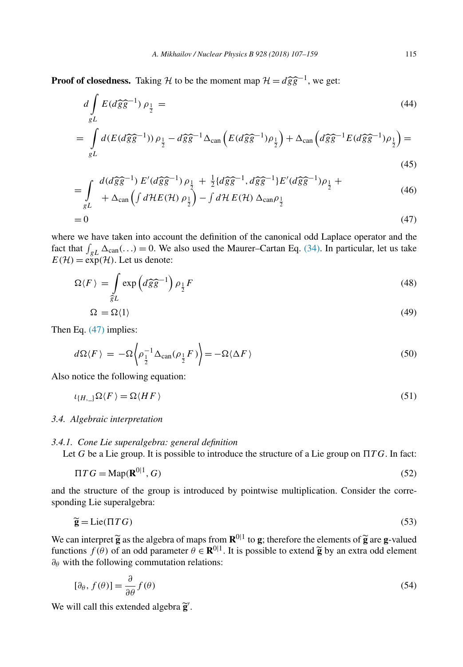<span id="page-8-0"></span>**Proof of closedness.** Taking H to be the moment map  $H = d\hat{g}\hat{g}^{-1}$ , we get:

$$
d\int_{gL} E(d\widehat{g}\widehat{g}^{-1}) \rho_{\frac{1}{2}} =
$$
\n(44)

$$
= \int_{gL} d(E(d\widehat{g}\widehat{g}^{-1})) \rho_{\frac{1}{2}} - d\widehat{g}\widehat{g}^{-1}\Delta_{\text{can}}\left(E(d\widehat{g}\widehat{g}^{-1})\rho_{\frac{1}{2}}\right) + \Delta_{\text{can}}\left(d\widehat{g}\widehat{g}^{-1}E(d\widehat{g}\widehat{g}^{-1})\rho_{\frac{1}{2}}\right) =
$$
\n(45)

$$
= \int d(d\hat{g}\hat{g}^{-1}) E'(d\hat{g}\hat{g}^{-1}) \rho_{\frac{1}{2}} + \frac{1}{2} \{d\hat{g}\hat{g}^{-1}, d\hat{g}\hat{g}^{-1}\} E'(d\hat{g}\hat{g}^{-1}) \rho_{\frac{1}{2}} +
$$
\n(46)

$$
-\int_{gL} + \Delta_{\text{can}} \left( \int d\mathcal{H} E(\mathcal{H}) \rho_{\frac{1}{2}} \right) - \int d\mathcal{H} E(\mathcal{H}) \Delta_{\text{can}} \rho_{\frac{1}{2}} \tag{40}
$$

$$
=0\tag{47}
$$

where we have taken into account the definition of the canonical odd Laplace operator and the fact that  $\int_{gL} \Delta_{can}$ (...) = 0. We also used the Maurer–Cartan Eq. [\(34\).](#page-6-0) In particular, let us take  $E(\mathcal{H}) = \exp(\mathcal{H})$ . Let us denote:

$$
\Omega \langle F \rangle = \int_{\hat{g}L} \exp \left( d\hat{g}\hat{g}^{-1} \right) \rho_{\frac{1}{2}} F \tag{48}
$$

$$
\Omega = \Omega(1) \tag{49}
$$

Then Eq. (47) implies:

$$
d\Omega \langle F \rangle = -\Omega \left\langle \rho_{\frac{1}{2}}^{-1} \Delta_{\text{can}}(\rho_{\frac{1}{2}} F) \right\rangle = -\Omega \langle \Delta F \rangle \tag{50}
$$

Also notice the following equation:

$$
\iota_{\{H,\_\}}\Omega\langle F\rangle = \Omega\langle HF\rangle\tag{51}
$$

#### *3.4. Algebraic interpretation*

## *3.4.1. Cone Lie superalgebra: general definition*

Let *G* be a Lie group. It is possible to introduce the structure of a Lie group on  *T G*. In fact:

$$
\Pi T G = \text{Map}(\mathbf{R}^{0|1}, G) \tag{52}
$$

and the structure of the group is introduced by pointwise multiplication. Consider the corresponding Lie superalgebra:

$$
\widetilde{\mathbf{g}} = \text{Lie}(\Pi T G) \tag{53}
$$

We can interpret  $\widetilde{g}$  as the algebra of maps from  $\mathbb{R}^{0|1}$  to g; therefore the elements of  $\widetilde{g}$  are g-valued functions  $f(\theta)$  of an odd parameter  $\theta \in \mathbb{R}^{0|1}$  It is possible to extend  $\widetilde{g}$  by an e functions *f* (*θ*) of an odd parameter  $\theta \in \mathbb{R}^{0|1}$ . It is possible to extend **g** by an extra odd element  $\theta_0$  with the following commutation relations: *∂θ* with the following commutation relations:

$$
[\partial_{\theta}, f(\theta)] = \frac{\partial}{\partial \theta} f(\theta) \tag{54}
$$

We will call this extended algebra**<sup>g</sup>** .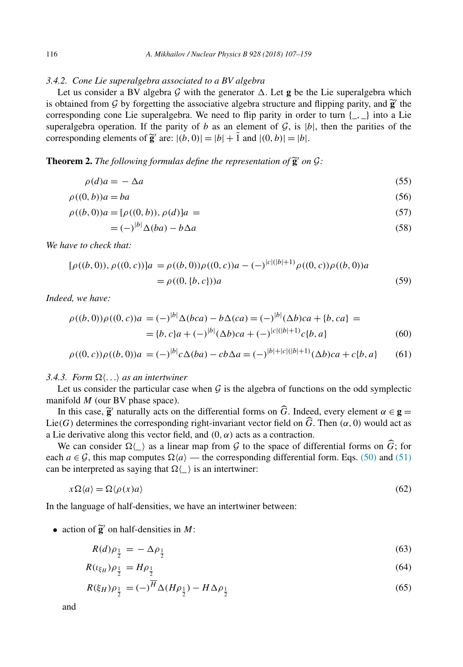## <span id="page-9-0"></span>*3.4.2. Cone Lie superalgebra associated to a BV algebra*

|*b*|

Let us consider a BV algebra  $G$  with the generator  $\Delta$ . Let **g** be the Lie superalgebra which is obtained from  $\mathcal{G}$  by forgetting the associative algebra structure and flipping parity, and  $\tilde{\mathbf{g}}$  the corresponding cone Lie superalgebra. We need to flip parity in order to turn  $\{\_\,,\_\}$  into a Lie superalgebra operation. If the parity of *b* as an element of  $G$ , is  $|b|$ , then the parities of the corresponding elements of  $\tilde{\mathbf{g}}'$  are:  $|(b, 0)| = |b| + \overline{1}$  and  $|(0, b)| = |b|$ .

## **Theorem 2.** The following formulas define the representation of  $\widetilde{g}'$  on  $\mathcal{G}$ :

$$
\rho(d)a = -\Delta a \tag{55}
$$

$$
\rho((0,b))a = ba \tag{56}
$$

$$
\rho((b,0))a = [\rho((0,b)), \rho(d)]a = (57)
$$

$$
= (-)^{|b|} \Delta (ba) - b \Delta a \tag{58}
$$

*We have to check that:*

$$
[\rho((b,0)), \rho((0,c))]a = \rho((b,0))\rho((0,c))a - (-)^{|c|(|b|+1)}\rho((0,c))\rho((b,0))a
$$
  
=  $\rho((0,\{b,c\}))a$  (59)

*Indeed, we have:*

$$
\rho((b,0))\rho((0,c))a = (-)^{|b|}\Delta(bca) - b\Delta(ca) = (-)^{|b|}(\Delta b)ca + \{b, ca\} =
$$
  
= 
$$
\{b, c\}a + (-)^{|b|}(\Delta b)ca + (-)^{|c|(|b|+1)}c\{b, a\}
$$
(60)

$$
\rho((0, c))\rho((b, 0))a = (-)^{|b|}c\Delta(ba) - cb\Delta a = (-)^{|b|+|c|(|b|+1)}(\Delta b)ca + c\{b, a\}
$$
(61)

## 3.4.3. Form  $\Omega \langle \ldots \rangle$  as an intertwiner

Let us consider the particular case when  $\mathcal G$  is the algebra of functions on the odd symplectic manifold *M* (our BV phase space).

In this case,  $\tilde{\mathbf{g}}'$  naturally acts on the differential forms on  $\widehat{G}$ . Indeed, every element  $\alpha \in \mathbf{g} =$ <br>(*G*) determines the corresponding right-invariant vector field on  $\widehat{G}$ . Then  $(\alpha, 0)$  would act as Lie(*G*) determines the corresponding right-invariant vector field on *G*. Then  $(\alpha, 0)$  would act as a Lie derivative along this vector field, and  $(0, \alpha)$  acts as a contraction.

We can consider  $\Omega(\_)$  as a linear map from  $G$  to the space of differential forms on  $\widehat{G}$ ; for the  $a \in G$ , this map computes  $\Omega(a)$ , the corresponding differential form. Eqs. (50) and (51) each  $a \in \mathcal{G}$ , this map computes  $\Omega \langle a \rangle$  — the corresponding differential form. Eqs. [\(50\)](#page-8-0) and [\(51\)](#page-8-0) can be interpreted as saying that  $\Omega(\_)$  is an intertwiner:

$$
x\Omega\langle a\rangle = \Omega\langle\rho(x)a\rangle\tag{62}
$$

In the language of half-densities, we have an intertwiner between:

• action of  $\tilde{\mathbf{g}}'$  on half-densities in *M*:

$$
R(d)\rho_{\frac{1}{2}} = -\Delta\rho_{\frac{1}{2}}\tag{63}
$$

$$
R(\iota_{\xi_H})\rho_{\frac{1}{2}} = H\rho_{\frac{1}{2}} \tag{64}
$$

$$
R(\xi_H)\rho_{\frac{1}{2}} = (-)^{\overline{H}}\Delta(H\rho_{\frac{1}{2}}) - H\Delta\rho_{\frac{1}{2}}
$$
\n
$$
(65)
$$

and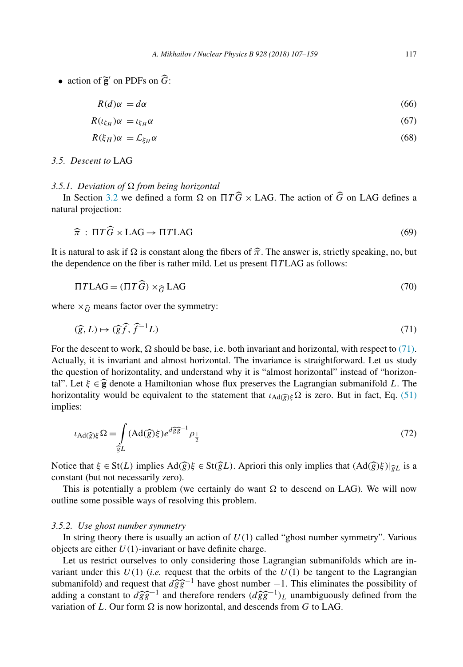<span id="page-10-0"></span>• action of  $\widetilde{\mathbf{g}}'$  on PDFs on  $\widehat{G}$ :

$$
R(d)\alpha = d\alpha \tag{66}
$$

$$
R(\iota_{\xi_H})\alpha = \iota_{\xi_H}\alpha \tag{67}
$$

$$
R(\xi_H)\alpha = \mathcal{L}_{\xi_H}\alpha \tag{68}
$$

### *3.5. Descent to* LAG

### *3.5.1. Deviation of from being horizontal*

In Section [3.2](#page-7-0) we defined a form  $\Omega$  on  $\Pi T\ddot{G} \times \text{LAG}$ . The action of  $\ddot{G}$  on LAG defines a ural projection: natural projection:

$$
\hat{\pi} : \Pi T \hat{G} \times \text{LAG} \to \Pi T \text{LAG} \tag{69}
$$

It is natural to ask if Ω is constant along the fibers of  $\widehat{\pi}$ . The answer is, strictly speaking, no, but<br>the dependence on the fiber is rather mild I et us present ΠTLAG as follows<sup>.</sup> the dependence on the fiber is rather mild. Let us present  *T* LAG as follows:

$$
\Pi T \text{LAG} = (\Pi T \widehat{G}) \times_{\widehat{G}} \text{LAG} \tag{70}
$$

where  $\times_{\widehat{G}}$  means factor over the symmetry:

$$
(\widehat{g}, L) \mapsto (\widehat{g}\widehat{f}, \widehat{f}^{-1}L) \tag{71}
$$

For the descent to work,  $\Omega$  should be base, i.e. both invariant and horizontal, with respect to (71). Actually, it is invariant and almost horizontal. The invariance is straightforward. Let us study the question of horizontality, and understand why it is "almost horizontal" instead of "horizontal". Let  $\xi \in \hat{\mathbf{g}}$  denote a Hamiltonian whose flux preserves the Lagrangian submanifold *L*. The horizontality would be equivalent to the statement that  $L_2 \otimes \Sigma$  is zero. But in fact. Eq. (51) horizontality would be equivalent to the statement that *<sup>ι</sup>*Ad*( g)ξ* is zero. But in fact, Eq. [\(51\)](#page-8-0) implies:

$$
\iota_{\text{Ad}(\widehat{g})\xi}\Omega = \int\limits_{\widehat{g}L} (\text{Ad}(\widehat{g})\xi)e^{d\widehat{g}\widehat{g}^{-1}}\rho_{\frac{1}{2}}\n\tag{72}
$$

Notice that  $\xi \in \text{St}(L)$  implies  $\text{Ad}(\widehat{g})\xi \in \text{St}(\widehat{g}L)$ . Apriori this only implies that  $(\text{Ad}(\widehat{g})\xi)|_{\widehat{g}L}$  is a constant *(but not necessarily zero)* constant (but not necessarily zero).

This is potentially a problem (we certainly do want  $\Omega$  to descend on LAG). We will now outline some possible ways of resolving this problem.

#### *3.5.2. Use ghost number symmetry*

In string theory there is usually an action of  $U(1)$  called "ghost number symmetry". Various objects are either *U(*1*)*-invariant or have definite charge.

Let us restrict ourselves to only considering those Lagrangian submanifolds which are invariant under this  $U(1)$  (*i.e.* request that the orbits of the  $U(1)$  be tangent to the Lagrangian submanifold) and request that  $d\hat{g}\hat{g}$ <br>adding a constant to  $d\hat{g}\hat{g}^{-1}$  and the submanifold) and request that  $d\hat{g}\hat{g}^{-1}$  have ghost number  $-1$ . This eliminates the possibility of adding a constant to  $d\hat{g}\hat{g}^{-1}$  and therefore renders  $(d\hat{g}\hat{g}^{-1})_L$  unambiguously defined from the variation of L. Our form  $\Omega$  is now horizontal, and descends from G to LAG variation of *L*. Our form  $\Omega$  is now horizontal, and descends from *G* to LAG.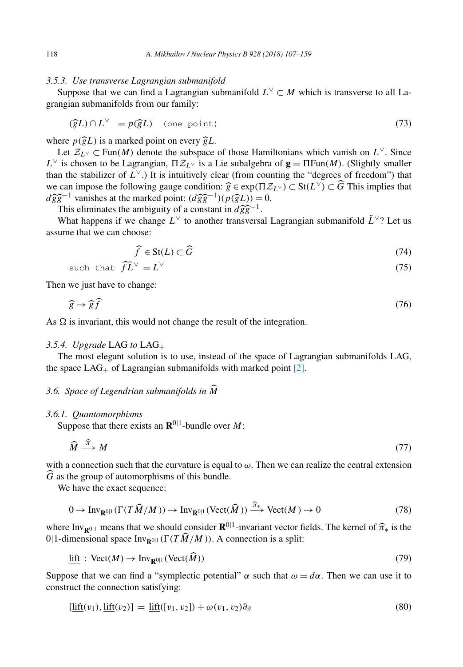## <span id="page-11-0"></span>*3.5.3. Use transverse Lagrangian submanifold*

Suppose that we can find a Lagrangian submanifold  $L^{\vee} \subset M$  which is transverse to all Lagrangian submanifolds from our family:

$$
(\widehat{g}L) \cap L^{\vee} = p(\widehat{g}L) \quad \text{(one point)} \tag{73}
$$

where  $p(\hat{g}L)$  is a marked point on every  $\hat{g}L$ .<br>Let  $\mathcal{Z}_{\ell} \vee \subset \text{Fun}(M)$  denote the subspace

*gL*) is a marked point on every  $\widehat{gl}$ .<br>
Let  $\mathcal{Z}_{L^{\vee}}$  ⊂ Fun $(M)$  denote the subspace of those Hamiltonians which vanish on  $L^{\vee}$ . Since *L*∨ is chosen to be Lagrangian,  $\Pi Z_L \vee$  is a Lie subalgebra of **g** =  $\Pi \text{Fun}(M)$ . (Slightly smaller than the stabilizer of  $L^{\vee}$ .) It is intuitively clear (from counting the "degrees of freedom") that we can impose the following gauge condition:  $\hat{g}$ <br> $d\hat{\rho}\hat{\rho}^{-1}$  vanishes at the marked point:  $(d\hat{\rho}\hat{\rho}^{-1})(p)$  $\widehat{g} \in \exp(\Pi \mathcal{Z}_{L^{\vee}}) \subset \text{St}(L^{\vee}) \subset \widehat{G}$  This implies that  $n(\widehat{\mathcal{Z}}_L^{\vee}) = 0$  $d\hat{g}\hat{g}^{-1}$  vanishes at the marked point:  $(d\hat{g}\hat{g}^{-1})(p(\hat{g}L)) = 0$ .<br>This eliminates the ambiguity of a constant in  $d\hat{g}\hat{g}^{-1}$ .  $\widehat{gg}^{-1}$ )( $p(\widehat{g}L)$ ) =<br>pnstant in  $d\widehat{gg}^{-1}$ .

This eliminates the ambiguity of a constant in  $d\hat{g}\hat{g}^{-1}$ .<br>What happens if we change *L*<sup>∨</sup> to another transversal Lagrangian submanifold  $\tilde{L}^{\vee}$ ? Let us assume that we can choose:

$$
\widehat{f} \in \text{St}(L) \subset \widehat{G} \tag{74}
$$

such that 
$$
\hat{f}\tilde{L}^{\vee} = L^{\vee}
$$
 (75)

Then we just have to change:

$$
\widehat{g} \mapsto \widehat{g}\widehat{f} \tag{76}
$$

As  $\Omega$  is invariant, this would not change the result of the integration.

### *3.5.4. Upgrade* LAG *to* LAG+

The most elegant solution is to use, instead of the space of Lagrangian submanifolds LAG, the space  $LAG_{+}$  of Lagrangian submanifolds with marked point [\[2\].](#page-52-0)

## *3.6. Space of Legendrian submanifolds in <sup>M</sup>*

#### *3.6.1. Quantomorphisms*

Suppose that there exists an  $\mathbb{R}^{0|1}$ -bundle over *M*:

$$
\widehat{M} \stackrel{\widehat{\pi}}{\longrightarrow} M \tag{77}
$$

with a connection such that the curvature is equal to *ω*. Then we can realize the central extension *G* as the group of automorphisms of this bundle.<br>We have the great sequence:

We have the exact sequence:

$$
0 \to \operatorname{Inv}_{\mathbf{R}^{0|1}}(\Gamma(T\widehat{M}/M)) \to \operatorname{Inv}_{\mathbf{R}^{0|1}}(\operatorname{Vect}(\widehat{M})) \xrightarrow{\widehat{\pi}_{*}} \operatorname{Vect}(M) \to 0
$$
\n(78)

where Inv<sub>R<sup>0|1</sup></sub> means that we should consider  $\mathbf{R}^{0|1}$ -invariant vector fields. The kernel of  $\hat{\pi}_{*}$  is the <br>0|1-dimensional space Inv<sub>R0</sub>|| ( $\Gamma(T\hat{M}/M)$ ) A connection is a split: 0|1-dimensional space  $Inv_{\mathbf{R}^{0|1}}(\Gamma(T\dot{M}/M))$ . A connection is a split:

$$
\underline{\text{lift}} : \text{Vect}(M) \to \text{Inv}_{\mathbf{R}^{0|1}}(\text{Vect}(\widehat{M})) \tag{79}
$$

Suppose that we can find a "symplectic potential"  $\alpha$  such that  $\omega = d\alpha$ . Then we can use it to construct the connection satisfying:

$$
[\underline{\text{lift}}(v_1), \underline{\text{lift}}(v_2)] = \underline{\text{lift}}([v_1, v_2]) + \omega(v_1, v_2)\partial_{\vartheta}
$$
\n
$$
(80)
$$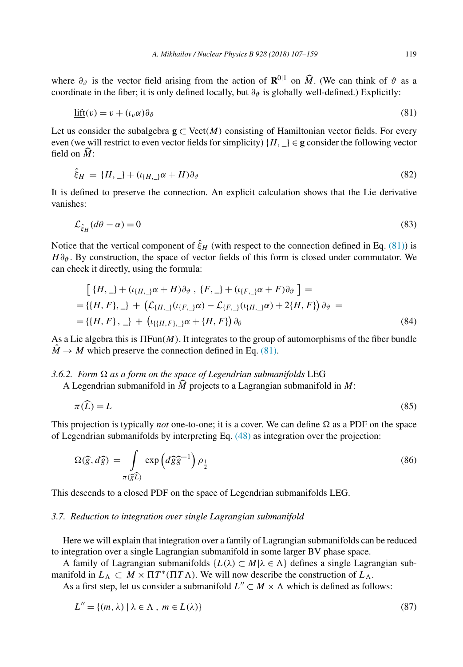where  $\partial_{\theta}$  is the vector field arising from the action of  $\mathbf{R}^{0|1}$  on  $\widehat{M}$ . (We can think of  $\theta$  as a coordinate in the fiber: it is only defined locally but  $\widehat{a}$  is globally well defined b Explicitly: coordinate in the fiber; it is only defined locally, but  $\partial_{\vartheta}$  is globally well-defined.) Explicitly:

$$
\underline{\text{lift}}(v) = v + (\iota_v \alpha) \partial_{\vartheta} \tag{81}
$$

Let us consider the subalgebra  $g \subset \text{Vect}(M)$  consisting of Hamiltonian vector fields. For every even (we will restrict to even vector fields for simplicity)  $\{H, \_\} \in \mathbf{g}$  consider the following vector field on *<sup>M</sup>* :

$$
\hat{\xi}_H = \{H, \_\} + (\iota_{\{H, \_\}} \alpha + H) \partial_\vartheta \tag{82}
$$

It is defined to preserve the connection. An explicit calculation shows that the Lie derivative vanishes:

$$
\mathcal{L}_{\hat{\xi}_H}(d\theta - \alpha) = 0 \tag{83}
$$

Notice that the vertical component of  $\hat{\xi}_H$  (with respect to the connection defined in Eq. (81)) is *H∂*<sup>3</sup>. By construction, the space of vector fields of this form is closed under commutator. We can check it directly, using the formula:

$$
\begin{aligned}\n\left[ \{H, \_\} + (\iota_{\{H, \_\}} \alpha + H) \partial_{\vartheta} \ , \{F, \_\} + (\iota_{\{F, \_\}} \alpha + F) \partial_{\vartheta} \ \right] &= \\
&= \{ \{H, F\}, \_\} + \left( \mathcal{L}_{\{H, \_\}} (\iota_{\{F, \_\}} \alpha) - \mathcal{L}_{\{F, \_\}} (\iota_{\{H, \_\}} \alpha) + 2\{H, F\} \right) \partial_{\vartheta} \\
&= \left\{ \{H, F\}, \_\} + \left( \iota_{\{\{H, F\}, \_\}} \alpha + \{H, F\} \right) \partial_{\theta}\n\end{aligned}
$$
\n(84)

As a Lie algebra this is Fun*(M)*. It integrates to the group of automorphisms of the fiber bundle  $\hat{M} \rightarrow M$  which preserve the connection defined in Eq. (81).

## $3.6.2$ . Form  $\Omega$  as a form on the space of Legendrian submanifolds LEG

<sup>A</sup> Legendrian submanifold in *<sup>M</sup>* projects to a Lagrangian submanifold in *M*:

$$
\pi(L) = L \tag{85}
$$

This projection is typically *not* one-to-one; it is a cover. We can define  $\Omega$  as a PDF on the space of Legendrian submanifolds by interpreting Eq. [\(48\)](#page-8-0) as integration over the projection:

$$
\Omega(\widehat{g}, d\widehat{g}) = \int_{\pi(\widehat{g}\widehat{L})} \exp\left(d\widehat{g}\widehat{g}^{-1}\right) \rho_{\frac{1}{2}} \tag{86}
$$

This descends to a closed PDF on the space of Legendrian submanifolds LEG.

#### *3.7. Reduction to integration over single Lagrangian submanifold*

Here we will explain that integration over a family of Lagrangian submanifolds can be reduced to integration over a single Lagrangian submanifold in some larger BV phase space.

A family of Lagrangian submanifolds  ${L(\lambda) \subset M | \lambda \in \Lambda}$  defines a single Lagrangian submanifold in  $L_{\Lambda} \subset M \times \Pi T^*(\Pi T \Lambda)$ . We will now describe the construction of  $L_{\Lambda}$ .

As a first step, let us consider a submanifold  $L'' \subset M \times \Lambda$  which is defined as follows:

$$
L'' = \{(m, \lambda) \mid \lambda \in \Lambda, m \in L(\lambda)\}\tag{87}
$$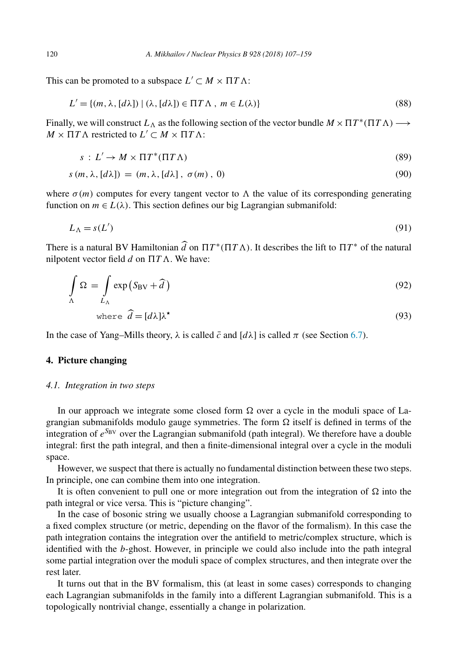This can be promoted to a subspace  $L' \subset M \times \Pi T \Lambda$ :

$$
L' = \{(m, \lambda, [d\lambda]) \mid (\lambda, [d\lambda]) \in \Pi T \Lambda, m \in L(\lambda)\}\
$$
\n(88)

Finally, we will construct  $L_\Lambda$  as the following section of the vector bundle  $M \times \Pi T^*(\Pi T \Lambda) \longrightarrow$  $M \times \Pi T \Lambda$  restricted to  $L' \subset M \times \Pi T \Lambda$ :

$$
s: L' \to M \times \Pi T^*(\Pi T \Lambda) \tag{89}
$$

$$
s(m, \lambda, [d\lambda]) = (m, \lambda, [d\lambda], \sigma(m), 0)
$$
\n(90)

where  $\sigma(m)$  computes for every tangent vector to  $\Lambda$  the value of its corresponding generating function on  $m \in L(\lambda)$ . This section defines our big Lagrangian submanifold:

$$
L_{\Lambda} = s(L') \tag{91}
$$

There is a natural BV Hamiltonian  $\widehat{d}$  on  $\Pi T^*(\Pi T \Lambda)$ . It describes the lift to  $\Pi T^*$  of the natural nilpotent vector field  $d$  on  $\Pi T \Lambda$ . We have:

$$
\int_{\Lambda} \Omega = \int_{L_{\Lambda}} \exp\left(S_{\rm BV} + \hat{d}\right) \tag{92}
$$

where 
$$
\hat{d} = [d\lambda]\lambda^*
$$
 (93)

In the case of Yang–Mills theory,  $\lambda$  is called  $\bar{c}$  and  $[d\lambda]$  is called  $\pi$  (see Section [6.7\)](#page-28-0).

## **4. Picture changing**

#### *4.1. Integration in two steps*

In our approach we integrate some closed form  $\Omega$  over a cycle in the moduli space of Lagrangian submanifolds modulo gauge symmetries. The form  $\Omega$  itself is defined in terms of the integration of *eS*BV over the Lagrangian submanifold (path integral). We therefore have a double integral: first the path integral, and then a finite-dimensional integral over a cycle in the moduli space.

However, we suspect that there is actually no fundamental distinction between these two steps. In principle, one can combine them into one integration.

It is often convenient to pull one or more integration out from the integration of  $\Omega$  into the path integral or vice versa. This is "picture changing".

In the case of bosonic string we usually choose a Lagrangian submanifold corresponding to a fixed complex structure (or metric, depending on the flavor of the formalism). In this case the path integration contains the integration over the antifield to metric/complex structure, which is identified with the *b*-ghost. However, in principle we could also include into the path integral some partial integration over the moduli space of complex structures, and then integrate over the rest later.

It turns out that in the BV formalism, this (at least in some cases) corresponds to changing each Lagrangian submanifolds in the family into a different Lagrangian submanifold. This is a topologically nontrivial change, essentially a change in polarization.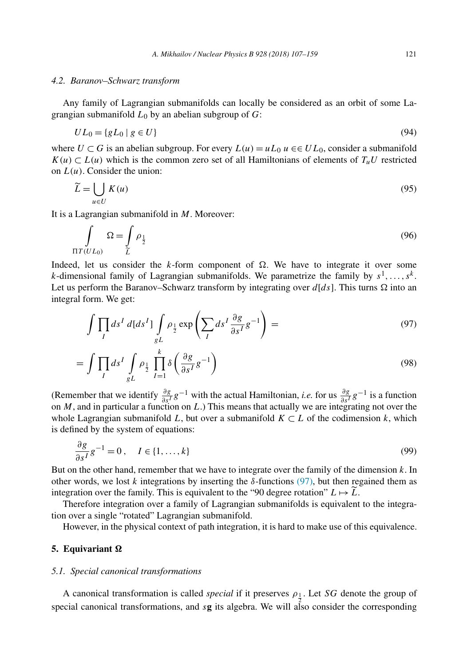#### <span id="page-14-0"></span>*4.2. Baranov–Schwarz transform*

Any family of Lagrangian submanifolds can locally be considered as an orbit of some Lagrangian submanifold  $L_0$  by an abelian subgroup of  $G$ :

$$
UL_0 = \{ gL_0 \mid g \in U \} \tag{94}
$$

where  $U \subset G$  is an abelian subgroup. For every  $L(u) = uL_0 u \in U L_0$ , consider a submanifold  $K(u) \subset L(u)$  which is the common zero set of all Hamiltonians of elements of  $T_uU$  restricted on  $L(u)$ . Consider the union:

$$
\widetilde{L} = \bigcup_{u \in U} K(u) \tag{95}
$$

It is a Lagrangian submanifold in *M*. Moreover:

$$
\int_{\Pi T(U_{L_0})} \Omega = \int_{\widetilde{L}} \rho_{\frac{1}{2}} \tag{96}
$$

Indeed, let us consider the *k*-form component of  $\Omega$ . We have to integrate it over some *k*-dimensional family of Lagrangian submanifolds. We parametrize the family by  $s<sup>1</sup>,...,s<sup>k</sup>$ . Let us perform the Baranov–Schwarz transform by integrating over  $d[ds]$ . This turns  $\Omega$  into an integral form. We get:

$$
\int \prod_{I} ds^{I} d[ds^{I}] \int \limits_{gL} \rho_{\frac{1}{2}} \exp \left( \sum_{I} ds^{I} \frac{\partial g}{\partial s^{I}} g^{-1} \right) = \tag{97}
$$

$$
= \int \prod_{I} ds^{I} \int \limits_{gL} \rho_{\frac{1}{2}} \prod_{I=1}^{k} \delta\left(\frac{\partial g}{\partial s^{I}} g^{-1}\right)
$$
(98)

(Remember that we identify  $\frac{\partial g}{\partial s'}g^{-1}$  with the actual Hamiltonian, *i.e.* for us  $\frac{\partial g}{\partial s'}g^{-1}$  is a function on *M*, and in particular a function on *L*.) This means that actually we are integrating not over the whole Lagrangian submanifold *L*, but over a submanifold  $K \subset L$  of the codimension *k*, which is defined by the system of equations:

$$
\frac{\partial g}{\partial s^I} g^{-1} = 0, \quad I \in \{1, \dots, k\}
$$
\n
$$
(99)
$$

But on the other hand, remember that we have to integrate over the family of the dimension *k*. In other words, we lost *k* integrations by inserting the  $\delta$ -functions (97), but then regained them as integration over the family. This is equivalent to the "90 degree rotation"  $L \mapsto \overline{L}$ .<br>Therefore integration over a family of Lagrangian submanifolds is equivalent

Therefore integration over a family of Lagrangian submanifolds is equivalent to the integration over a single "rotated" Lagrangian submanifold.

However, in the physical context of path integration, it is hard to make use of this equivalence.

## **5. Equivariant -**

#### *5.1. Special canonical transformations*

A canonical transformation is called *special* if it preserves  $\rho_1$ . Let *SG* denote the group of special canonical transformations, and *s***g** its algebra. We will also consider the corresponding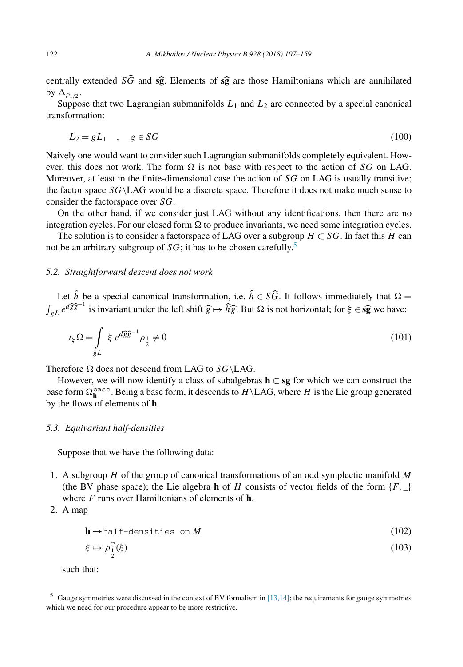centrally extended *SG* and **sg**. Elements of **sg** are those Hamiltonians which are annihilated by  $\Delta$ <sub>0.111</sub> by  $\Delta_{\rho_1/\rho}$ .

Suppose that two Lagrangian submanifolds  $L_1$  and  $L_2$  are connected by a special canonical transformation:

$$
L_2 = gL_1 \quad , \quad g \in SG \tag{100}
$$

Naively one would want to consider such Lagrangian submanifolds completely equivalent. However, this does not work. The form  $\Omega$  is not base with respect to the action of *SG* on LAG. Moreover, at least in the finite-dimensional case the action of *SG* on LAG is usually transitive; the factor space *SG*\LAG would be a discrete space. Therefore it does not make much sense to consider the factorspace over *SG*.

On the other hand, if we consider just LAG without any identifications, then there are no integration cycles. For our closed form  $\Omega$  to produce invariants, we need some integration cycles.

The solution is to consider a factorspace of LAG over a subgroup  $H \subset SG$ . In fact this *H* can not be an arbitrary subgroup of  $SG$ ; it has to be chosen carefully.<sup>5</sup>

## *5.2. Straightforward descent does not work*

Let  $\hat{h}$  be a special canonical transformation, i.e.  $\hat{h} \in S\hat{G}$ . It follows immediately that  $\Omega =$  $\int_{gL} e^{d\hat{g}\hat{g}^{-1}}$  is invariant under the left shift  $\hat{g} \mapsto \hat{h}\hat{g}$ . But  $\Omega$  is not horizontal; for  $\xi \in \hat{g}$  we have:

$$
\iota_{\xi}\Omega = \int\limits_{gL} \xi \, e^{d\widehat{g}\widehat{g}^{-1}} \rho_{\frac{1}{2}} \neq 0 \tag{101}
$$

Therefore  $\Omega$  does not descend from LAG to *SG*\LAG.

However, we will now identify a class of subalgebras **h** ⊂ **sg** for which we can construct the base form  $\Omega_h^{\text{base}}$ . Being a base form, it descends to  $H \setminus \text{LAG}$ , where  $H$  is the Lie group generated by the flows of elements of **h**.

#### *5.3. Equivariant half-densities*

Suppose that we have the following data:

- 1. A subgroup *H* of the group of canonical transformations of an odd symplectic manifold *M* (the BV phase space); the Lie algebra **h** of *H* consists of vector fields of the form  ${F, \_}$ where *F* runs over Hamiltonians of elements of **h**.
- 2. A map

$$
\mathbf{h} \rightarrow \text{half-densities on } M \tag{102}
$$

$$
\xi \mapsto \rho_{\frac{1}{2}}^{\mathrm{C}}(\xi) \tag{103}
$$

such that:

 $<sup>5</sup>$  Gauge symmetries were discussed in the context of BV formalism in [\[13,14\];](#page-52-0) the requirements for gauge symmetries</sup> which we need for our procedure appear to be more restrictive.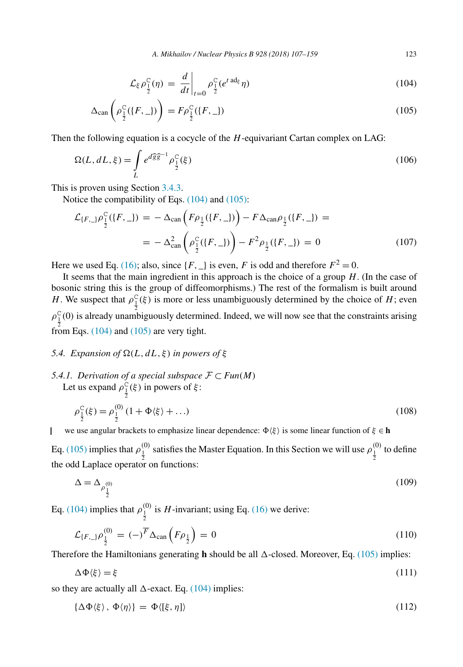$$
\mathcal{L}_{\xi} \rho_{\frac{1}{2}}^{\mathcal{C}}(\eta) = \left. \frac{d}{dt} \right|_{t=0} \rho_{\frac{1}{2}}^{\mathcal{C}} (e^{t \operatorname{ad}_{\xi}} \eta) \tag{104}
$$

<span id="page-16-0"></span>
$$
\Delta_{\text{can}}\left(\rho_{\frac{1}{2}}^{\text{C}}(\lbrace F,\_\rbrace)\right) = F\rho_{\frac{1}{2}}^{\text{C}}(\lbrace F,\_\rbrace) \tag{105}
$$

Then the following equation is a cocycle of the *H*-equivariant Cartan complex on LAG:

$$
\Omega(L, dL, \xi) = \int_{L} e^{d\widehat{g}\widehat{g}^{-1}} \rho_{\frac{1}{2}}^{\mathcal{C}}(\xi)
$$
\n(106)

This is proven using Section [3.4.3.](#page-9-0)

Notice the compatibility of Eqs. (104) and (105):

$$
\mathcal{L}_{\{F,\_}\} \rho_{\frac{1}{2}}^{\mathcal{C}}(\{F,\_)\} = -\Delta_{\text{can}} \left(F \rho_{\frac{1}{2}}(\{F,\_)\}\right) - F \Delta_{\text{can}} \rho_{\frac{1}{2}}(\{F,\_)\} = -\Delta_{\text{can}}^2 \left(\rho_{\frac{1}{2}}^{\mathcal{C}}(\{F,\_)\}\right) - F^2 \rho_{\frac{1}{2}}(\{F,\_)\} = 0 \tag{107}
$$

Here we used Eq. [\(16\);](#page-4-0) also, since  ${F, \_\}$  is even, *F* is odd and therefore  $F^2 = 0$ .

It seems that the main ingredient in this approach is the choice of a group *H*. (In the case of bosonic string this is the group of diffeomorphisms.) The rest of the formalism is built around *H*. We suspect that  $\rho_1^C(\xi)$  is more or less unambiguously determined by the choice of *H*; even  $\rho_1^C(0)$  is already unambiguously determined. Indeed, we will now see that the constraints arising from Eqs. (104) and (105) are very tight.

### *5.4. Expansion of*  $\Omega(L, dL, \xi)$  *in powers of*  $\xi$

*5.4.1. Derivation of a special subspace*  $F ⊂ Fun(M)$ Let us expand  $\rho_{\frac{1}{2}}^{\check{C}}(\xi)$  in powers of  $\xi$ :

$$
\rho_{\frac{1}{2}}^{C}(\xi) = \rho_{\frac{1}{2}}^{(0)} (1 + \Phi\langle\xi\rangle + \dots)
$$
\n(108)

we use angular brackets to emphasize linear dependence:  $\Phi(\xi)$  is some linear function of  $\xi \in \mathbf{h}$ 

Eq. (105) implies that  $\rho_{\frac{1}{2}}^{(0)}$  satisfies the Master Equation. In this Section we will use  $\rho_{\frac{1}{2}}^{(0)}$  to define the odd Laplace operator on functions:

$$
\Delta = \Delta_{\rho_{\frac{1}{2}}^{(0)}} \tag{109}
$$

Eq. (104) implies that  $\rho_{\frac{1}{2}}^{(0)}$  is *H*-invariant; using Eq. [\(16\)](#page-4-0) we derive:

$$
\mathcal{L}_{\{F,\_\}}\rho_{\frac{1}{2}}^{(0)} = (-)^{\overline{F}} \Delta_{\text{can}} \left(F\rho_{\frac{1}{2}}\right) = 0 \tag{110}
$$

Therefore the Hamiltonians generating **h** should be all  $\Delta$ -closed. Moreover, Eq. (105) implies:

$$
\Delta \Phi \langle \xi \rangle = \xi \tag{111}
$$

so they are actually all  $\Delta$ -exact. Eq. (104) implies:

$$
\{\Delta \Phi \langle \xi \rangle, \, \Phi \langle \eta \rangle\} = \Phi \langle [\xi, \eta] \rangle \tag{112}
$$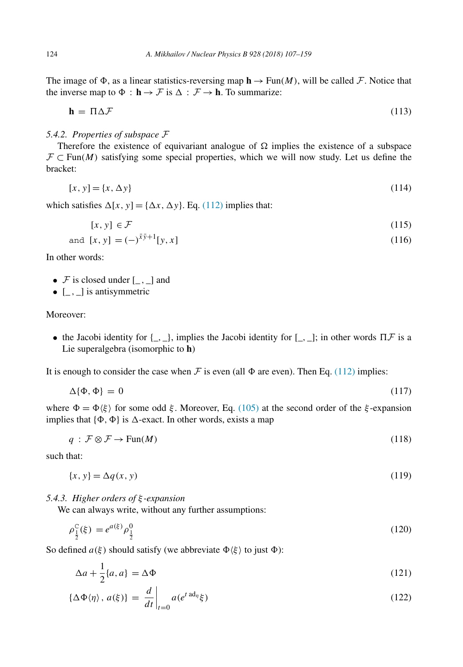<span id="page-17-0"></span>The image of  $\Phi$ , as a linear statistics-reversing map  $\mathbf{h} \to \text{Fun}(M)$ , will be called F. Notice that the inverse map to  $\Phi$  :  $\mathbf{h} \to \mathcal{F}$  is  $\Delta : \mathcal{F} \to \mathbf{h}$ . To summarize:

$$
\mathbf{h} = \Pi \Delta \mathcal{F} \tag{113}
$$

## *5.4.2. Properties of subspace* F

Therefore the existence of equivariant analogue of  $\Omega$  implies the existence of a subspace  $\mathcal{F} \subset \text{Fun}(M)$  satisfying some special properties, which we will now study. Let us define the bracket:

$$
[x, y] = \{x, \Delta y\} \tag{114}
$$

which satisfies  $\Delta[x, y] = {\Delta x, \Delta y}$ . Eq. [\(112\)](#page-16-0) implies that:

$$
[x, y] \in \mathcal{F} \tag{115}
$$

and 
$$
[x, y] = (-)^{\bar{x}\bar{y}+1}[y, x]
$$
 (116)

In other words:

•  $\mathcal F$  is closed under  $[\_,\_]$  and

 $\bullet$  [ $\Box$ ,  $\Box$ ] is antisymmetric

## Moreover:

• the Jacobi identity for  $\{\_,\_\}$ , implies the Jacobi identity for  $[\_,\_]$ ; in other words  $\Pi \mathcal{F}$  is a Lie superalgebra (isomorphic to **h**)

It is enough to consider the case when  $\mathcal F$  is even (all  $\Phi$  are even). Then Eq. [\(112\)](#page-16-0) implies:

$$
\Delta\{\Phi,\Phi\}=0\tag{117}
$$

where  $\Phi = \Phi \langle \xi \rangle$  for some odd  $\xi$ . Moreover, Eq. [\(105\)](#page-16-0) at the second order of the  $\xi$ -expansion implies that  $\{\Phi, \Phi\}$  is  $\Delta$ -exact. In other words, exists a map

$$
q: \mathcal{F} \otimes \mathcal{F} \to \text{Fun}(M) \tag{118}
$$

such that:

$$
\{x, y\} = \Delta q(x, y) \tag{119}
$$

## *5.4.3. Higher orders of ξ -expansion*

We can always write, without any further assumptions:

$$
\rho_{\frac{1}{2}}^{\mathcal{C}}(\xi) = e^{a(\xi)} \rho_{\frac{1}{2}}^{0}
$$
\n(120)

So defined  $a(\xi)$  should satisfy (we abbreviate  $\Phi(\xi)$  to just  $\Phi$ ):

$$
\Delta a + \frac{1}{2} \{a, a\} = \Delta \Phi \tag{121}
$$

$$
\{\Delta \Phi \langle \eta \rangle, \, a(\xi)\} = \left. \frac{d}{dt} \right|_{t=0} a(e^{t \operatorname{ad}_{\eta}} \xi) \tag{122}
$$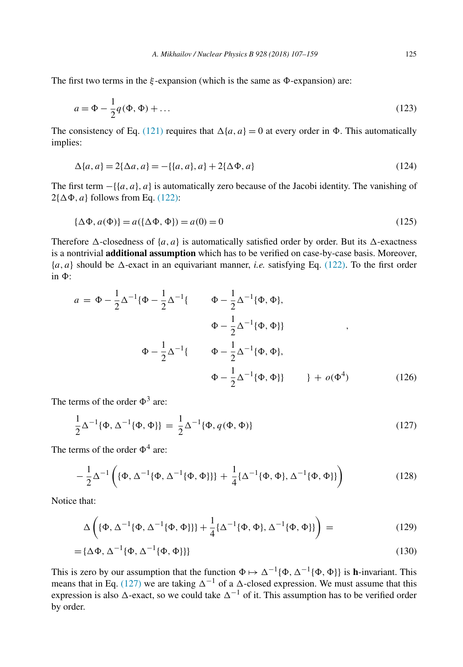The first two terms in the  $\xi$ -expansion (which is the same as  $\Phi$ -expansion) are:

$$
a = \Phi - \frac{1}{2}q(\Phi, \Phi) + \dots \tag{123}
$$

The consistency of Eq. [\(121\)](#page-17-0) requires that  $\Delta\{a, a\} = 0$  at every order in  $\Phi$ . This automatically implies:

$$
\Delta{a, a} = 2\{\Delta{a, a}\} = -\{(a, a), a\} + 2\{\Delta{\Phi}, a\}
$$
\n(124)

The first term −{{*a, a*}*, a*} is automatically zero because of the Jacobi identity. The vanishing of  $2{\lbrace \Delta \Phi, a \rbrace}$  follows from Eq. [\(122\):](#page-17-0)

$$
\{\Delta \Phi, a(\Phi)\} = a(\{\Delta \Phi, \Phi\}) = a(0) = 0
$$
\n(125)

Therefore  $\Delta$ -closedness of  $\{a, a\}$  is automatically satisfied order by order. But its  $\Delta$ -exactness is a nontrivial **additional assumption** which has to be verified on case-by-case basis. Moreover,  ${a, a}$  should be  $\Delta$ -exact in an equivariant manner, *i.e.* satisfying Eq. [\(122\).](#page-17-0) To the first order  $\sin$   $\Phi$ .

$$
a = \Phi - \frac{1}{2}\Delta^{-1}\{\Phi - \frac{1}{2}\Delta^{-1}\{\Phi, \Phi\},\
$$
  

$$
\Phi - \frac{1}{2}\Delta^{-1}\{\Phi, \Phi\}\}
$$
  

$$
\Phi - \frac{1}{2}\Delta^{-1}\{\Phi, \Phi\},
$$
  

$$
\Phi - \frac{1}{2}\Delta^{-1}\{\Phi, \Phi\},
$$
  

$$
\Phi - \frac{1}{2}\Delta^{-1}\{\Phi, \Phi\},
$$
  

$$
\Phi - \frac{1}{2}\Delta^{-1}\{\Phi, \Phi\}\} + o(\Phi^{4})
$$
(126)

The terms of the order  $\Phi^3$  are:

$$
\frac{1}{2}\Delta^{-1}\{\Phi, \Delta^{-1}\{\Phi, \Phi\}\} = \frac{1}{2}\Delta^{-1}\{\Phi, q(\Phi, \Phi)\}\tag{127}
$$

The terms of the order  $\Phi^4$  are:

$$
-\frac{1}{2}\Delta^{-1}\left(\{\Phi, \Delta^{-1}\{\Phi, \Delta^{-1}\{\Phi, \Phi\}\}\} + \frac{1}{4}\{\Delta^{-1}\{\Phi, \Phi\}, \Delta^{-1}\{\Phi, \Phi\}\}\right) \tag{128}
$$

Notice that:

$$
\Delta\left(\{\Phi, \Delta^{-1}\{\Phi, \Delta^{-1}\{\Phi, \Phi\}\}\} + \frac{1}{4}\{\Delta^{-1}\{\Phi, \Phi\}, \Delta^{-1}\{\Phi, \Phi\}\}\right) = (129)
$$

$$
= {\{\Delta \Phi, \Delta^{-1}\{\Phi, \Delta^{-1}\{\Phi, \Phi\}\}\}\tag{130}
$$

This is zero by our assumption that the function  $\Phi \mapsto \Delta^{-1}{\{\Phi, \Delta^{-1}{\{\Phi, \Phi\}}\}}$  is **h**-invariant. This means that in Eq. (127) we are taking  $\Delta^{-1}$  of a  $\Delta$ -closed expression. We must assume that this expression is also  $\Delta$ -exact, so we could take  $\Delta^{-1}$  of it. This assumption has to be verified order by order.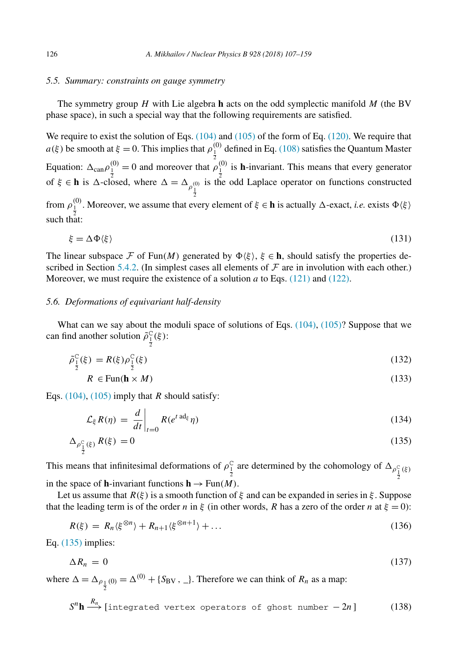#### <span id="page-19-0"></span>*5.5. Summary: constraints on gauge symmetry*

The symmetry group *H* with Lie algebra **h** acts on the odd symplectic manifold *M* (the BV phase space), in such a special way that the following requirements are satisfied.

We require to exist the solution of Eqs. [\(104\)](#page-16-0) and [\(105\)](#page-16-0) of the form of Eq. [\(120\).](#page-17-0) We require that *a(ξ)* be smooth at  $\xi = 0$ . This implies that  $\rho_1^{(0)}$  defined in Eq. [\(108\)](#page-16-0) satisfies the Quantum Master Equation:  $\Delta_{\text{can}} \rho_1^{(0)} = 0$  and moreover that  $\rho_1^{(0)}$  is **h**-invariant. This means that every generator of  $\xi \in \mathbf{h}$  is  $\Delta$ -closed, where  $\Delta = \Delta_{\rho_{\frac{1}{2}}^{(0)}}$ is the odd Laplace operator on functions constructed from  $\rho_1^{(0)}$ . Moreover, we assume that every element of  $\xi \in \mathbf{h}$  is actually  $\Delta$ -exact, *i.e.* exists  $\Phi(\xi)$ such that:

$$
\xi = \Delta \Phi \langle \xi \rangle \tag{131}
$$

The linear subspace F of Fun(M) generated by  $\Phi(\xi)$ ,  $\xi \in \mathbf{h}$ , should satisfy the properties de-scribed in Section [5.4.2.](#page-17-0) (In simplest cases all elements of  $\mathcal F$  are in involution with each other.) Moreover, we must require the existence of a solution *a* to Eqs. [\(121\)](#page-17-0) and [\(122\).](#page-17-0)

## *5.6. Deformations of equivariant half-density*

What can we say about the moduli space of solutions of Eqs.  $(104)$ ,  $(105)$ ? Suppose that we can find another solution  $\tilde{\rho}^C_{\frac{1}{2}}(\xi)$ :

$$
\tilde{\rho}_{\frac{1}{2}}^{\text{C}}(\xi) = R(\xi)\rho_{\frac{1}{2}}^{\text{C}}(\xi) \tag{132}
$$

$$
R \in \text{Fun}(\mathbf{h} \times M) \tag{133}
$$

Eqs. [\(104\),](#page-16-0) [\(105\)](#page-16-0) imply that *R* should satisfy:

$$
\mathcal{L}_{\xi} R(\eta) = \left. \frac{d}{dt} \right|_{t=0} R(e^{t \operatorname{ad}_{\xi}} \eta) \tag{134}
$$

$$
\Delta_{\rho_{\frac{1}{2}}^{C}(\xi)} R(\xi) = 0 \tag{135}
$$

This means that infinitesimal deformations of  $\rho \frac{C}{\frac{1}{2}}$  are determined by the cohomology of  $\Delta_{\rho \frac{C}{\frac{1}{2}}(k)}$ 2 in the space of **h**-invariant functions  $h \rightarrow Fun(M)$ .

Let us assume that *R(ξ)* is a smooth function of *ξ* and can be expanded in series in *ξ* . Suppose that the leading term is of the order *n* in *ξ* (in other words, *R* has a zero of the order *n* at  $\xi = 0$ ):

$$
R(\xi) = R_n \langle \xi^{\otimes n} \rangle + R_{n+1} \langle \xi^{\otimes n+1} \rangle + \dots \tag{136}
$$

Eq. (135) implies:

$$
\Delta R_n = 0 \tag{137}
$$

where  $\Delta = \Delta_{\rho_{\frac{1}{2}}(0)} = \Delta^{(0)} + \{S_{BV}, \_\}$ . Therefore we can think of  $R_n$  as a map:

$$
S^{n}\mathbf{h} \xrightarrow{R_{n}} [\text{integrated vertex operators of ghost number } -2n] \tag{138}
$$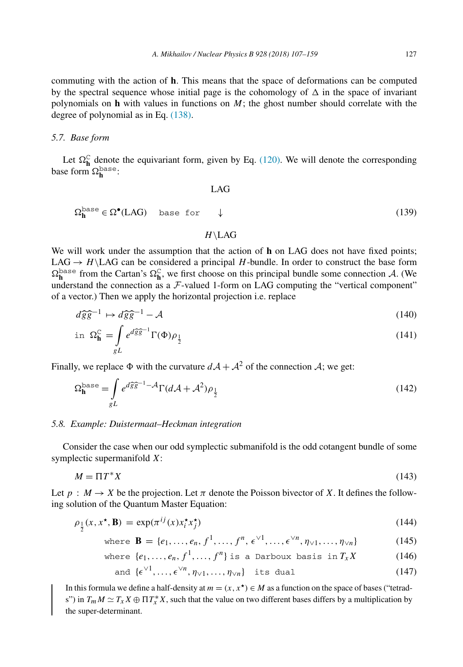<span id="page-20-0"></span>commuting with the action of **h**. This means that the space of deformations can be computed by the spectral sequence whose initial page is the cohomology of  $\Delta$  in the space of invariant polynomials on **h** with values in functions on *M*; the ghost number should correlate with the degree of polynomial as in Eq. [\(138\).](#page-19-0)

#### *5.7. Base form*

Let  $\Omega_{\bf h}^{\rm C}$  denote the equivariant form, given by Eq. [\(120\).](#page-17-0) We will denote the corresponding base form  $\Omega_{\mathbf{h}}^{\text{base}}$ :

$$
\Omega_{\mathbf{h}}^{\text{base}} \in \Omega^{\bullet}(\text{LAG}) \quad \text{base for} \quad \downarrow \tag{139}
$$

#### *H*\LAG

 $\overline{L}$ 

We will work under the assumption that the action of **h** on LAG does not have fixed points; LAG  $\rightarrow$  *H* $\backslash$ LAG can be considered a principal *H*-bundle. In order to construct the base form  $\Omega_{\mathbf{h}}^{\text{base}}$  from the Cartan's  $\Omega_{\mathbf{h}}^{\mathbb{C}}$ , we first choose on this principal bundle some connection A. (We understand the connection as a  $F$ -valued 1-form on LAG computing the "vertical component" of a vector.) Then we apply the horizontal projection i.e. replace

$$
d\widehat{g}\widehat{g}^{-1} \mapsto d\widehat{g}\widehat{g}^{-1} - \mathcal{A}
$$
 (140)

$$
\text{in } \Omega_{\mathbf{h}}^{\mathbf{C}} = \int_{gL} e^{d\widehat{g}\widehat{g}^{-1}} \Gamma(\Phi) \rho_{\frac{1}{2}} \tag{141}
$$

Finally, we replace  $\Phi$  with the curvature  $dA + A^2$  of the connection A; we get:

$$
\Omega_{\mathbf{h}}^{\text{base}} = \int_{gL} e^{d\widehat{g}\widehat{g}^{-1} - A} \Gamma(d\mathcal{A} + \mathcal{A}^2) \rho_{\frac{1}{2}}
$$
(142)

#### *5.8. Example: Duistermaat–Heckman integration*

Consider the case when our odd symplectic submanifold is the odd cotangent bundle of some symplectic supermanifold *X*:

$$
M = \Pi T^* X \tag{143}
$$

Let  $p : M \to X$  be the projection. Let  $\pi$  denote the Poisson bivector of X. It defines the following solution of the Quantum Master Equation:

$$
\rho_{\frac{1}{2}}(x, x^{\star}, \mathbf{B}) = \exp(\pi^{ij}(x)x_i^{\star}x_j^{\star})
$$
\n(144)

where **B** = {
$$
e_1, ..., e_n, f^1, ..., f^n, \epsilon^{\vee 1}, ..., \epsilon^{\vee n}, \eta_{\vee 1}, ..., \eta_{\vee n}
$$
} (145)

where 
$$
\{e_1, \ldots, e_n, f^1, \ldots, f^n\}
$$
 is a Darboux basis in  $T_x X$  (146)

and 
$$
\{\epsilon^{\vee 1}, \ldots, \epsilon^{\vee n}, \eta_{\vee 1}, \ldots, \eta_{\vee n}\}\
$$
 its dual (147)

In this formula we define a half-density at  $m = (x, x^*) \in M$  as a function on the space of bases ("tetrads") in  $T_m M \simeq T_x X \oplus \Pi T_x^* X$ , such that the value on two different bases differs by a multiplication by the super-determinant.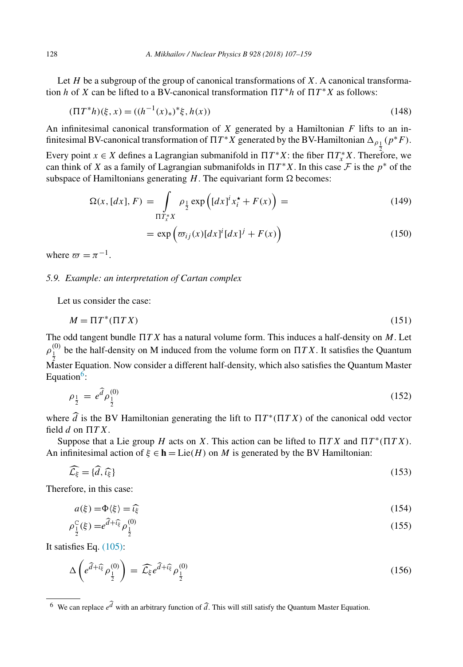Let *H* be a subgroup of the group of canonical transformations of *X*. A canonical transformation *h* of *X* can be lifted to a BV-canonical transformation  $\Pi T^* h$  of  $\Pi T^* X$  as follows:

$$
(\Pi T^*h)(\xi, x) = ((h^{-1}(x)_*)^*\xi, h(x))
$$
\n(148)

An infinitesimal canonical transformation of *X* generated by a Hamiltonian *F* lifts to an infinitesimal BV-canonical transformation of  $\Pi T^*X$  generated by the BV-Hamiltonian  $\Delta_{\rho_{\perp}}(p^*F)$ .

Every point  $x \in X$  defines a Lagrangian submanifold in  $\Pi T^*X$ : the fiber  $\Pi T^*_xX$ . Therefore, we can think of *X* as a family of Lagrangian submanifolds in  $\Pi T^*X$ . In this case  $\mathcal F$  is the  $p^*$  of the subspace of Hamiltonians generating  $H$ . The equivariant form  $\Omega$  becomes:

$$
\Omega(x, [dx], F) = \int_{\Pi T_x^* X} \rho_{\frac{1}{2}} \exp\left( [dx]^i x_i^* + F(x) \right) = \tag{149}
$$

$$
= \exp\left(\varpi_{ij}(x)[dx]^i [dx]^j + F(x)\right) \tag{150}
$$

where  $\pi = \pi^{-1}$ .

## *5.9. Example: an interpretation of Cartan complex*

Let us consider the case:

$$
M = \Pi T^*(\Pi TX) \tag{151}
$$

The odd tangent bundle  *T X* has a natural volume form. This induces a half-density on *M*. Let  $\rho_1^{(0)}$  be the half-density on M induced from the volume form on  $\Pi T X$ . It satisfies the Quantum  $\stackrel{2}{\Lambda}$ aster Equation. Now consider a different half-density, which also satisfies the Quantum Master Equation $6$ :

$$
\rho_{\frac{1}{2}} = e^{\hat{d}} \rho_{\frac{1}{2}}^{(0)} \tag{152}
$$

where  $\hat{d}$  is the BV Hamiltonian generating the lift to  $\Pi T^*(\Pi TX)$  of the canonical odd vector field *d* on  $\Pi T X$ .

Suppose that a Lie group *H* acts on *X*. This action can be lifted to  $\Pi T X$  and  $\Pi T^*(\Pi T X)$ . An infinitesimal action of  $\xi \in \mathbf{h} = \text{Lie}(H)$  on *M* is generated by the BV Hamiltonian:

$$
\widehat{\mathcal{L}_{\xi}} = \{\widehat{d}, \widehat{\iota_{\xi}}\}\tag{153}
$$

Therefore, in this case:

$$
a(\xi) = \Phi(\xi) = \widehat{\iota_{\xi}}
$$
\n
$$
\widehat{\iota_{\xi}} = \widehat{\iota_{\xi}} \widehat{\iota_{\xi}} \tag{154}
$$

$$
\rho_{\frac{1}{2}}^{\text{C}}(\xi) = e^{\hat{d} + \hat{\iota}_{\xi}^{\text{D}}} \rho_{\frac{1}{2}}^{(0)} \tag{155}
$$

It satisfies Eq. [\(105\):](#page-16-0)

$$
\Delta \left( e^{\hat{d} + \hat{\iota}_{\xi}^{c}} \rho_{\frac{1}{2}}^{(0)} \right) = \widehat{\mathcal{L}_{\xi}} e^{\hat{d} + \widehat{\iota}_{\xi}^{c}} \rho_{\frac{1}{2}}^{(0)} \tag{156}
$$

<sup>&</sup>lt;sup>6</sup> We can replace  $e^{i\vec{l}}$  with an arbitrary function of  $\hat{d}$ . This will still satisfy the Quantum Master Equation.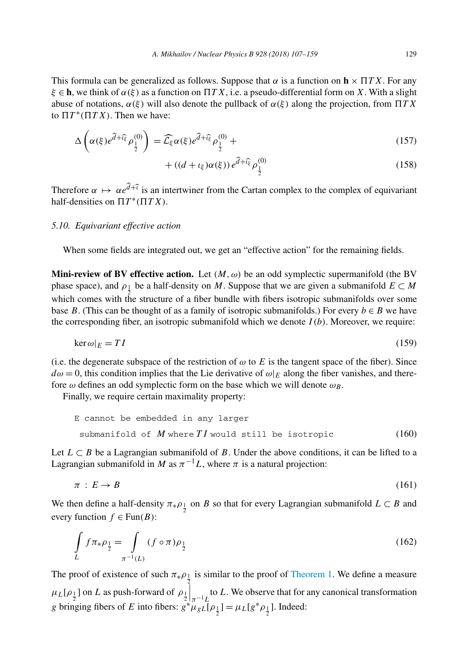<span id="page-22-0"></span>This formula can be generalized as follows. Suppose that  $\alpha$  is a function on  $\mathbf{h} \times \Pi T X$ . For any *ξ* ∈ **h**, we think of *α(ξ)* as a function on  *T X*, i.e. a pseudo-differential form on *X*. With a slight abuse of notations, *α(ξ)* will also denote the pullback of *α(ξ)* along the projection, from  *T X* to  $\Pi T^*(\Pi T X)$ . Then we have:

$$
\Delta\left(\alpha(\xi)e^{\widehat{d}+\widehat{\iota}_{\xi}^{c}}\rho_{\frac{1}{2}}^{(0)}\right)=\widehat{\mathcal{L}}_{\xi}\alpha(\xi)e^{\widehat{d}+\widehat{\iota}_{\xi}^{c}}\rho_{\frac{1}{2}}^{(0)}+\tag{157}
$$

 $+ ((d + \iota_{\xi})\alpha(\xi))e^{\hat{d} + \hat{\iota}_{\xi}^{2}}\rho_{\frac{1}{2}}^{(0)}$ (158)

Therefore  $\alpha \mapsto \alpha e^{d+\hat{\imath}}$  is an intertwiner from the Cartan complex to the complex of equivariant half-densities on  $\Pi T^*(\Pi T X)$ .

## *5.10. Equivariant effective action*

When some fields are integrated out, we get an "effective action" for the remaining fields.

**Mini-review of BV effective action.** Let  $(M, \omega)$  be an odd symplectic supermanifold (the BV phase space), and  $\rho_1$  be a half-density on *M*. Suppose that we are given a submanifold  $E \subset M$ which comes with the structure of a fiber bundle with fibers isotropic submanifolds over some base *B*. (This can be thought of as a family of isotropic submanifolds.) For every  $b \in B$  we have the corresponding fiber, an isotropic submanifold which we denote  $I(b)$ . Moreover, we require:

$$
\ker \omega|_E = TI \tag{159}
$$

(i.e. the degenerate subspace of the restriction of  $\omega$  to *E* is the tangent space of the fiber). Since  $d\omega = 0$ , this condition implies that the Lie derivative of  $\omega|_E$  along the fiber vanishes, and therefore  $\omega$  defines an odd symplectic form on the base which we will denote  $\omega_B$ .

Finally, we require certain maximality property:

```
E cannot be embedded in any larger
submanifold of M where TI would still be isotropic (160)
```
Let  $L \subset B$  be a Lagrangian submanifold of *B*. Under the above conditions, it can be lifted to a Lagrangian submanifold in *M* as  $\pi^{-1}L$ , where  $\pi$  is a natural projection:

$$
\pi \, : \, E \to B \tag{161}
$$

We then define a half-density  $\pi_* \rho_{\frac{1}{2}}$  on *B* so that for every Lagrangian submanifold  $L \subset B$  and every function  $f \in Fun(B)$ :

$$
\int_{L} f \pi_{*} \rho_{\frac{1}{2}} = \int_{\pi^{-1}(L)} (f \circ \pi) \rho_{\frac{1}{2}} \tag{162}
$$

The proof of existence of such  $\pi_{*} \rho_{\frac{1}{2}}$  is similar to the proof of [Theorem 1.](#page-3-0) We define a measure  $\mu_L[\rho_{\frac{1}{2}}]$  on *L* as push-forward of  $\rho_{\frac{1}{2}}$  $\int_{\pi^{-1}L}$  to *L*. We observe that for any canonical transformation *g* bringing fibers of *E* into fibers:  $g^* \mu_g L[\rho_{\frac{1}{2}}] = \mu_L[g^* \rho_{\frac{1}{2}}]$ . Indeed: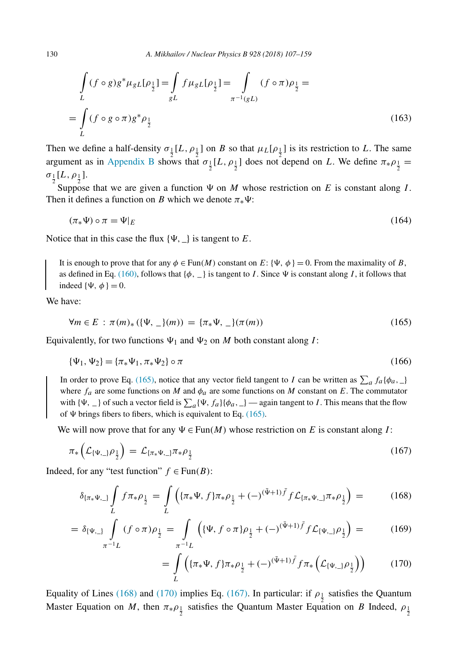<span id="page-23-0"></span>
$$
\int_{L} (f \circ g) g^* \mu_{gL} [\rho_{\frac{1}{2}}] = \int_{gL} f \mu_{gL} [\rho_{\frac{1}{2}}] = \int_{\pi^{-1}(gL)} (f \circ \pi) \rho_{\frac{1}{2}} =
$$
\n
$$
= \int_{L} (f \circ g \circ \pi) g^* \rho_{\frac{1}{2}} \tag{163}
$$

Then we define a half-density  $\sigma_1[L, \rho_1]$  on *B* so that  $\mu_L[\rho_1]$  is its restriction to *L*. The same argument as in [Appendix B](#page-50-0) shows that  $\sigma_{\frac{1}{2}}[L, \rho_{\frac{1}{2}}]$  does not depend on *L*. We define  $\pi_* \rho_{\frac{1}{2}} =$  $\sigma_{\frac{1}{2}}[L,\rho_{\frac{1}{2}}].$ 

Suppose that we are given a function  $\Psi$  on *M* whose restriction on *E* is constant along *I*. Then it defines a function on *B* which we denote  $\pi_* \Psi$ :

$$
(\pi_* \Psi) \circ \pi = \Psi|_E \tag{164}
$$

Notice that in this case the flux  $\{\Psi, \_\}$  is tangent to *E*.

It is enough to prove that for any  $\phi \in \text{Fun}(M)$  constant on  $E: \{\Psi, \phi\} = 0$ . From the maximality of *B*, as defined in Eq. [\(160\),](#page-22-0) follows that  $\{\phi, \phi\}$  is tangent to *I*. Since  $\Psi$  is constant along *I*, it follows that indeed  $\{\Psi, \phi\} = 0$ .

We have:

$$
\forall m \in E : \pi(m)_{*} (\{\Psi, \underline{\ } \}(m)) = \{\pi_{*} \Psi, \underline{\ } \} (\pi(m)) \tag{165}
$$

Equivalently, for two functions  $\Psi_1$  and  $\Psi_2$  on *M* both constant along *I*:

$$
\{\Psi_1, \Psi_2\} = \{\pi_* \Psi_1, \pi_* \Psi_2\} \circ \pi \tag{166}
$$

In order to prove Eq. (165), notice that any vector field tangent to *I* can be written as  $\sum_a f_a {\phi_a}$ ,  $\sum_a f_a$ where  $f_a$  are some functions on *M* and  $\phi_a$  are some functions on *M* constant on *E*. The commutator with  $\{\Psi, \_\}$  of such a vector field is  $\sum_a {\{\Psi, f_a\}} {\phi_a, \_\}$  — again tangent to *I*. This means that the flow of  $\Psi$  brings fibers to fibers, which is equivalent to Eq.  $(165)$ .

We will now prove that for any  $\Psi \in \text{Fun}(M)$  whose restriction on E is constant along I:

$$
\pi_*\left(\mathcal{L}_{\{\Psi,\_}\rho\frac{1}{2}}\right) = \mathcal{L}_{\{\pi_*\Psi,\_}\pi_*\rho\frac{1}{2}} \tag{167}
$$

Indeed, for any "test function"  $f \in Fun(B)$ :

$$
\delta_{\{\pi_*\Psi_{,\_}\}} \int_L f \pi_* \rho_{\frac{1}{2}} = \int_L \left( \{\pi_*\Psi, f\} \pi_* \rho_{\frac{1}{2}} + (-)^{(\bar{\Psi}+1)\bar{f}} f \mathcal{L}_{\{\pi_*\Psi_{,\_}\}} \pi_* \rho_{\frac{1}{2}} \right) = \tag{168}
$$

$$
= \delta_{\{\Psi_{1\}}}\int\limits_{\pi^{-1}L} (f \circ \pi)\rho_{\frac{1}{2}} = \int\limits_{\pi^{-1}L} \left( \{\Psi, f \circ \pi\} \rho_{\frac{1}{2}} + (-)^{(\bar{\Psi}+1)\bar{f}} f \mathcal{L}_{\{\Psi_{1\}}}\rho_{\frac{1}{2}} \right) = \tag{169}
$$

$$
= \int\limits_L \left( {\{ \pi_* \Psi, f \} \pi_* \rho_{\frac{1}{2}} + (-)^{(\bar{\Psi}+1)\bar{f}} f \pi_* \left( \mathcal{L}_{\{\Psi,\_\} \rho_{\frac{1}{2}} \right)} \right) \tag{170}
$$

Equality of Lines (168) and (170) implies Eq. (167). In particular: if  $\rho_1$  satisfies the Quantum Master Equation on *M*, then  $\pi_{*}\rho_{\frac{1}{2}}$  satisfies the Quantum Master Equation on *B* Indeed,  $\rho_{\frac{1}{2}}$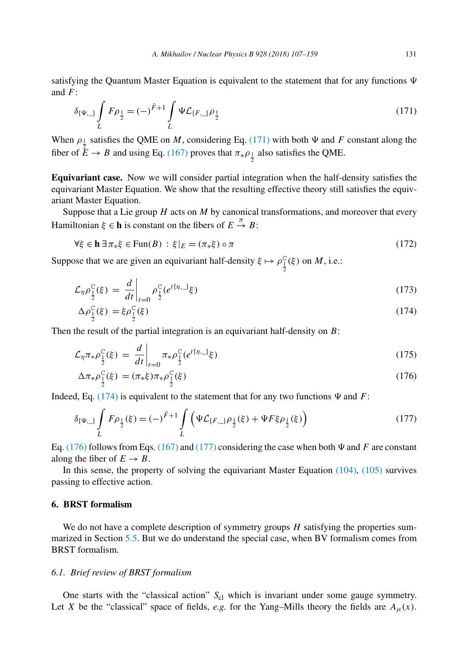<span id="page-24-0"></span>satisfying the Quantum Master Equation is equivalent to the statement that for any functions  $\Psi$ and *F*:

$$
\delta_{\{\Psi_{1\}}}\int_{L} F\rho_{\frac{1}{2}} = (-)^{\bar{F}+1} \int_{L} \Psi \mathcal{L}_{\{F_{1\}}}\rho_{\frac{1}{2}} \tag{171}
$$

When  $\rho_{\perp}$  satisfies the QME on *M*, considering Eq. (171) with both  $\Psi$  and *F* constant along the fiber of  $\mathring{E} \to B$  and using Eq. [\(167\)](#page-23-0) proves that  $\pi_* \rho_{\frac{1}{2}}$  also satisfies the QME.

**Equivariant case.** Now we will consider partial integration when the half-density satisfies the equivariant Master Equation. We show that the resulting effective theory still satisfies the equivariant Master Equation.

Suppose that a Lie group *H* acts on *M* by canonical transformations, and moreover that every Hamiltonian  $\xi \in \mathbf{h}$  is constant on the fibers of  $E \stackrel{\pi}{\to} B$ :

$$
\forall \xi \in \mathbf{h} \,\exists \pi_* \xi \in \text{Fun}(B) : \xi|_E = (\pi_* \xi) \circ \pi \tag{172}
$$

Suppose that we are given an equivariant half-density  $\xi \mapsto \rho_{\frac{1}{2}}^C(\xi)$  on *M*, i.e.:

$$
\mathcal{L}_{\eta} \rho_{\frac{1}{2}}^{\mathcal{C}}(\xi) = \left. \frac{d}{dt} \right|_{t=0} \rho_{\frac{1}{2}}^{\mathcal{C}} (e^{t\{\eta,-\}}\xi) \tag{173}
$$

$$
\Delta \rho_{\frac{1}{2}}^{\mathcal{C}}(\xi) = \xi \rho_{\frac{1}{2}}^{\mathcal{C}}(\xi) \tag{174}
$$

Then the result of the partial integration is an equivariant half-density on *B*:

$$
\mathcal{L}_{\eta}\pi_{*}\rho_{\frac{1}{2}}^{C}(\xi) = \frac{d}{dt}\bigg|_{t=0} \pi_{*}\rho_{\frac{1}{2}}^{C}(e^{t\{\eta,\_\}}\xi)
$$
\n(175)

$$
\Delta \pi_* \rho_{\frac{1}{2}}^{\text{C}}(\xi) = (\pi_* \xi) \pi_* \rho_{\frac{1}{2}}^{\text{C}}(\xi) \tag{176}
$$

Indeed, Eq. (174) is equivalent to the statement that for any two functions  $\Psi$  and  $F$ :

$$
\delta_{\{\Psi_{r}\}} \int_{L} F \rho_{\frac{1}{2}}(\xi) = (-)^{\bar{F}+1} \int_{L} \left( \Psi \mathcal{L}_{\{F_{r}\}} \rho_{\frac{1}{2}}(\xi) + \Psi F \xi \rho_{\frac{1}{2}}(\xi) \right) \tag{177}
$$

Eq. (176) follows from Eqs. [\(167\)](#page-23-0) and (177) considering the case when both  $\Psi$  and  $F$  are constant along the fiber of  $E \to B$ .

In this sense, the property of solving the equivariant Master Equation [\(104\),](#page-16-0) [\(105\)](#page-16-0) survives passing to effective action.

## **6. BRST formalism**

We do not have a complete description of symmetry groups *H* satisfying the properties summarized in Section [5.5.](#page-19-0) But we do understand the special case, when BV formalism comes from BRST formalism.

#### *6.1. Brief review of BRST formalism*

One starts with the "classical action" S<sub>cl</sub> which is invariant under some gauge symmetry. Let *X* be the "classical" space of fields, *e.g.* for the Yang–Mills theory the fields are  $A_\mu(x)$ .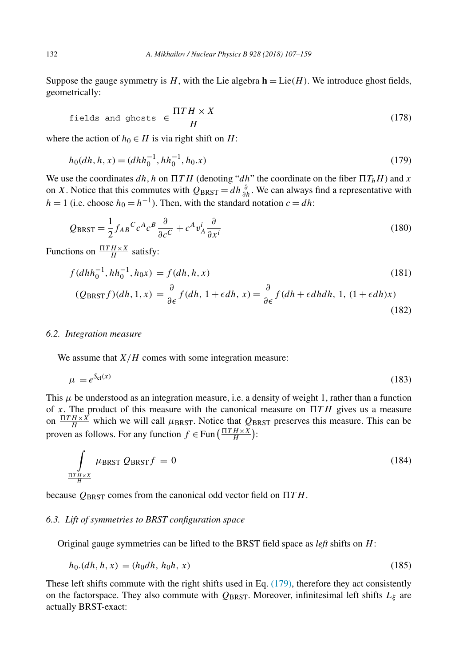<span id="page-25-0"></span>Suppose the gauge symmetry is  $H$ , with the Lie algebra  $\mathbf{h} = \text{Lie}(H)$ . We introduce ghost fields, geometrically:

fields and ghosts 
$$
\in \frac{\Pi TH \times X}{H}
$$
 (178)

where the action of  $h_0 \in H$  is via right shift on *H*:

$$
h_0(dh, h, x) = (dhh_0^{-1}, hh_0^{-1}, h_0.x)
$$
\n(179)

We use the coordinates  $dh$ , h on  $\Pi T H$  (denoting " $dh$ " the coordinate on the fiber  $\Pi T_h H$ ) and x on *X*. Notice that this commutes with  $Q_{BRST} = dh \frac{\partial}{\partial h}$ . We can always find a representative with  $h = 1$  (i.e. choose  $h_0 = h^{-1}$ ). Then, with the standard notation  $c = dh$ :

$$
Q_{BRST} = \frac{1}{2} f_{AB}{}^C c^A c^B \frac{\partial}{\partial c^C} + c^A v_A^i \frac{\partial}{\partial x^i}
$$
(180)

Functions on  $\frac{\Pi T H \times X}{H}$  satisfy:

$$
f(dhh_0^{-1}, hh_0^{-1}, h_0x) = f(dh, h, x)
$$
\n(181)

$$
(Q_{BRST}f)(dh, 1, x) = \frac{\partial}{\partial \epsilon} f(dh, 1 + \epsilon dh, x) = \frac{\partial}{\partial \epsilon} f(dh + \epsilon dhdh, 1, (1 + \epsilon dh)x)
$$
\n(182)

## *6.2. Integration measure*

We assume that  $X/H$  comes with some integration measure:

$$
\mu = e^{S_{\text{cl}}(x)}\tag{183}
$$

This  $\mu$  be understood as an integration measure, i.e. a density of weight 1, rather than a function of x. The product of this measure with the canonical measure on  $\Pi T H$  gives us a measure on  $\frac{\Pi T H \times X}{H}$  which we will call  $\mu_{BRST}$ . Notice that  $Q_{BRST}$  preserves this measure. This can be proven as follows. For any function  $f \in \text{Fun}(\frac{\Pi TH \times X}{H})$ :

$$
\int_{\frac{\Pi T H \times X}{H}} \mu_{\text{BRST}} Q_{\text{BRST}} f = 0 \tag{184}
$$

because *Q*BRST comes from the canonical odd vector field on  *T H*.

## *6.3. Lift of symmetries to BRST configuration space*

Original gauge symmetries can be lifted to the BRST field space as *left* shifts on *H*:

$$
h_0(dh, h, x) = (h_0dh, h_0h, x) \tag{185}
$$

These left shifts commute with the right shifts used in Eq. (179), therefore they act consistently on the factorspace. They also commute with  $Q_{BRST}$ . Moreover, infinitesimal left shifts  $L_{\xi}$  are actually BRST-exact: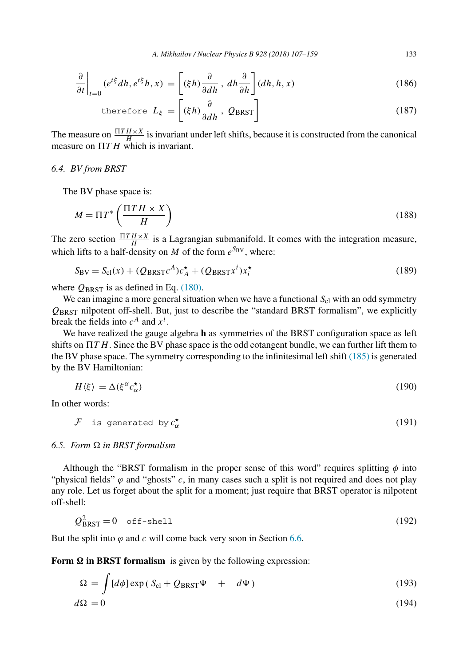*A. Mikhailov / Nuclear Physics B 928 (2018) 107–159* 133

<span id="page-26-0"></span>
$$
\frac{\partial}{\partial t}\bigg|_{t=0} (e^{t\xi} dh, e^{t\xi} h, x) = \left[ (\xi h) \frac{\partial}{\partial dh}, dh \frac{\partial}{\partial h} \right] (dh, h, x) \tag{186}
$$

therefore 
$$
L_{\xi} = \left[ (\xi h) \frac{\partial}{\partial dh}, Q_{BRST} \right]
$$
 (187)

The measure on  $\frac{\Pi T H \times X}{H}$  is invariant under left shifts, because it is constructed from the canonical measure on  *T H* which is invariant.

## *6.4. BV from BRST*

The BV phase space is:

$$
M = \Pi T^* \left( \frac{\Pi T H \times X}{H} \right) \tag{188}
$$

The zero section  $\frac{\Pi T H \times X}{H}$  is a Lagrangian submanifold. It comes with the integration measure, which lifts to a half-density on *M* of the form  $e^{S_{BV}}$ , where:

$$
S_{\rm BV} = S_{\rm cl}(x) + (Q_{\rm BRST}c^A)c_A^{\star} + (Q_{\rm BRST}x^i)x_i^{\star}
$$
\n(189)

where  $Q_{BRST}$  is as defined in Eq. [\(180\).](#page-25-0)

We can imagine a more general situation when we have a functional  $S<sub>cl</sub>$  with an odd symmetry *Q*BRST nilpotent off-shell. But, just to describe the "standard BRST formalism", we explicitly break the fields into  $c^A$  and  $x^i$ .

We have realized the gauge algebra **h** as symmetries of the BRST configuration space as left shifts on  *T H*. Since the BV phase space is the odd cotangent bundle, we can further lift them to the BV phase space. The symmetry corresponding to the infinitesimal left shift [\(185\)](#page-25-0) is generated by the BV Hamiltonian:

$$
H\langle \xi \rangle = \Delta(\xi^{\alpha} c_{\alpha}^{\star}) \tag{190}
$$

In other words:

$$
\mathcal{F} \text{ is generated by } c_{\alpha}^{\star} \tag{191}
$$

## *6.5. Form in BRST formalism*

Although the "BRST formalism in the proper sense of this word" requires splitting  $\phi$  into "physical fields"  $\varphi$  and "ghosts"  $c$ , in many cases such a split is not required and does not play any role. Let us forget about the split for a moment; just require that BRST operator is nilpotent off-shell:

$$
Q_{BRST}^2 = 0 \quad \text{off-shell} \tag{192}
$$

But the split into  $\varphi$  and  $c$  will come back very soon in Section [6.6.](#page-28-0)

Form  $\Omega$  in BRST formalism is given by the following expression:

$$
\Omega = \int [d\phi] \exp(S_{\rm cl} + Q_{\rm BRST}\Psi + d\Psi)
$$
\n(193)  
\n
$$
d\Omega = 0
$$
\n(194)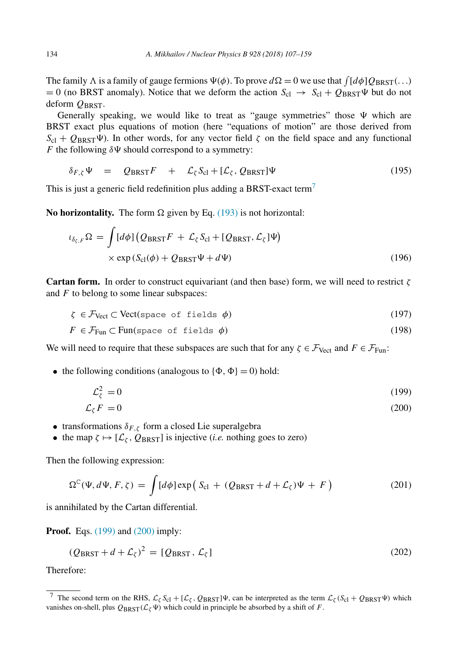<span id="page-27-0"></span>The family  $\Lambda$  is a family of gauge fermions  $\Psi(\phi)$ . To prove  $d\Omega = 0$  we use that  $\int [d\phi] Q_{BRST}(\ldots)$  $= 0$  (no BRST anomaly). Notice that we deform the action  $S_{cl} \rightarrow S_{cl} + Q_{BRST} \Psi$  but do not deform  $Q_{BRST}$ .

Generally speaking, we would like to treat as "gauge symmetries" those  $\Psi$  which are BRST exact plus equations of motion (here "equations of motion" are those derived from  $S_{\rm cl} + Q_{\rm BRST}\Psi$ ). In other words, for any vector field *ζ* on the field space and any functional *F* the following  $\delta \Psi$  should correspond to a symmetry:

$$
\delta_{F,\zeta}\Psi = Q_{\text{BRST}}F + \mathcal{L}_{\zeta}S_{\text{cl}} + [\mathcal{L}_{\zeta}, Q_{\text{BRST}}]\Psi \qquad (195)
$$

This is just a generic field redefinition plus adding a BRST-exact term<sup>7</sup>

**No horizontality.** The form  $\Omega$  given by Eq. [\(193\)](#page-26-0) is not horizontal:

$$
\iota_{\delta_{\zeta,F}}\Omega = \int [d\phi] \left( Q_{\text{BRST}}F + \mathcal{L}_{\zeta} S_{\text{cl}} + [Q_{\text{BRST}}, \mathcal{L}_{\zeta}] \Psi \right) \times \exp \left( S_{\text{cl}}(\phi) + Q_{\text{BRST}} \Psi + d\Psi \right)
$$
(196)

**Cartan form.** In order to construct equivariant (and then base) form, we will need to restrict *ζ* and *F* to belong to some linear subspaces:

$$
\zeta \in \mathcal{F}_{\text{Vect}} \subset \text{Vect}(\text{space of fields } \phi) \tag{197}
$$

$$
F \in \mathcal{F}_{\text{Fun}} \subset \text{Fun}(\text{space of fields } \phi) \tag{198}
$$

We will need to require that these subspaces are such that for any  $\zeta \in \mathcal{F}_{\text{Vect}}$  and  $F \in \mathcal{F}_{\text{Fun}}$ :

• the following conditions (analogous to  $\{\Phi, \Phi\} = 0$ ) hold:

$$
\mathcal{L}_{\zeta}^{2} = 0 \tag{199}
$$

$$
\mathcal{L}_{\zeta}F=0\tag{200}
$$

- transformations  $\delta_{F,\zeta}$  form a closed Lie superalgebra
- the map  $\zeta \mapsto [\mathcal{L}_{\zeta}, Q_{BRST}]$  is injective (*i.e.* nothing goes to zero)

Then the following expression:

$$
\Omega^{C}(\Psi, d\Psi, F, \zeta) = \int [d\phi] \exp\left(S_{\text{cl}} + (Q_{\text{BRST}} + d + \mathcal{L}_{\zeta})\Psi + F\right)
$$
(201)

is annihilated by the Cartan differential.

**Proof.** Eqs. (199) and (200) imply:

$$
(Q_{BRST} + d + \mathcal{L}_{\zeta})^2 = [Q_{BRST}, \mathcal{L}_{\zeta}]
$$
\n(202)

Therefore:

<sup>&</sup>lt;sup>7</sup> The second term on the RHS,  $\mathcal{L}_{\zeta} S_{\text{cl}} + [\mathcal{L}_{\zeta}, Q_{\text{BRST}}]\Psi$ , can be interpreted as the term  $\mathcal{L}_{\zeta} (S_{\text{cl}} + Q_{\text{BRST}} \Psi)$  which vanishes on-shell, plus  $Q_{BRST}(\mathcal{L}_\zeta \Psi)$  which could in principle be absorbed by a shift of *F*.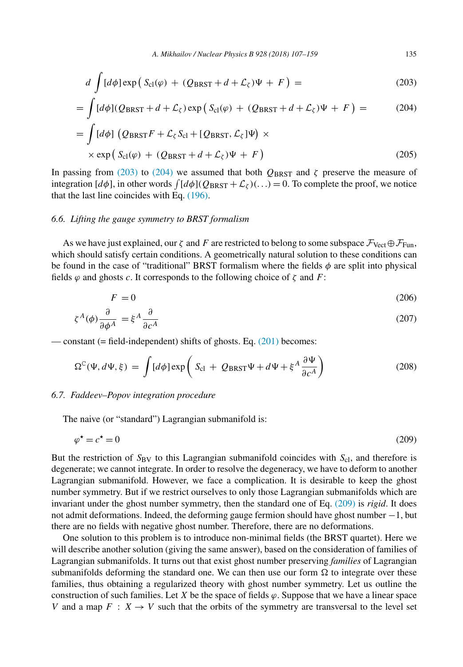<span id="page-28-0"></span>
$$
d\int [d\phi] \exp\left(S_{\text{cl}}(\varphi) + (Q_{\text{BRST}} + d + \mathcal{L}_{\zeta})\Psi + F\right) = \tag{203}
$$

$$
= \int [d\phi] (Q_{BRST} + d + \mathcal{L}_{\zeta}) \exp \left( S_{\text{cl}}(\varphi) + (Q_{BRST} + d + \mathcal{L}_{\zeta}) \Psi + F \right) = \tag{204}
$$

$$
= \int [d\phi] \left( Q_{BRST} F + \mathcal{L}_{\zeta} S_{\text{cl}} + [Q_{BRST}, \mathcal{L}_{\zeta}] \Psi \right) \times
$$
  
 
$$
\times \exp \left( S_{\text{cl}}(\varphi) + (Q_{BRST} + d + \mathcal{L}_{\zeta}) \Psi + F \right)
$$
(205)

In passing from (203) to (204) we assumed that both  $Q_{BRST}$  and *ζ* preserve the measure of integration  $[d\phi]$ , in other words  $\int [d\phi] (Q_{\text{BRST}} + \mathcal{L}_{\zeta}) (\dots) = 0$ . To complete the proof, we notice that the last line coincides with Eq. [\(196\).](#page-27-0)

## *6.6. Lifting the gauge symmetry to BRST formalism*

As we have just explained, our  $\zeta$  and F are restricted to belong to some subspace  $\mathcal{F}_{\text{Vect}} \oplus \mathcal{F}_{\text{Fun}}$ , which should satisfy certain conditions. A geometrically natural solution to these conditions can be found in the case of "traditional" BRST formalism where the fields *φ* are split into physical fields  $\varphi$  and ghosts *c*. It corresponds to the following choice of  $\zeta$  and  $F$ :

$$
F = 0 \tag{206}
$$

$$
\zeta^A(\phi)\frac{\partial}{\partial \phi^A} = \xi^A \frac{\partial}{\partial c^A} \tag{207}
$$

— constant (= field-independent) shifts of ghosts. Eq.  $(201)$  becomes:

$$
\Omega^{\text{C}}(\Psi, d\Psi, \xi) = \int [d\phi] \exp\left( S_{\text{cl}} + Q_{\text{BRST}} \Psi + d\Psi + \xi^{A} \frac{\partial \Psi}{\partial c^{A}} \right)
$$
(208)

## *6.7. Faddeev–Popov integration procedure*

The naive (or "standard") Lagrangian submanifold is:

$$
\varphi^* = c^* = 0 \tag{209}
$$

But the restriction of  $S_{\text{BV}}$  to this Lagrangian submanifold coincides with  $S_{\text{cl}}$ , and therefore is degenerate; we cannot integrate. In order to resolve the degeneracy, we have to deform to another Lagrangian submanifold. However, we face a complication. It is desirable to keep the ghost number symmetry. But if we restrict ourselves to only those Lagrangian submanifolds which are invariant under the ghost number symmetry, then the standard one of Eq. (209) is *rigid*. It does not admit deformations. Indeed, the deforming gauge fermion should have ghost number −1, but there are no fields with negative ghost number. Therefore, there are no deformations.

One solution to this problem is to introduce non-minimal fields (the BRST quartet). Here we will describe another solution (giving the same answer), based on the consideration of families of Lagrangian submanifolds. It turns out that exist ghost number preserving *families* of Lagrangian submanifolds deforming the standard one. We can then use our form  $\Omega$  to integrate over these families, thus obtaining a regularized theory with ghost number symmetry. Let us outline the construction of such families. Let *X* be the space of fields  $\varphi$ . Suppose that we have a linear space *V* and a map  $F: X \to V$  such that the orbits of the symmetry are transversal to the level set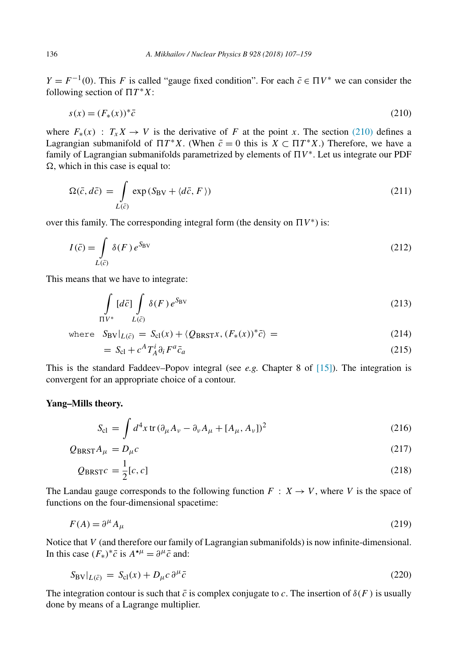*Y* =  $F^{-1}(0)$ . This *F* is called "gauge fixed condition". For each  $\bar{c} \in \Pi V^*$  we can consider the following section of  $\Pi T^*X$ :

$$
s(x) = (F_*(x))^* \bar{c}
$$
\n<sup>(210)</sup>

where  $F_*(x)$  :  $T_x X \to V$  is the derivative of *F* at the point *x*. The section (210) defines a Lagrangian submanifold of  $\Pi T^*X$ . (When  $\bar{c}=0$  this is  $X \subset \Pi T^*X$ .) Therefore, we have a family of Lagrangian submanifolds parametrized by elements of  $\Pi V^*$ . Let us integrate our PDF  $\Omega$ , which in this case is equal to:

$$
\Omega(\bar{c}, d\bar{c}) = \int_{L(\bar{c})} \exp(S_{\rm BV} + \langle d\bar{c}, F \rangle)
$$
\n(211)

over this family. The corresponding integral form (the density on  $\Pi V^*$ ) is:

$$
I(\bar{c}) = \int\limits_{L(\bar{c})} \delta(F) e^{S_{\rm BV}}
$$
\n(212)

This means that we have to integrate:

$$
\int_{\Pi V^*} [d\bar{c}] \int_{L(\bar{c})} \delta(F) e^{S_{\text{BV}}} \tag{213}
$$

where 
$$
S_{BV}|_{L(\bar{c})} = S_{cl}(x) + \langle Q_{BRST}x, (F_*(x))^* \bar{c} \rangle =
$$
 (214)

$$
= S_{\rm cl} + c^A T_A^i \partial_i F^a \bar{c}_a \tag{215}
$$

This is the standard Faddeev–Popov integral (see *e.g.* Chapter 8 of  $[15]$ ). The integration is convergent for an appropriate choice of a contour.

## **Yang–Mills theory.**

$$
S_{\rm cl} = \int d^4 x \, \text{tr} \, (\partial_\mu A_\nu - \partial_\nu A_\mu + [A_\mu, A_\nu])^2 \tag{216}
$$

$$
Q_{BRST}A_{\mu} = D_{\mu}c \tag{217}
$$

$$
Q_{BRST}c = \frac{1}{2}[c, c] \tag{218}
$$

The Landau gauge corresponds to the following function  $F : X \to V$ , where V is the space of functions on the four-dimensional spacetime:

$$
F(A) = \partial^{\mu} A_{\mu} \tag{219}
$$

Notice that *V* (and therefore our family of Lagrangian submanifolds) is now infinite-dimensional. In this case  $(F_*)^* \bar{c}$  is  $A^{*\mu} = \partial^\mu \bar{c}$  and:

$$
S_{\rm BV}|_{L(\bar{c})} = S_{\rm cl}(x) + D_{\mu}c \,\partial^{\mu}\bar{c}
$$
\n(220)

The integration contour is such that  $\bar{c}$  is complex conjugate to *c*. The insertion of  $\delta(F)$  is usually done by means of a Lagrange multiplier.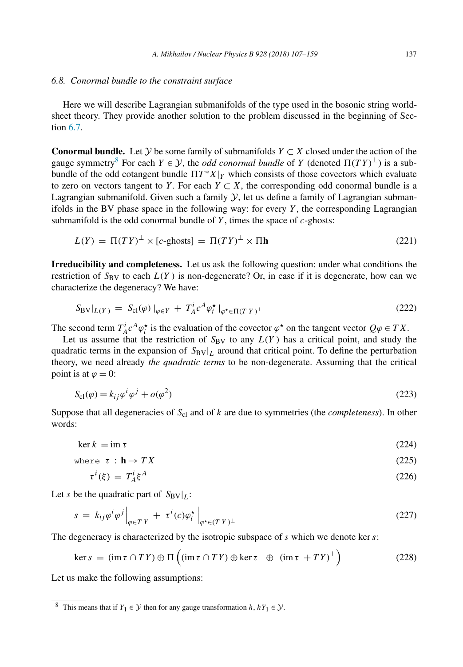#### *6.8. Conormal bundle to the constraint surface*

Here we will describe Lagrangian submanifolds of the type used in the bosonic string worldsheet theory. They provide another solution to the problem discussed in the beginning of Section [6.7.](#page-28-0)

**Conormal bundle.** Let Y be some family of submanifolds  $Y \subset X$  closed under the action of the gauge symmetry<sup>8</sup> For each  $Y \in \mathcal{Y}$ , the *odd conormal bundle* of *Y* (denoted  $\Pi(TY)^{\perp}$ ) is a subbundle of the odd cotangent bundle  $\Pi T^*X|_Y$  which consists of those covectors which evaluate to zero on vectors tangent to *Y*. For each  $Y \subset X$ , the corresponding odd conormal bundle is a Lagrangian submanifold. Given such a family  $\mathcal{Y}$ , let us define a family of Lagrangian submanifolds in the BV phase space in the following way: for every *Y* , the corresponding Lagrangian submanifold is the odd conormal bundle of *Y* , times the space of *c*-ghosts:

$$
L(Y) = \Pi(TY)^{\perp} \times [c\text{-ghosts}] = \Pi(TY)^{\perp} \times \Pi \mathbf{h}
$$
\n(221)

**Irreducibility and completeness.** Let us ask the following question: under what conditions the restriction of  $S_{\rm BV}$  to each  $L(Y)$  is non-degenerate? Or, in case if it is degenerate, how can we characterize the degeneracy? We have:

$$
S_{\rm BV}|_{L(Y)} = S_{\rm cl}(\varphi) \, |_{\varphi \in Y} + T_A^i c^A \varphi_i^* \, |_{\varphi^* \in \Pi(TY)^{\perp}} \tag{222}
$$

The second term  $T_A^i c^A \varphi_i^*$  is the evaluation of the covector  $\varphi^*$  on the tangent vector  $Q\varphi \in TX$ .

Let us assume that the restriction of  $S_{\rm BV}$  to any  $L(Y)$  has a critical point, and study the quadratic terms in the expansion of  $S_{BV}|_L$  around that critical point. To define the perturbation theory, we need already *the quadratic terms* to be non-degenerate. Assuming that the critical point is at  $\varphi = 0$ :

$$
S_{\rm cl}(\varphi) = k_{ij}\varphi^i \varphi^j + o(\varphi^2) \tag{223}
$$

Suppose that all degeneracies of *S*cl and of *k* are due to symmetries (the *completeness*). In other words:

$$
\ker k = \operatorname{im} \tau \tag{224}
$$

where 
$$
\tau : \mathbf{h} \to TX
$$
 (225)

$$
\tau^i(\xi) = T_A^i \xi^A \tag{226}
$$

Let *s* be the quadratic part of  $S_{BV}|_L$ :

$$
s = k_{ij}\varphi^{i}\varphi^{j}\Big|_{\varphi \in T\,Y} + \tau^{i}(c)\varphi_{i}^{\star}\Big|_{\varphi^{\star} \in (T\,Y)^{\perp}}
$$
\n
$$
(227)
$$

The degeneracy is characterized by the isotropic subspace of *s* which we denote ker *s*:

$$
\ker s = (\operatorname{im} \tau \cap T\,) \oplus \Pi \left( (\operatorname{im} \tau \cap T\,) \oplus \ker \tau \oplus (\operatorname{im} \tau + T\, Y)^{\perp} \right) \tag{228}
$$

Let us make the following assumptions:

<sup>&</sup>lt;sup>8</sup> This means that if *Y*<sub>1</sub> ∈  $\mathcal{Y}$  then for any gauge transformation *h*,  $hY_1 \in \mathcal{Y}$ .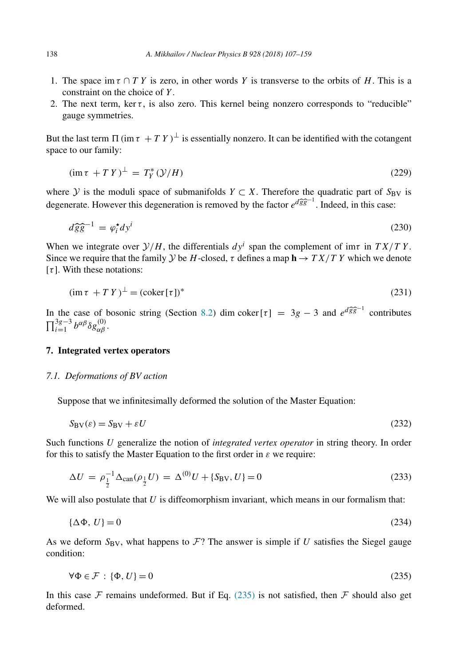- <span id="page-31-0"></span>1. The space im  $\tau \cap TY$  is zero, in other words Y is transverse to the orbits of H. This is a constraint on the choice of *Y* .
- 2. The next term, ker  $\tau$ , is also zero. This kernel being nonzero corresponds to "reducible" gauge symmetries.

But the last term  $\Pi$  (im  $\tau + T Y)^{\perp}$  is essentially nonzero. It can be identified with the cotangent space to our family:

$$
(\operatorname{im} \tau + T Y)^{\perp} = T_Y^* (\mathcal{Y}/H) \tag{229}
$$

where *Y* is the moduli space of submanifolds  $Y \subset X$ . Therefore the quadratic part of  $S_{\text{BV}}$  is degenerate. However this degeneration is removed by the factor  $e^{d\hat{g}\hat{g}^{-1}}$ . Indeed, in this case:

$$
d\widehat{g}\widehat{g}^{-1} = \varphi_i^* dy^i \tag{230}
$$

When we integrate over  $\mathcal{Y}/H$ , the differentials  $dy^i$  span the complement of im*t* in  $TX/TY$ . Since we require that the family *Y* be *H*-closed, *τ* defines a map  $\mathbf{h} \to TX/TY$  which we denote [*τ* ]. With these notations:

$$
(\operatorname{im} \tau + T Y)^{\perp} = (\operatorname{coker} [\tau])^* \tag{231}
$$

In the case of bosonic string (Section [8.2\)](#page-34-0) dim coker[ $\tau$ ] = 3*g* − 3 and  $e^{d\hat{g}\hat{g}^{-1}}$  contributes  $\prod_{i=1}^{3g-3} b^{\alpha\beta} \delta g_{\alpha\beta}^{(0)}$ .

## **7. Integrated vertex operators**

### *7.1. Deformations of BV action*

Suppose that we infinitesimally deformed the solution of the Master Equation:

$$
S_{\rm BV}(\varepsilon) = S_{\rm BV} + \varepsilon U \tag{232}
$$

Such functions *U* generalize the notion of *integrated vertex operator* in string theory. In order for this to satisfy the Master Equation to the first order in *ε* we require:

$$
\Delta U = \rho_{\frac{1}{2}}^{-1} \Delta_{\text{can}}(\rho_{\frac{1}{2}} U) = \Delta^{(0)} U + \{S_{\text{BV}}, U\} = 0
$$
\n(233)

We will also postulate that *U* is diffeomorphism invariant, which means in our formalism that:

$$
\{\Delta \Phi, \, U\} = 0\tag{234}
$$

As we deform  $S_{\rm BV}$ , what happens to  $\mathcal{F}$ ? The answer is simple if *U* satisfies the Siegel gauge condition:

$$
\forall \Phi \in \mathcal{F} : \{\Phi, U\} = 0 \tag{235}
$$

In this case  $\mathcal F$  remains undeformed. But if Eq. (235) is not satisfied, then  $\mathcal F$  should also get deformed.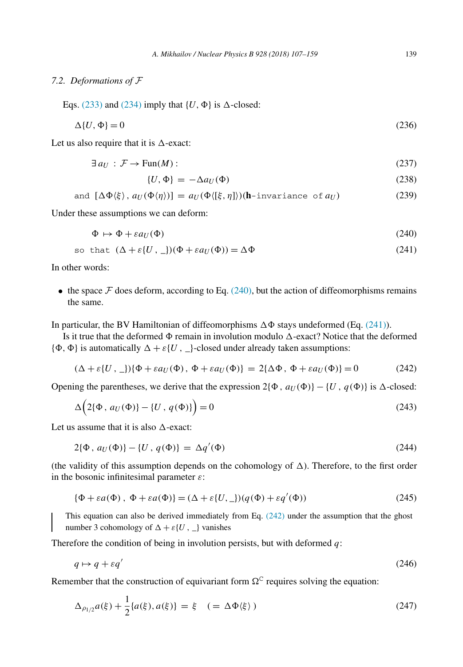## *7.2. Deformations of* F

Eqs. [\(233\)](#page-31-0) and [\(234\)](#page-31-0) imply that  $\{U, \Phi\}$  is  $\Delta$ -closed:

$$
\Delta\{U,\Phi\} = 0\tag{236}
$$

Let us also require that it is  $\Delta$ -exact:

$$
\exists a_U : \mathcal{F} \to \text{Fun}(M): \tag{237}
$$

$$
\{U, \Phi\} = -\Delta a_U(\Phi) \tag{238}
$$

and 
$$
[\Delta \Phi \langle \xi \rangle, a_U(\Phi \langle \eta \rangle)] = a_U(\Phi \langle [\xi, \eta] \rangle)(\mathbf{h}\text{-invariance of } a_U)
$$
 (239)

Under these assumptions we can deform:

$$
\Phi \mapsto \Phi + \varepsilon a_U(\Phi) \tag{240}
$$

so that 
$$
(\Delta + \varepsilon \{U, \underline{\ }})(\Phi + \varepsilon a_U(\Phi)) = \Delta \Phi
$$
 (241)

In other words:

• the space  $\mathcal F$  does deform, according to Eq. (240), but the action of diffeomorphisms remains the same.

In particular, the BV Hamiltonian of diffeomorphisms  $\Delta \Phi$  stays undeformed (Eq. (241)).

Is it true that the deformed  $\Phi$  remain in involution modulo  $\Delta$ -exact? Notice that the deformed  $\{\Phi, \Phi\}$  is automatically  $\Delta + \varepsilon$  $\{U, \cdot\}$ -closed under already taken assumptions:

$$
(\Delta + \varepsilon \{U, \underline{\hspace{0.3cm}}\}) \{\Phi + \varepsilon a_U(\Phi), \Phi + \varepsilon a_U(\Phi)\} = 2\{\Delta \Phi, \Phi + \varepsilon a_U(\Phi)\} = 0 \tag{242}
$$

Opening the parentheses, we derive that the expression  $2{\phi}$ ,  $a_U(\Phi)$  – {*U*,  $q(\Phi)$ } is  $\Delta$ -closed:

$$
\Delta\left(2\{\Phi, a_U(\Phi)\} - \{U, q(\Phi)\}\right) = 0\tag{243}
$$

Let us assume that it is also  $\Delta$ -exact:

$$
2\{\Phi, a_U(\Phi)\} - \{U, q(\Phi)\} = \Delta q'(\Phi)
$$
\n(244)

(the validity of this assumption depends on the cohomology of  $\Delta$ ). Therefore, to the first order in the bosonic infinitesimal parameter *ε*:

$$
\{\Phi + \varepsilon a(\Phi), \ \Phi + \varepsilon a(\Phi)\} = (\Delta + \varepsilon \{U, \underline{\ })(q(\Phi) + \varepsilon q'(\Phi))
$$
\n(245)

This equation can also be derived immediately from Eq. (242) under the assumption that the ghost number 3 cohomology of  $\Delta + \varepsilon$ {*U*, \_} vanishes

Therefore the condition of being in involution persists, but with deformed *q*:

$$
q \mapsto q + \varepsilon q' \tag{246}
$$

Remember that the construction of equivariant form  $\Omega^C$  requires solving the equation:

$$
\Delta_{\rho_{1/2}} a(\xi) + \frac{1}{2} \{a(\xi), a(\xi)\} = \xi \quad (=\Delta \Phi \langle \xi \rangle)
$$
\n(247)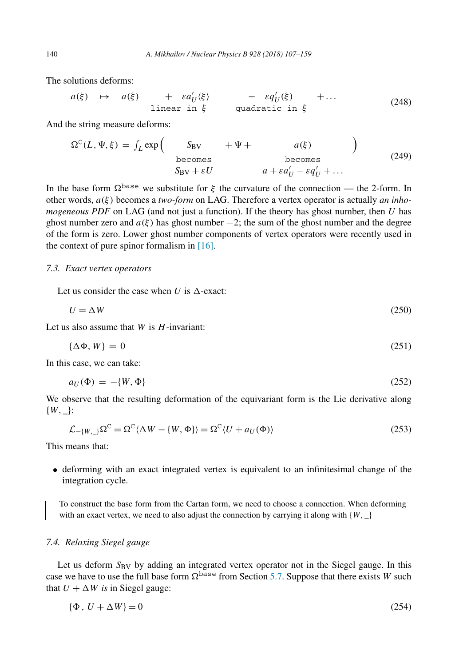The solutions deforms:

$$
a(\xi) \mapsto a(\xi) + \varepsilon a_U'(\xi) - \varepsilon q_U'(\xi) + \dots
$$
  
linear in  $\xi$  quadratic in  $\xi$  (248)

And the string measure deforms:

$$
\Omega^{C}(L, \Psi, \xi) = \int_{L} \exp\left(-\frac{S_{BV}}{S_{BV}} + \Psi + a(\xi) - \theta \right)
$$
\nbecomes\n
$$
S_{BV} + \varepsilon U \qquad a + \varepsilon a_U' - \varepsilon q_U' + \dots
$$
\n(249)

In the base form  $\Omega^{\text{base}}$  we substitute for  $\xi$  the curvature of the connection — the 2-form. In other words, *a(ξ)* becomes a *two-form* on LAG. Therefore a vertex operator is actually *an inhomogeneous PDF* on LAG (and not just a function). If the theory has ghost number, then *U* has ghost number zero and  $a(\xi)$  has ghost number  $-2$ ; the sum of the ghost number and the degree of the form is zero. Lower ghost number components of vertex operators were recently used in the context of pure spinor formalism in [\[16\].](#page-52-0)

## *7.3. Exact vertex operators*

Let us consider the case when  $U$  is  $\Lambda$ -exact:

$$
U = \Delta W \tag{250}
$$

Let us also assume that *W* is *H*-invariant:

$$
\{\Delta \Phi, W\} = 0 \tag{251}
$$

In this case, we can take:

$$
a_U(\Phi) = -\{W, \Phi\} \tag{252}
$$

We observe that the resulting deformation of the equivariant form is the Lie derivative along  ${W, \_\}$ :

$$
\mathcal{L}_{-(W,-)}\Omega^{\mathcal{C}} = \Omega^{\mathcal{C}}\langle \Delta W - \{W,\Phi\}\rangle = \Omega^{\mathcal{C}}\langle U + a_{U}(\Phi)\rangle
$$
\n(253)

This means that:

• deforming with an exact integrated vertex is equivalent to an infinitesimal change of the integration cycle.

To construct the base form from the Cartan form, we need to choose a connection. When deforming with an exact vertex, we need to also adjust the connection by carrying it along with  ${W, \_\}$ 

## *7.4. Relaxing Siegel gauge*

Let us deform  $S_{\rm BV}$  by adding an integrated vertex operator not in the Siegel gauge. In this case we have to use the full base form  $\Omega^{\text{base}}$  from Section [5.7.](#page-20-0) Suppose that there exists *W* such that  $U + \Delta W$  *is* in Siegel gauge:

$$
\{\Phi, U + \Delta W\} = 0\tag{254}
$$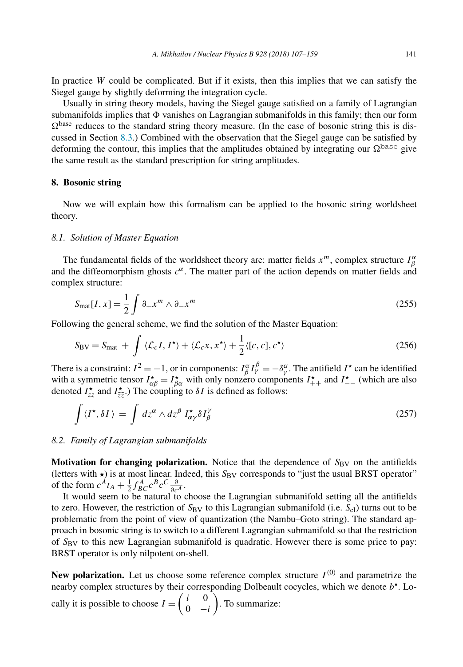<span id="page-34-0"></span>In practice *W* could be complicated. But if it exists, then this implies that we can satisfy the Siegel gauge by slightly deforming the integration cycle.

Usually in string theory models, having the Siegel gauge satisfied on a family of Lagrangian submanifolds implies that  $\Phi$  vanishes on Lagrangian submanifolds in this family; then our form  $\Omega^{\text{base}}$  reduces to the standard string theory measure. (In the case of bosonic string this is discussed in Section [8.3.](#page-35-0)) Combined with the observation that the Siegel gauge can be satisfied by deforming the contour, this implies that the amplitudes obtained by integrating our  $\Omega^{\text{base}}$  give the same result as the standard prescription for string amplitudes.

#### **8. Bosonic string**

Now we will explain how this formalism can be applied to the bosonic string worldsheet theory.

### *8.1. Solution of Master Equation*

The fundamental fields of the worldsheet theory are: matter fields  $x^m$ , complex structure  $I^{\alpha}_{\beta}$ and the diffeomorphism ghosts  $c^{\alpha}$ . The matter part of the action depends on matter fields and complex structure:

$$
S_{\text{mat}}[I, x] = \frac{1}{2} \int \partial_{+} x^{m} \wedge \partial_{-} x^{m}
$$
 (255)

Following the general scheme, we find the solution of the Master Equation:

$$
S_{\rm BV} = S_{\rm mat} + \int \langle \mathcal{L}_c I, I^{\star} \rangle + \langle \mathcal{L}_c x, x^{\star} \rangle + \frac{1}{2} \langle [c, c], c^{\star} \rangle \tag{256}
$$

There is a constraint:  $I^2 = -1$ , or in components:  $I^{\alpha}_{\beta} I^{\beta}_{\gamma} = -\delta^{\alpha}_{\gamma}$ . The antifield  $I^{\star}$  can be identified with a symmetric tensor  $I_{\alpha\beta}^* = I_{\beta\alpha}^*$  with only nonzero components  $I_{++}^*$  and  $I_{--}^*$  (which are also denoted  $I_{zz}^{\star}$  and  $I_{\overline{z}z}^{\star}$ .) The coupling to  $\delta I$  is defined as follows:

$$
\int \langle I^{\star}, \delta I \rangle = \int dz^{\alpha} \wedge dz^{\beta} I^{\star}_{\alpha\gamma} \delta I^{\gamma}_{\beta} \tag{257}
$$

#### *8.2. Family of Lagrangian submanifolds*

**Motivation for changing polarization.** Notice that the dependence of  $S_{\rm BV}$  on the antifields (letters with  $\star$ ) is at most linear. Indeed, this  $S_{BV}$  corresponds to "just the usual BRST operator" of the form  $c^A t_A + \frac{1}{2} f^A_{BC} c^B c^C \frac{\partial}{\partial c^A}$ .

It would seem to be natural to choose the Lagrangian submanifold setting all the antifields to zero. However, the restriction of  $S_{\rm BV}$  to this Lagrangian submanifold (i.e.  $S_{\rm cl}$ ) turns out to be problematic from the point of view of quantization (the Nambu–Goto string). The standard approach in bosonic string is to switch to a different Lagrangian submanifold so that the restriction of *S*BV to this new Lagrangian submanifold is quadratic. However there is some price to pay: BRST operator is only nilpotent on-shell.

**New polarization.** Let us choose some reference complex structure  $I^{(0)}$  and parametrize the nearby complex structures by their corresponding Dolbeault cocycles, which we denote *b*. Locally it is possible to choose  $I = \begin{pmatrix} i & 0 \\ 0 & 0 \end{pmatrix}$ 0 −*i* . To summarize: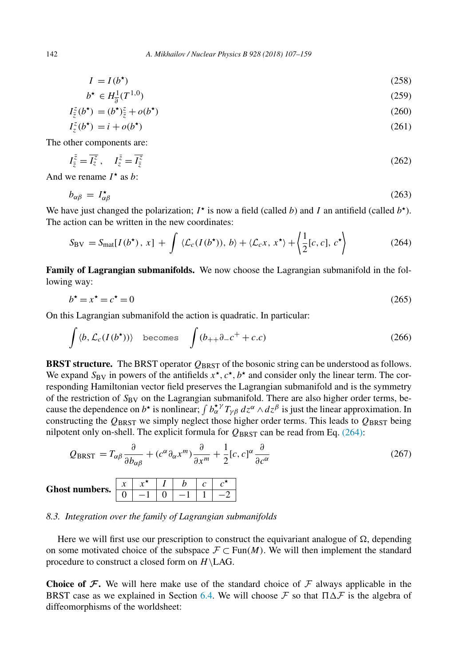<span id="page-35-0"></span>
$$
I = I(b^*)\tag{258}
$$

$$
b^* \in H_{\overline{\partial}}^1(T^{1,0}) \tag{259}
$$

$$
I_{\bar{z}}^{z}(b^{\star}) = (b^{\star})_{\bar{z}}^{z} + o(b^{\star})
$$
\n(260)

$$
I_z^z(b^*) = i + o(b^*)
$$
\n<sup>(261)</sup>

The other components are:

$$
I_{\bar{z}}^{\bar{z}} = \overline{I_z^z}, \quad I_z^{\bar{z}} = \overline{I_{\bar{z}}^z}
$$
\n
$$
(262)
$$

And we rename  $I^*$  as *b*:

$$
b_{\alpha\beta} = I_{\alpha\beta}^{\star} \tag{263}
$$

We have just changed the polarization;  $I^*$  is now a field (called *b*) and *I* an antifield (called  $b^*$ ). The action can be written in the new coordinates:

$$
S_{\rm BV} = S_{\rm mat}[I(b^{\star}), x] + \int \langle \mathcal{L}_c(I(b^{\star})), b \rangle + \langle \mathcal{L}_c x, x^{\star} \rangle + \left\langle \frac{1}{2}[c, c], c^{\star} \right\rangle \tag{264}
$$

**Family of Lagrangian submanifolds.** We now choose the Lagrangian submanifold in the following way:

$$
b^* = x^* = c^* = 0 \tag{265}
$$

On this Lagrangian submanifold the action is quadratic. In particular:

$$
\int \langle b, \mathcal{L}_c(I(b^{\star})) \rangle \quad \text{becomes} \quad \int (b_{++}\partial_-c^+ + c.c) \tag{266}
$$

**BRST structure.** The BRST operator *Q*BRST of the bosonic string can be understood as follows. We expand  $S_{BV}$  in powers of the antifields  $x^*$ ,  $c^*$ ,  $b^*$  and consider only the linear term. The corresponding Hamiltonian vector field preserves the Lagrangian submanifold and is the symmetry of the restriction of  $S_{\rm BV}$  on the Lagrangian submanifold. There are also higher order terms, because the dependence on  $b^*$  is nonlinear;  $\int b^*_{\alpha} T_{\gamma\beta} dz^{\alpha} \wedge dz^{\beta}$  is just the linear approximation. In constructing the  $Q_{BRST}$  we simply neglect those higher order terms. This leads to  $Q_{BRST}$  being nilpotent only on-shell. The explicit formula for  $Q_{BRST}$  can be read from Eq. (264):

$$
Q_{BRST} = T_{\alpha\beta} \frac{\partial}{\partial b_{\alpha\beta}} + (c^{\alpha} \partial_{\alpha} x^{m}) \frac{\partial}{\partial x^{m}} + \frac{1}{2} [c, c]^{\alpha} \frac{\partial}{\partial c^{\alpha}}
$$
(267)

#### **Ghost numbers.** *<sup>x</sup> <sup>x</sup> <sup>I</sup> <sup>b</sup> <sup>c</sup> <sup>c</sup>*  $0$  |  $-1$  |  $0$  |  $-1$  |  $1$  |  $-2$

## *8.3. Integration over the family of Lagrangian submanifolds*

Here we will first use our prescription to construct the equivariant analogue of  $\Omega$ , depending on some motivated choice of the subspace  $\mathcal{F} \subset \text{Fun}(M)$ . We will then implement the standard procedure to construct a closed form on *H*\LAG.

**Choice** of  $\mathcal F$ . We will here make use of the standard choice of  $\mathcal F$  always applicable in the BRST case as we explained in Section [6.4.](#page-26-0) We will choose  $\mathcal F$  so that  $\Pi \Delta \mathcal F$  is the algebra of diffeomorphisms of the worldsheet: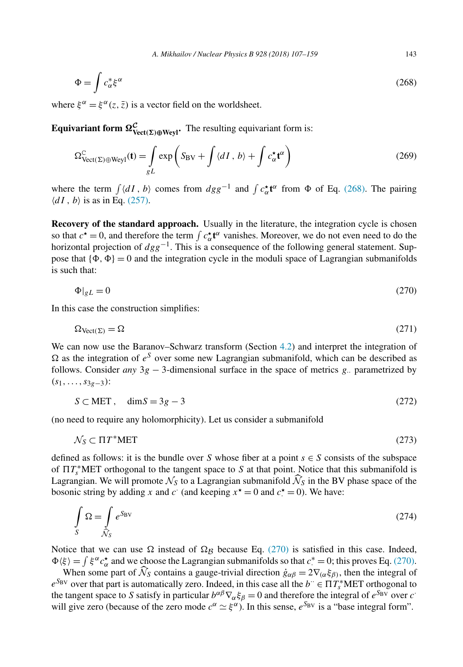$$
\Phi = \int c_{\alpha}^* \xi^{\alpha} \tag{268}
$$

where  $\xi^{\alpha} = \xi^{\alpha}(z, \bar{z})$  is a vector field on the worldsheet.

**Equivariant form**  $\Omega_{\text{Vect}(\Sigma)\oplus\text{Weyl}}^{\mathcal{C}}$ **. The resulting equivariant form is:** 

$$
\Omega_{\text{Vect}(\Sigma)\oplus\text{Weyl}}^{\mathcal{C}}(\mathbf{t}) = \int_{gL} \exp\left(S_{\text{BV}} + \int \langle dI, b \rangle + \int c_{\alpha}^{\star} \mathbf{t}^{\alpha}\right) \tag{269}
$$

where the term  $\int \langle dI, b \rangle$  comes from  $dgg^{-1}$  and  $\int c_{\alpha}^{\dagger} \mathbf{t}^{\alpha}$  from  $\Phi$  of Eq. (268). The pairing  $\langle dI, b \rangle$  is as in Eq. [\(257\).](#page-34-0)

**Recovery of the standard approach.** Usually in the literature, the integration cycle is chosen so that  $c^* = 0$ , and therefore the term  $\int c^*_{\alpha} \mathbf{t}^{\alpha}$  vanishes. Moreover, we do not even need to do the horizontal projection of *dgg*<sup>−</sup>1. This is a consequence of the following general statement. Suppose that  $\{\Phi, \Phi\} = 0$  and the integration cycle in the moduli space of Lagrangian submanifolds is such that:

$$
\Phi|_{gL} = 0\tag{270}
$$

In this case the construction simplifies:

$$
\Omega_{\text{Vect}(\Sigma)} = \Omega \tag{271}
$$

We can now use the Baranov–Schwarz transform (Section [4.2\)](#page-14-0) and interpret the integration of  $\Omega$  as the integration of  $e^S$  over some new Lagrangian submanifold, which can be described as follows. Consider *any* 3*g* − 3-dimensional surface in the space of metrics *g*·· parametrized by *(s*1*,...,s*3*g*−3*)*:

$$
S \subset MET, \quad \dim S = 3g - 3 \tag{272}
$$

(no need to require any holomorphicity). Let us consider a submanifold

$$
\mathcal{N}_S \subset \Pi T^* M E T \tag{273}
$$

defined as follows: it is the bundle over *S* whose fiber at a point  $s \in S$  consists of the subspace of  $\Pi T_s^*$ MET orthogonal to the tangent space to *S* at that point. Notice that this submanifold is Lagrangian. We will promote  $\mathcal{N}_S$  to a Lagrangian submanifold  $\mathcal{N}_S$  in the BV phase space of the bosonic strips by adding x and si (and keeping  $x^* = 0$  and  $a^* = 0$ ). We have: bosonic string by adding *x* and *c* (and keeping  $x^* = 0$  and  $c^* = 0$ ). We have:

$$
\int_{S} \Omega = \int_{\tilde{N}_{S}} e^{S_{\text{BV}}}
$$
\n(274)

Notice that we can use  $\Omega$  instead of  $\Omega_B$  because Eq. (270) is satisfied in this case. Indeed,  $\Phi(\xi) = \int \xi^{\alpha} c_{\alpha}^*$  and we choose the Lagrangian submanifolds so that  $c^* = 0$ ; this proves Eq. (270).

When some part of  $\mathcal{N}_S$  contains a gauge-trivial direction  $\dot{g}_{\alpha\beta} = 2\nabla_{(\alpha}\xi_{\beta)}$ , then the integral of  $e^{S_{BV}}$  over that part is automatically zero. Indeed, in this case all the *b*<sup>·</sup> ∈  $\Pi T_s^*$ MET orthogonal to the tangent space to *S* satisfy in particular  $b^{\alpha\beta}\nabla_{\alpha}\xi_{\beta} = 0$  and therefore the integral of  $e^{S_{BV}}$  over *c*<sup>·</sup> will give zero (because of the zero mode  $c^{\alpha} \simeq \xi^{\alpha}$ ). In this sense,  $e^{S_{BV}}$  is a "base integral form".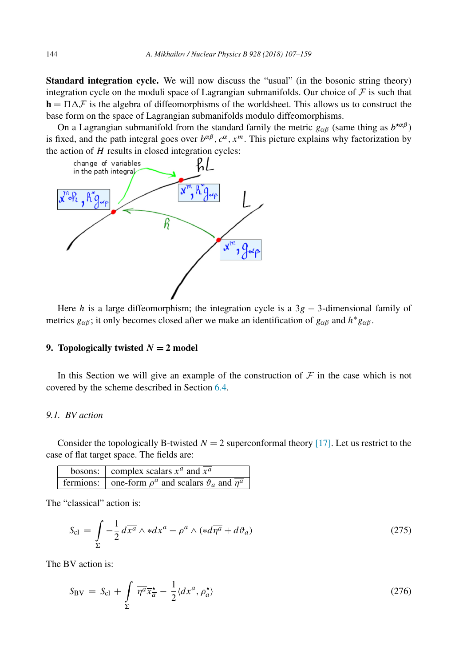<span id="page-37-0"></span>**Standard integration cycle.** We will now discuss the "usual" (in the bosonic string theory) integration cycle on the moduli space of Lagrangian submanifolds. Our choice of  $\mathcal F$  is such that  **is the algebra of diffeomorphisms of the worldsheet. This allows us to construct the** base form on the space of Lagrangian submanifolds modulo diffeomorphisms.

On a Lagrangian submanifold from the standard family the metric  $g_{\alpha\beta}$  (same thing as  $b^{* \alpha\beta}$ ) is fixed, and the path integral goes over  $b^{\alpha\beta}$ ,  $c^{\alpha}$ ,  $x^m$ . This picture explains why factorization by the action of *H* results in closed integration cycles:



Here *h* is a large diffeomorphism; the integration cycle is a  $3g - 3$ -dimensional family of metrics  $g_{\alpha\beta}$ ; it only becomes closed after we make an identification of  $g_{\alpha\beta}$  and  $h^*g_{\alpha\beta}$ .

## **9. Topologically twisted**  $N = 2$  **model**

In this Section we will give an example of the construction of  $F$  in the case which is not covered by the scheme described in Section [6.4.](#page-26-0)

### *9.1. BV action*

Consider the topologically B-twisted  $N = 2$  superconformal theory [\[17\].](#page-52-0) Let us restrict to the case of flat target space. The fields are:

| bosons: complex scalars $x^a$ and $\overline{x^a}$                         |
|----------------------------------------------------------------------------|
| fermions: $\vert$ one-form $\rho^a$ and scalars $\vartheta_a$ and $\eta^a$ |

The "classical" action is:

$$
S_{\rm cl} = \int_{\Sigma} -\frac{1}{2} d\overline{x^a} \wedge *dx^a - \rho^a \wedge (*d\overline{\eta^a} + d\vartheta_a)
$$
 (275)

The BV action is:

$$
S_{\rm BV} = S_{\rm cl} + \int\limits_{\Sigma} \overline{\eta^a} \overline{x} \frac{\star}{a} - \frac{1}{2} \langle dx^a, \rho_a^{\star} \rangle \tag{276}
$$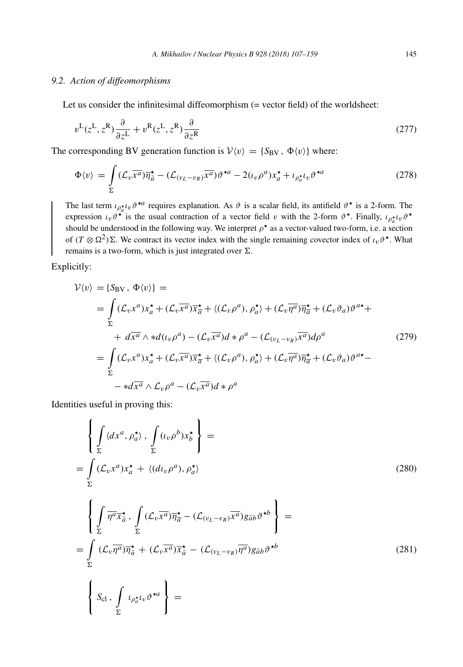## <span id="page-38-0"></span>*9.2. Action of diffeomorphisms*

Let us consider the infinitesimal diffeomorphism (= vector field) of the worldsheet:

$$
v^{\mathcal{L}}(z^{\mathcal{L}}, z^{\mathcal{R}})\frac{\partial}{\partial z^{\mathcal{L}}} + v^{\mathcal{R}}(z^{\mathcal{L}}, z^{\mathcal{R}})\frac{\partial}{\partial z^{\mathcal{R}}}
$$
(277)

The corresponding BV generation function is  $V(v) = {S_{BV}, \Phi(v)}$  where:

$$
\Phi\langle v\rangle = \int_{\Sigma} (\mathcal{L}_v \overline{x^a}) \overline{\eta}_{\overline{a}}^{\star} - (\mathcal{L}_{(v_L - v_R)} \overline{x^a}) \vartheta^{\star a} - 2(\iota_v \rho^a) x_a^{\star} + \iota_{\rho_a^{\star}} \iota_v \vartheta^{\star a}
$$
\n(278)

The last term  $\iota_{\rho_a^*} \iota_v \vartheta^{*a}$  requires explanation. As  $\vartheta$  is a scalar field, its antifield  $\vartheta^*$  is a 2-form. The expression  $\iota_v \vartheta^*$  is the usual contraction of a vector field *v* with the 2-form  $\vartheta^*$ . Finally,  $\iota_{\rho_a^* \iota_v} \vartheta^*$ should be understood in the following way. We interpret  $\rho^*$  as a vector-valued two-form, i.e. a section of  $(T \otimes \Omega^2) \Sigma$ . We contract its vector index with the single remaining covector index of  $\iota_v \vartheta^*$ . What remains is a two-form, which is just integrated over  $\Sigma$ .

Explicitly:

$$
\mathcal{V}\langle v\rangle = \{S_{\text{BV}}, \Phi\langle v\rangle\} =
$$
\n
$$
= \int (\mathcal{L}_{v}x^{a})x_{a}^{*} + (\mathcal{L}_{v}\overline{x^{a}})\overline{x}_{\overline{a}}^{*} + \langle(\mathcal{L}_{v}\rho^{a}), \rho_{a}^{*}\rangle + (\mathcal{L}_{v}\overline{\eta^{a}})\overline{\eta}_{\overline{a}}^{*} + (\mathcal{L}_{v}\vartheta_{a})\vartheta^{a*} +
$$
\n
$$
+ d\overline{x^{a}} \wedge *d(\iota_{v}\rho^{a}) - (\mathcal{L}_{v}\overline{x^{a}})d * \rho^{a} - (\mathcal{L}(\iota_{v}\rho_{v})\overline{x^{a}})d\rho^{a}
$$
\n
$$
= \int_{\Sigma} (\mathcal{L}_{v}x^{a})x_{a}^{*} + (\mathcal{L}_{v}\overline{x^{a}})\overline{x}_{\overline{a}}^{*} + \langle(\mathcal{L}_{v}\rho^{a}), \rho_{a}^{*}\rangle + (\mathcal{L}_{v}\overline{\eta^{a}})\overline{\eta}_{\overline{a}}^{*} + (\mathcal{L}_{v}\vartheta_{a})\vartheta^{a*} -
$$
\n
$$
- *d\overline{x^{a}} \wedge \mathcal{L}_{v}\rho^{a} - (\mathcal{L}_{v}\overline{x^{a}})d * \rho^{a}
$$
\n(279)

Identities useful in proving this:

$$
\left\{\int_{\Sigma} \langle dx^a, \rho_a^{\star} \rangle, \int_{\Sigma} (\iota_v \rho^b) x_b^{\star} \right\} =
$$
\n
$$
= \int_{\Sigma} (\mathcal{L}_v x^a) x_a^{\star} + \langle (d\iota_v \rho^a), \rho_a^{\star} \rangle
$$
\n(280)

$$
\left\{\int_{\Sigma} \overline{\eta^{a}} \overline{x}_{\overline{a}}^{\star}, \int_{\Sigma} (\mathcal{L}_{v} \overline{x^{a}}) \overline{\eta_{\overline{a}}^{\star}} - (\mathcal{L}_{(v_{L} - v_{R})} \overline{x^{a}}) g_{\overline{a}b} \vartheta^{\star b} \right\} =
$$
\n
$$
= \int_{\Sigma} (\mathcal{L}_{v} \overline{\eta^{a}}) \overline{\eta_{\overline{a}}^{\star}} + (\mathcal{L}_{v} \overline{x^{a}}) \overline{x}_{\overline{a}}^{\star} - (\mathcal{L}_{(v_{L} - v_{R})} \overline{\eta^{a}}) g_{\overline{a}b} \vartheta^{\star b}
$$
\n
$$
\left\{ S_{\text{cl}} , \int_{\Sigma} \iota_{\rho_{a}^{\star}} \iota_{v} \vartheta^{\star a} \right\} =
$$
\n(281)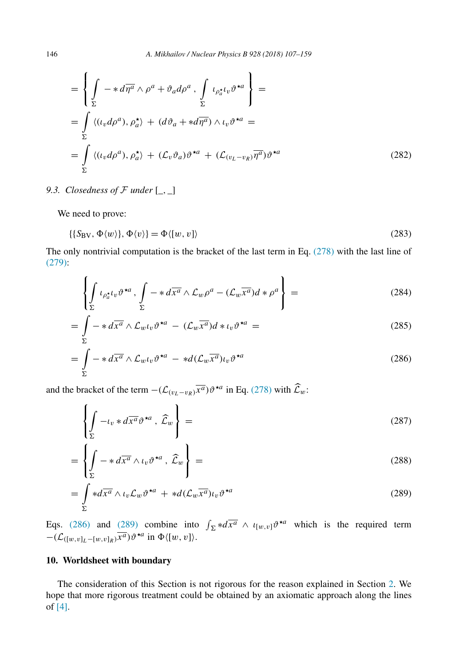<span id="page-39-0"></span>
$$
= \left\{ \int_{\Sigma} -* d\overline{\eta}^a \wedge \rho^a + \vartheta_a d\rho^a , \int_{\Sigma} \iota_{\rho_a^{\star} t_v} \vartheta^{\star a} \right\} =
$$
  

$$
= \int_{\Sigma} \langle (\iota_v d\rho^a), \rho_a^{\star} \rangle + (d\vartheta_a + *d\overline{\eta^a}) \wedge \iota_v \vartheta^{\star a} =
$$
  

$$
= \int_{\Sigma} \langle (\iota_v d\rho^a), \rho_a^{\star} \rangle + (\mathcal{L}_v \vartheta_a) \vartheta^{\star a} + (\mathcal{L}_{(v_L - v_R)} \overline{\eta^a}) \vartheta^{\star a} \rangle
$$
(282)

9.3. *Closedness of*  $\mathcal F$  *under*  $\left[\begin{matrix} \_ \\ \_ \end{matrix}\right]$ 

We need to prove:

$$
\{\{S_{\rm BV}, \Phi\langle w \rangle\}, \Phi\langle v \rangle\} = \Phi\langle [w, v] \rangle \tag{283}
$$

The only nontrivial computation is the bracket of the last term in Eq. [\(278\)](#page-38-0) with the last line of [\(279\):](#page-38-0)

$$
\left\{\int_{\Sigma} \iota_{\rho_a^{\star} \iota_v} \vartheta^{\star a} , \int_{\Sigma} - \ast d\overline{x^a} \wedge \mathcal{L}_w \rho^a - (\mathcal{L}_w \overline{x^a}) d \ast \rho^a \right\} =
$$
\n(284)

$$
= \int_{\Sigma} -\ast d\overline{x^a} \wedge \mathcal{L}_{w} \iota_v \vartheta^{\star a} - (\mathcal{L}_w \overline{x^a}) d \ast \iota_v \vartheta^{\star a} =
$$
\n(285)

$$
= \int_{\Sigma} -\ast d\overline{x^a} \wedge \mathcal{L}_{w^l v} \vartheta^{\star a} - \ast d(\mathcal{L}_w \overline{x^a})_{l v} \vartheta^{\star a}
$$
\n(286)

and the bracket of the term  $-(\mathcal{L}_{(v_L-v_R)}\overline{x^a})\vartheta^{\star a}$  in Eq. [\(278\)](#page-38-0) with  $\widehat{\mathcal{L}}_w$ :

$$
\left\{\int_{\Sigma} -\iota_v * d\overline{x^a} \vartheta^{*a} , \widehat{\mathcal{L}}_w \right\} =
$$
\n(287)

$$
= \left\{ \int_{\Sigma} - *d\overline{x^a} \wedge \iota_v \vartheta^{*a} , \widehat{\mathcal{L}}_w \right\} =
$$
 (288)

$$
= \int\limits_{\Sigma} *d\overline{x^a} \wedge \iota_v \mathcal{L}_w \vartheta^{\star a} + *d(\mathcal{L}_w \overline{x^a}) \iota_v \vartheta^{\star a}
$$
\n(289)

Eqs. (286) and (289) combine into  $\int_{\Sigma} *d\overline{x^a} \wedge \iota_{[w,v]}\vartheta^{*a}$  which is the required term  $-(\mathcal{L}_{([w,v]_L - [w,v]_R)}\overline{x^a})\vartheta^{\star a}$  in  $\Phi\langle [w,v] \rangle$ .

## **10. Worldsheet with boundary**

The consideration of this Section is not rigorous for the reason explained in Section [2.](#page-2-0) We hope that more rigorous treatment could be obtained by an axiomatic approach along the lines of [\[4\].](#page-52-0)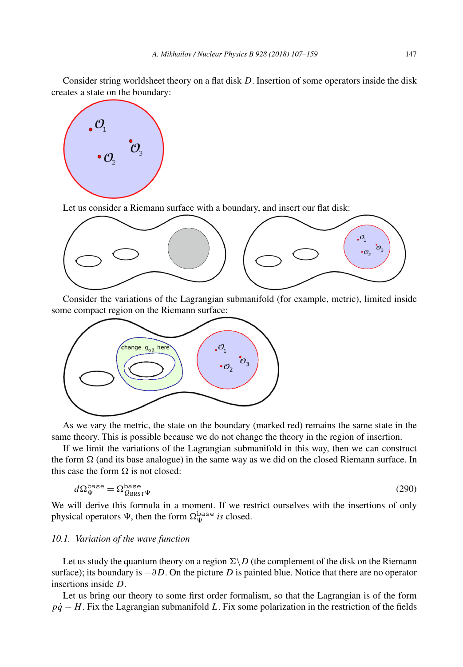<span id="page-40-0"></span>Consider string worldsheet theory on a flat disk *D*. Insertion of some operators inside the disk creates a state on the boundary:



Let us consider a Riemann surface with a boundary, and insert our flat disk:



Consider the variations of the Lagrangian submanifold (for example, metric), limited inside some compact region on the Riemann surface:



As we vary the metric, the state on the boundary (marked red) remains the same state in the same theory. This is possible because we do not change the theory in the region of insertion.

If we limit the variations of the Lagrangian submanifold in this way, then we can construct the form  $\Omega$  (and its base analogue) in the same way as we did on the closed Riemann surface. In this case the form  $\Omega$  is not closed:

$$
d\Omega_{\Psi}^{\text{base}} = \Omega_{Q_{\text{BRST}}\Psi}^{\text{base}} \tag{290}
$$

We will derive this formula in a moment. If we restrict ourselves with the insertions of only physical operators  $\Psi$ , then the form  $\Omega_{\Psi}^{\text{base}}$  *is* closed.

#### *10.1. Variation of the wave function*

Let us study the quantum theory on a region  $\Sigma \backslash D$  (the complement of the disk on the Riemann surface); its boundary is  $-\partial D$ . On the picture *D* is painted blue. Notice that there are no operator insertions inside *D*.

Let us bring our theory to some first order formalism, so that the Lagrangian is of the form *pq*<sup> $−$ </sup> *H*. Fix the Lagrangian submanifold *L*. Fix some polarization in the restriction of the fields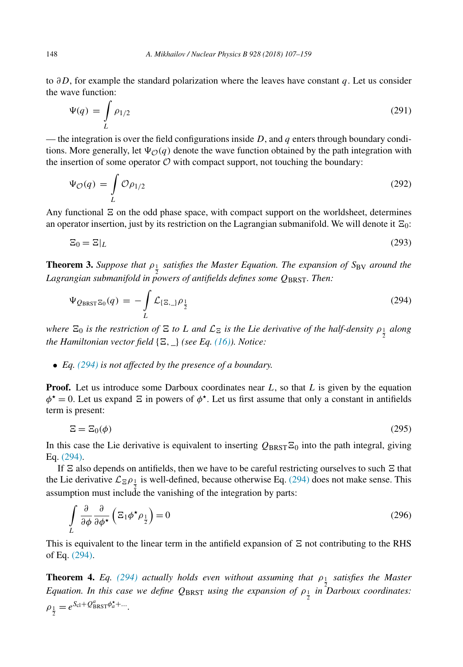<span id="page-41-0"></span>to *∂D*, for example the standard polarization where the leaves have constant *q*. Let us consider the wave function:

$$
\Psi(q) = \int\limits_L \rho_{1/2} \tag{291}
$$

— the integration is over the field configurations inside  $D$ , and  $q$  enters through boundary conditions. More generally, let  $\Psi_{\mathcal{O}}(q)$  denote the wave function obtained by the path integration with the insertion of some operator  $\mathcal O$  with compact support, not touching the boundary:

$$
\Psi_{\mathcal{O}}(q) = \int\limits_{L} \mathcal{O}\rho_{1/2} \tag{292}
$$

Any functional  $\Xi$  on the odd phase space, with compact support on the worldsheet, determines an operator insertion, just by its restriction on the Lagrangian submanifold. We will denote it  $\Xi_0$ :

$$
\Xi_0 = \Xi|_L \tag{293}
$$

**Theorem 3.** *Suppose that ρ*<sup>1</sup> *satisfies the Master Equation. The expansion of S*BV *around the* 2 *Lagrangian submanifold in powers of antifields defines some Q*BRST*. Then:*

$$
\Psi_{Q_{\text{BRST}}\Xi_0}(q) = -\int\limits_L \mathcal{L}_{\{\Xi_{\cdot-}\}} \rho_{\frac{1}{2}} \tag{294}
$$

where  $\Xi_0$  is the restriction of  $\Xi$  to L and  $\mathcal{L}_{\Xi}$  is the Lie derivative of the half-density  $\rho_{\frac{1}{2}}$  along *the Hamiltonian vector field*  $\{E, \_\}$  *(see Eq. [\(16\)\)](#page-4-0). Notice:* 

## • *Eq. (294) is not affected by the presence of a boundary.*

**Proof.** Let us introduce some Darboux coordinates near *L*, so that *L* is given by the equation  $\phi^* = 0$ . Let us expand  $\Xi$  in powers of  $\phi^*$ . Let us first assume that only a constant in antifields term is present:

$$
\Xi = \Xi_0(\phi) \tag{295}
$$

In this case the Lie derivative is equivalent to inserting  $Q_{BRST} \Xi_0$  into the path integral, giving Eq. (294).

If  $\Xi$  also depends on antifields, then we have to be careful restricting ourselves to such  $\Xi$  that the Lie derivative  $\mathcal{L}_{\Xi} \rho_{\frac{1}{2}}$  is well-defined, because otherwise Eq. (294) does not make sense. This assumption must include the vanishing of the integration by parts:

$$
\int_{L} \frac{\partial}{\partial \phi} \frac{\partial}{\partial \phi^*} \left( \Xi_1 \phi^* \rho_{\frac{1}{2}} \right) = 0 \tag{296}
$$

This is equivalent to the linear term in the antifield expansion of  $\Xi$  not contributing to the RHS of Eq. (294).

**Theorem 4.** *Eq. (294) actually holds even without assuming that ρ*<sup>1</sup> *satisfies the Master Equation. In this case we define*  $Q_{BRST}$  *using the expansion of*  $\rho_{\frac{1}{2}}$  *in Darboux coordinates:*  $\rho_{\frac{1}{2}} = e^{S_{\text{cl}} + Q_{\text{BRST}}^a \phi_a^* + ...}$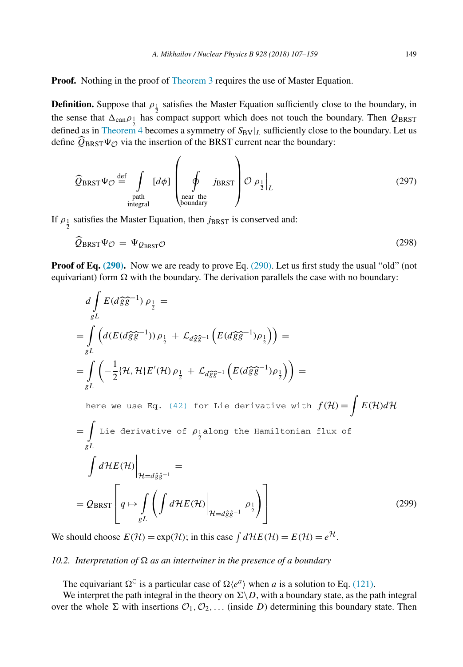**Proof.** Nothing in the proof of [Theorem 3](#page-41-0) requires the use of Master Equation.

**Definition.** Suppose that  $ρ_1$  satisfies the Master Equation sufficiently close to the boundary, in the sense that  $\Delta_{\text{can}}\rho_{\frac{1}{2}}$  has compact support which does not touch the boundary. Then  $Q_{\text{BRST}}$ defined as in [Theorem 4](#page-41-0) becomes a symmetry of  $S_{BV}|_L$  sufficiently close to the boundary. Let us define  $Q_{BRST}\Psi\phi$  via the insertion of the BRST current near the boundary:

$$
\widehat{Q}_{BRST}\Psi_{\mathcal{O}} \stackrel{\text{def}}{=} \int_{\substack{\text{path} \\ \text{integral}}} [d\phi] \left( \oint_{\substack{\text{near the} \\ \text{boundary}}} j_{BRST} \right) \mathcal{O} \rho_{\frac{1}{2}} \Big|_{L} \tag{297}
$$

If  $\rho_{\frac{1}{2}}$  satisfies the Master Equation, then *j*BRST is conserved and:

$$
Q_{BRST}\Psi_{\mathcal{O}} = \Psi_{Q_{BRST}\mathcal{O}} \tag{298}
$$

**Proof of Eq. [\(290\).](#page-40-0)** Now we are ready to prove Eq. [\(290\).](#page-40-0) Let us first study the usual "old" (not equivariant) form  $\Omega$  with the boundary. The derivation parallels the case with no boundary:

$$
d\int_{gL} E(d\hat{g}\hat{g}^{-1}) \rho_{\frac{1}{2}} =
$$
\n
$$
= \int_{gL} \left( d(E(d\hat{g}\hat{g}^{-1})) \rho_{\frac{1}{2}} + \mathcal{L}_{d\hat{g}\hat{g}^{-1}} \left( E(d\hat{g}\hat{g}^{-1}) \rho_{\frac{1}{2}} \right) \right) =
$$
\n
$$
= \int_{gL} \left( -\frac{1}{2} \{ \mathcal{H}, \mathcal{H} \} E'(\mathcal{H}) \rho_{\frac{1}{2}} + \mathcal{L}_{d\hat{g}\hat{g}^{-1}} \left( E(d\hat{g}\hat{g}^{-1}) \rho_{\frac{1}{2}} \right) \right) =
$$
\nhere we use Eq. (42) for Lie derivative with  $f(\mathcal{H}) = \int E(\mathcal{H}) d\mathcal{H}$   
\n
$$
= \int_{gL} \text{Lie derivative of } \rho_{\frac{1}{2}} \text{along the Hamiltonian flux of}
$$
\n
$$
\int d\mathcal{H} E(\mathcal{H}) \Big|_{\mathcal{H} = d\hat{g}\hat{g}^{-1}} =
$$
\n
$$
= Q_{BRST} \Bigg[ q \mapsto \int_{gL} \left( \int d\mathcal{H} E(\mathcal{H}) \Big|_{\mathcal{H} = d\hat{g}\hat{g}^{-1}} \rho_{\frac{1}{2}} \right) \Bigg]
$$
\n(299)

We should choose  $E(\mathcal{H}) = \exp(\mathcal{H})$ ; in this case  $\int d\mathcal{H}E(\mathcal{H}) = E(\mathcal{H}) = e^{\mathcal{H}}$ .

## *10.2. Interpretation of*  $\Omega$  *as an intertwiner in the presence of a boundary*

The equivariant  $\Omega^C$  is a particular case of  $\Omega \langle e^a \rangle$  when *a* is a solution to Eq. [\(121\).](#page-17-0)

We interpret the path integral in the theory on  $\Sigma \backslash D$ , with a boundary state, as the path integral over the whole  $\Sigma$  with insertions  $\mathcal{O}_1, \mathcal{O}_2, \ldots$  (inside *D*) determining this boundary state. Then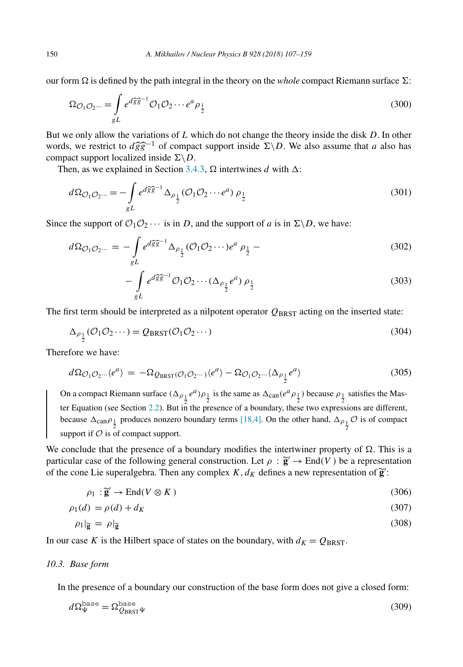our form  $\Omega$  is defined by the path integral in the theory on the *whole* compact Riemann surface  $\Sigma$ :

$$
\Omega_{\mathcal{O}_1\mathcal{O}_2\cdots} = \int\limits_{gL} e^{d\widehat{g}\widehat{g}^{-1}} \mathcal{O}_1\mathcal{O}_2\cdots e^a \rho_{\frac{1}{2}}
$$
\n(300)

But we only allow the variations of *L* which do not change the theory inside the disk *D*. In other words, we restrict to  $d\hat{g}\hat{g}^{-1}$  of compact support inside  $\Sigma \backslash D$ . We also assume that *a* also has compact support localized inside  $\Sigma \backslash D$ . compact support localized inside  $\Sigma \backslash D$ .

Then, as we explained in Section [3.4.3,](#page-9-0)  $\Omega$  intertwines *d* with  $\Delta$ :

$$
d\Omega_{\mathcal{O}_1\mathcal{O}_2\cdots} = -\int_{gL} e^{d\widehat{g}\widehat{g}^{-1}} \Delta_{\rho_{\frac{1}{2}}} (\mathcal{O}_1\mathcal{O}_2\cdots e^a) \rho_{\frac{1}{2}}
$$
(301)

Since the support of  $\mathcal{O}_1\mathcal{O}_2\cdots$  is in *D*, and the support of *a* is in  $\Sigma\backslash D$ , we have:

$$
d\Omega_{\mathcal{O}_1\mathcal{O}_2\cdots} = -\int_{gL} e^{d\widehat{g}\widehat{g}^{-1}} \Delta_{\rho_{\frac{1}{2}}} (\mathcal{O}_1\mathcal{O}_2\cdots)e^a \rho_{\frac{1}{2}} - (302)
$$

$$
-\int_{gL} e^{d\widehat{g}\widehat{g}^{-1}} \mathcal{O}_1 \mathcal{O}_2 \cdots (\Delta_{\rho_1} e^a) \rho_{\frac{1}{2}} \tag{303}
$$

The first term should be interpreted as a nilpotent operator  $Q_{BRST}$  acting on the inserted state:

$$
\Delta_{\rho_{\frac{1}{2}}}(\mathcal{O}_1 \mathcal{O}_2 \cdots) = Q_{BRST}(\mathcal{O}_1 \mathcal{O}_2 \cdots)
$$
\n(304)

Therefore we have:

$$
d\Omega_{\mathcal{O}_1\mathcal{O}_2\cdots}\langle e^a\rangle = -\Omega_{\mathcal{Q}_{\text{BRST}}(\mathcal{O}_1\mathcal{O}_2\cdots)}\langle e^a\rangle - \Omega_{\mathcal{O}_1\mathcal{O}_2\cdots}\langle \Delta_{\rho_{\frac{1}{2}}}e^a\rangle \tag{305}
$$

On a compact Riemann surface  $(\Delta_{\rho_{\frac{1}{2}}}e^a)\rho_{\frac{1}{2}}$  is the same as  $\Delta_{\text{can}}(e^a\rho_{\frac{1}{2}})$  because  $\rho_{\frac{1}{2}}$  satisfies the Mas-ter Equation (see Section [2.2\)](#page-3-0). But in the presence of a boundary, these two expressions are different, because  $\Delta_{\text{can}} \rho_1$  produces nonzero boundary terms [\[18,4\].](#page-52-0) On the other hand,  $\Delta_{\rho_1} \mathcal{O}$  is of compact support if  $\mathcal O$  is of compact support.

We conclude that the presence of a boundary modifies the intertwiner property of  $\Omega$ . This is a particular case of the following general construction. Let  $\rho : \tilde{g}' \to End(V)$  be a representation of the cone Lie superalgebra. Then any complex *K*,  $d_K$  defines a new representation of  $\tilde{g}'$ :

$$
\rho_1 : \widetilde{\mathbf{g}}' \to \text{End}(V \otimes K) \tag{306}
$$

$$
\rho_1(d) = \rho(d) + d_K \tag{307}
$$

$$
\rho_1|_{\widetilde{\mathbf{g}}} = \rho|_{\widetilde{\mathbf{g}}} \tag{308}
$$

In our case *K* is the Hilbert space of states on the boundary, with  $d_K = Q_{BRST}$ .

## *10.3. Base form*

In the presence of a boundary our construction of the base form does not give a closed form:

$$
d\Omega_{\Psi}^{\text{base}} = \Omega_{Q_{\text{BRST}}\Psi}^{\text{base}} \tag{309}
$$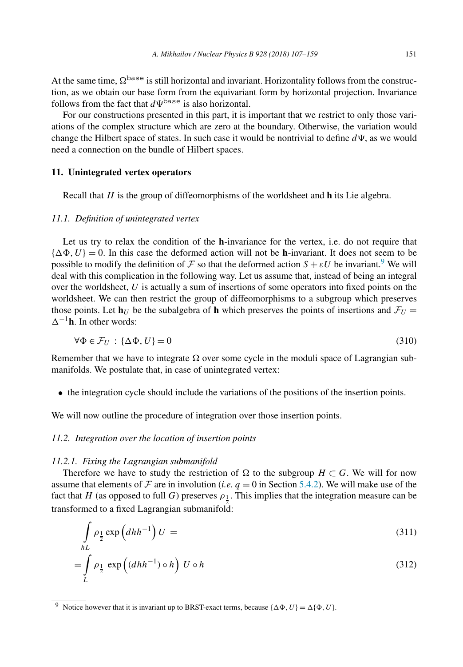<span id="page-44-0"></span>At the same time,  $\Omega^{\text{base}}$  is still horizontal and invariant. Horizontality follows from the construction, as we obtain our base form from the equivariant form by horizontal projection. Invariance follows from the fact that  $d\Psi^{\text{base}}$  is also horizontal.

For our constructions presented in this part, it is important that we restrict to only those variations of the complex structure which are zero at the boundary. Otherwise, the variation would change the Hilbert space of states. In such case it would be nontrivial to define  $d\Psi$ , as we would need a connection on the bundle of Hilbert spaces.

#### **11. Unintegrated vertex operators**

Recall that *H* is the group of diffeomorphisms of the worldsheet and **h** its Lie algebra.

#### *11.1. Definition of unintegrated vertex*

Let us try to relax the condition of the **h**-invariance for the vertex, i.e. do not require that  $\{\Delta \Phi, U\} = 0$ . In this case the deformed action will not be **h**-invariant. It does not seem to be possible to modify the definition of F so that the deformed action  $S + \varepsilon U$  be invariant.<sup>9</sup> We will deal with this complication in the following way. Let us assume that, instead of being an integral over the worldsheet, *U* is actually a sum of insertions of some operators into fixed points on the worldsheet. We can then restrict the group of diffeomorphisms to a subgroup which preserves those points. Let  $\mathbf{h}_U$  be the subalgebra of  $\mathbf{h}$  which preserves the points of insertions and  $\mathcal{F}_U$  =  $\Delta^{-1}$ **h**. In other words:

$$
\forall \Phi \in \mathcal{F}_U : \{\Delta \Phi, U\} = 0 \tag{310}
$$

Remember that we have to integrate  $\Omega$  over some cycle in the moduli space of Lagrangian submanifolds. We postulate that, in case of unintegrated vertex:

• the integration cycle should include the variations of the positions of the insertion points.

We will now outline the procedure of integration over those insertion points.

## *11.2. Integration over the location of insertion points*

#### *11.2.1. Fixing the Lagrangian submanifold*

Therefore we have to study the restriction of  $\Omega$  to the subgroup *H* ⊂ *G*. We will for now assume that elements of F are in involution (*i.e.*  $q = 0$  in Section [5.4.2\)](#page-17-0). We will make use of the fact that *H* (as opposed to full *G*) preserves  $\rho_1$ . This implies that the integration measure can be transformed to a fixed Lagrangian submanifold:

$$
\int_{hL} \rho_{\frac{1}{2}} \exp\left(dhh^{-1}\right) U = \tag{311}
$$

$$
= \int_{L} \rho_{\frac{1}{2}} \exp\left((dhh^{-1}) \circ h\right) U \circ h \tag{312}
$$

<sup>&</sup>lt;sup>9</sup> Notice however that it is invariant up to BRST-exact terms, because { $\Delta \Phi$ ,  $U$ } =  $\Delta \{\Phi, U\}$ .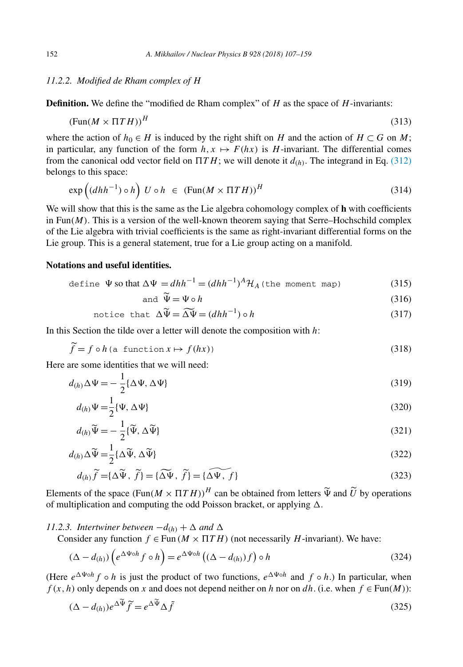## <span id="page-45-0"></span>*11.2.2. Modified de Rham complex of H*

**Definition.** We define the "modified de Rham complex" of  $H$  as the space of  $H$ -invariants:

$$
(\text{Fun}(M \times \Pi T H))^H \tag{313}
$$

where the action of  $h_0 \in H$  is induced by the right shift on *H* and the action of  $H \subset G$  on *M*; in particular, any function of the form  $h, x \mapsto F(hx)$  is *H*-invariant. The differential comes from the canonical odd vector field on  $\Pi T H$ ; we will denote it  $d_{(h)}$ . The integrand in Eq. [\(312\)](#page-44-0) belongs to this space:

$$
\exp\left((dhh^{-1})\circ h\right) U \circ h \in (\text{Fun}(M \times \Pi TH))^H \tag{314}
$$

We will show that this is the same as the Lie algebra cohomology complex of **h** with coefficients in Fun $(M)$ . This is a version of the well-known theorem saying that Serre–Hochschild complex of the Lie algebra with trivial coefficients is the same as right-invariant differential forms on the Lie group. This is a general statement, true for a Lie group acting on a manifold.

## **Notations and useful identities.**

 $\overline{a}$ 

define 
$$
\Psi
$$
 so that  $\Delta \Psi = dhh^{-1} = (dhh^{-1})^A \mathcal{H}_A$  (the moment map) (315)

and 
$$
\tilde{\Psi} = \Psi \circ h
$$
 (316)

$$
\text{notice that } \Delta \widetilde{\Psi} = \widetilde{\Delta \Psi} = (dhh^{-1}) \circ h \tag{317}
$$

In this Section the tilde over a letter will denote the composition with *h*:

$$
\tilde{f} = f \circ h \text{ (a function } x \mapsto f(hx) \text{)}
$$
\n(318)

Here are some identities that we will need:

$$
d_{(h)}\Delta\Psi = -\frac{1}{2}\{\Delta\Psi, \Delta\Psi\}
$$
\n(319)

$$
d_{(h)}\Psi = \frac{1}{2}\{\Psi, \Delta\Psi\}
$$
\n(320)

$$
d_{(h)}\widetilde{\Psi} = -\frac{1}{2}\{\widetilde{\Psi}, \Delta \widetilde{\Psi}\}\tag{321}
$$

$$
d_{(h)} \Delta \widetilde{\Psi} = \frac{1}{2} \{ \Delta \widetilde{\Psi}, \Delta \widetilde{\Psi} \}
$$
\n
$$
d_{(h)} \widetilde{f} = \{ \Delta \widetilde{\Psi}, \widetilde{f} \} = \{ \widetilde{\Delta \Psi}, \widetilde{f} \} = \{ \widetilde{\Delta \Psi}, f \}
$$
\n(322)\n(323)

$$
d_{(h)}\widetilde{f} = {\Delta \widetilde{\Psi}, \widetilde{f}} = {\widetilde{\Delta \Psi}, \widetilde{f}} = {\widetilde{\Delta \Psi}, f}
$$
\n(323)

Elements of the space  $(Fun(M \times \Pi T H))^H$  can be obtained from letters  $\tilde{\Psi}$  and  $\tilde{U}$  by operations of multiplication and computing the odd Deigon broaket, or applying  $\Lambda$ of multiplication and computing the odd Poisson bracket, or applying  $\Delta$ .

### *11.2.3. Intertwiner between*  $-d_{(h)} + \Delta$  *and*  $\Delta$

Consider any function  $f \in \text{Fun}(M \times \Pi T H)$  (not necessarily *H*-invariant). We have:

$$
(\Delta - d_{(h)}) \left( e^{\Delta \Psi \circ h} f \circ h \right) = e^{\Delta \Psi \circ h} \left( (\Delta - d_{(h)}) f \right) \circ h \tag{324}
$$

(Here  $e^{\Delta \Psi \circ h} f \circ h$  is just the product of two functions,  $e^{\Delta \Psi \circ h}$  and  $f \circ h$ .) In particular, when *f*  $(x, h)$  only depends on *x* and does not depend neither on *h* nor on *dh*. (i.e. when  $f \in Fun(M)$ ):

$$
(\Delta - d_{(h)})e^{\Delta \tilde{\Psi}}\tilde{f} = e^{\Delta \tilde{\Psi}}\Delta \tilde{f}
$$
\n(325)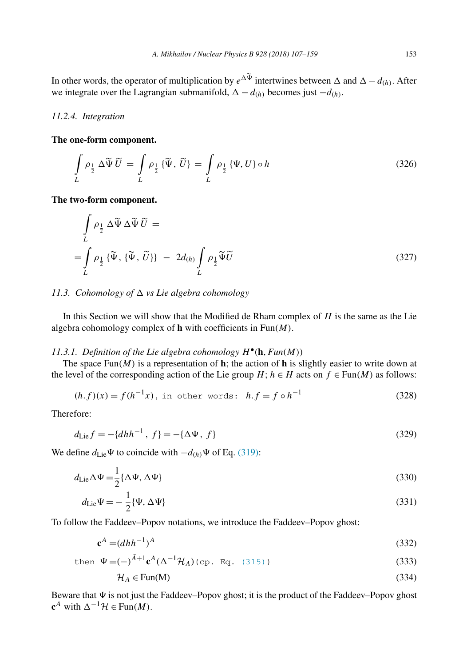<span id="page-46-0"></span>In other words, the operator of multiplication by  $e^{\Delta \Psi}$  intertwines between  $\Delta$  and  $\Delta - d_{(h)}$ . After we integrate over the Lagrangian submanifold,  $\Delta - d_{(h)}$  becomes just  $-d_{(h)}$ .

#### *11.2.4. Integration*

#### **The one-form component.**

$$
\int_{L} \rho_{\frac{1}{2}} \Delta \widetilde{\Psi} \widetilde{U} = \int_{L} \rho_{\frac{1}{2}} \{ \widetilde{\Psi}, \widetilde{U} \} = \int_{L} \rho_{\frac{1}{2}} \{ \Psi, U \} \circ h \tag{326}
$$

**The two-form component.**

$$
\int_{L} \rho_{\frac{1}{2}} \Delta \widetilde{\Psi} \Delta \widetilde{\Psi} \widetilde{U} =
$$
\n
$$
= \int_{L} \rho_{\frac{1}{2}} \{ \widetilde{\Psi}, \{ \widetilde{\Psi}, \widetilde{U} \} \} - 2d_{(h)} \int_{L} \rho_{\frac{1}{2}} \widetilde{\Psi} \widetilde{U}
$$
\n(327)

## 11.3. *Cohomology of*  $\triangle$  *vs Lie algebra cohomology*

In this Section we will show that the Modified de Rham complex of *H* is the same as the Lie algebra cohomology complex of **h** with coefficients in Fun*(M)*.

## *11.3.1. Definition of the Lie algebra cohomology*  $H^{\bullet}(\mathbf{h}, Fun(M))$

The space Fun $(M)$  is a representation of **h**; the action of **h** is slightly easier to write down at the level of the corresponding action of the Lie group  $H$ ;  $h \in H$  acts on  $f \in Fun(M)$  as follows:

$$
(h.f)(x) = f(h^{-1}x), \text{ in other words: } h.f = f \circ h^{-1}
$$
 (328)

Therefore:

$$
d_{\text{Lie}}f = -\{d h h^{-1}, f\} = -\{\Delta \Psi, f\} \tag{329}
$$

We define  $d_{\text{Lie}}\Psi$  to coincide with  $-d_{(h)}\Psi$  of Eq. [\(319\):](#page-45-0)

$$
d_{\rm Lie}\Delta\Psi = \frac{1}{2} \{\Delta\Psi, \Delta\Psi\}
$$
\n(330)

$$
d_{\rm Lie}\Psi = -\frac{1}{2}\{\Psi, \Delta\Psi\} \tag{331}
$$

To follow the Faddeev–Popov notations, we introduce the Faddeev–Popov ghost:

$$
\mathbf{c}^A = (dhh^{-1})^A \tag{332}
$$

then 
$$
\Psi = (-)^{\bar{A}+1} \mathbf{c}^A (\Delta^{-1} \mathcal{H}_A) (\text{cp. Eq. (315)})
$$
 (333)

$$
\mathcal{H}_A \in \text{Fun}(\mathbf{M}) \tag{334}
$$

Beware that  $\Psi$  is not just the Faddeev–Popov ghost; it is the product of the Faddeev–Popov ghost **c**<sup>*A*</sup> with  $\Delta^{-1}H$  ∈ Fun(*M*).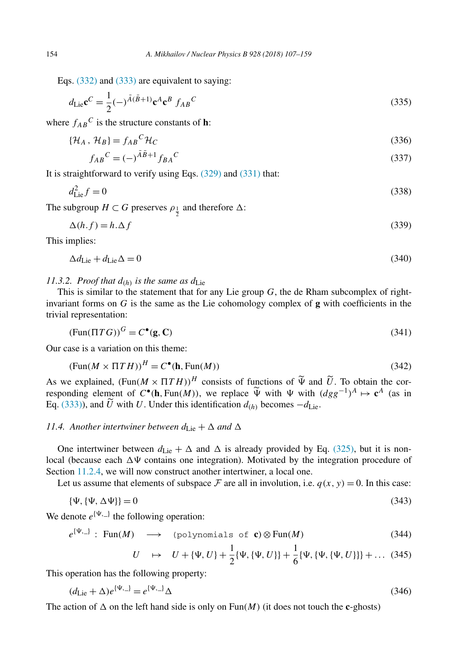Eqs. [\(332\)](#page-46-0) and [\(333\)](#page-46-0) are equivalent to saying:

$$
d_{\rm Lie} \mathbf{c}^C = \frac{1}{2} (-)^{\bar{A}(\bar{B}+1)} \mathbf{c}^A \mathbf{c}^B f_{AB}{}^C
$$
 (335)

where  $f_{AB}^C$  is the structure constants of **h**:

$$
\{\mathcal{H}_A, \mathcal{H}_B\} = f_{AB}{}^C \mathcal{H}_C \tag{336}
$$

$$
f_{AB}{}^C = (-)^{\bar{A}\bar{B}+1} f_{BA}{}^C
$$
\n(337)

It is straightforward to verify using Eqs. [\(329\)](#page-46-0) and [\(331\)](#page-46-0) that:

$$
d_{\text{Lie}}^2 f = 0 \tag{338}
$$

The subgroup  $H \subset G$  preserves  $\rho_{\frac{1}{2}}$  and therefore  $\Delta$ :

$$
\Delta(h.f) = h.\Delta f \tag{339}
$$

This implies:

$$
\Delta d_{\rm Lie} + d_{\rm Lie} \Delta = 0 \tag{340}
$$

*11.3.2. Proof that*  $d_{(h)}$  *is the same as*  $d_{\text{Lie}}$ 

This is similar to the statement that for any Lie group *G*, the de Rham subcomplex of rightinvariant forms on *G* is the same as the Lie cohomology complex of **g** with coefficients in the trivial representation:

$$
(\text{Fun}(\Pi T G))^G = C^\bullet(\mathbf{g}, \mathbf{C}) \tag{341}
$$

Our case is a variation on this theme:

$$
(\text{Fun}(M \times \Pi T H))^H = C^{\bullet}(\mathbf{h}, \text{Fun}(M)) \tag{342}
$$

As we explained,  $(\text{Fun}(M \times \Pi T H))^H$  consists of functions of  $\widetilde{\Psi}$  and  $\widetilde{U}$ . To obtain the corresponding element of  $C^{\bullet}(\mathbf{h} \operatorname{Fun}(M))$ , we replace  $\widetilde{\Psi}$  with  $\mathcal{H}$  with  $(dac^{-1})^A \mapsto d^A$  (as in responding element of *C*•*(h, Fun(M))*, we replace  $\widetilde{\Psi}$  with  $\Psi$  with  $(dgg^{-1})^A \mapsto \mathbf{c}^A$  (as in Eq. (333)) and  $\widetilde{U}$  with *U* Under this identification  $d_{\mathcal{W}}$  becomes  $d_{\mathcal{W}}$ . Eq. [\(333\)\)](#page-46-0), and  $\hat{U}$  with *U*. Under this identification  $d_{(h)}$  becomes  $-d_{\text{Lie}}$ .

## *11.4.* Another intertwiner between  $d_{\text{Lie}} + \Delta$  and  $\Delta$

One intertwiner between  $d_{\rm Lie} + \Delta$  and  $\Delta$  is already provided by Eq. [\(325\),](#page-45-0) but it is nonlocal (because each  $\Delta\Psi$  contains one integration). Motivated by the integration procedure of Section [11.2.4,](#page-46-0) we will now construct another intertwiner, a local one.

Let us assume that elements of subspace  $\mathcal F$  are all in involution, i.e.  $q(x, y) = 0$ . In this case:

$$
\{\Psi, \{\Psi, \Delta\Psi\}\} = 0\tag{343}
$$

We denote  $e^{\{\Psi, \Box\}}$  the following operation:

$$
e^{\{\Psi,\_\}}
$$
: Fun(M)  $\longrightarrow$  (polynomials of **c**)  $\otimes$  Fun(M) (344)

$$
U \quad \mapsto \quad U + \{\Psi, U\} + \frac{1}{2} \{\Psi, \{\Psi, U\}\} + \frac{1}{6} \{\Psi, \{\Psi, \{\Psi, U\}\}\} + \dots \tag{345}
$$

This operation has the following property:

$$
(d_{\text{Lie}} + \Delta)e^{\{\Psi, \_\}} = e^{\{\Psi, \_\}} \Delta \tag{346}
$$

The action of  $\Delta$  on the left hand side is only on Fun(*M*) (it does not touch the **c**-ghosts)

<span id="page-47-0"></span>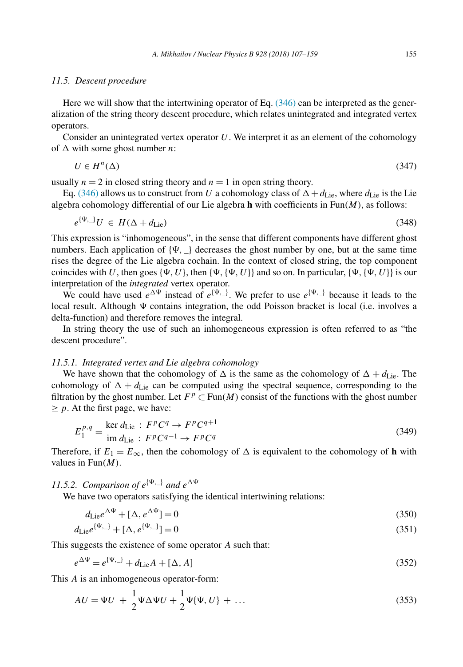#### *11.5. Descent procedure*

Here we will show that the intertwining operator of Eq. [\(346\)](#page-47-0) can be interpreted as the generalization of the string theory descent procedure, which relates unintegrated and integrated vertex operators.

Consider an unintegrated vertex operator *U*. We interpret it as an element of the cohomology of  $\triangle$  with some ghost number *n*:

$$
U \in H^n(\Delta) \tag{347}
$$

usually  $n = 2$  in closed string theory and  $n = 1$  in open string theory.

Eq. [\(346\)](#page-47-0) allows us to construct from *U* a cohomology class of  $\Delta + d_{\text{Lie}}$ , where  $d_{\text{Lie}}$  is the Lie algebra cohomology differential of our Lie algebra **h** with coefficients in Fun*(M)*, as follows:

$$
e^{\{\Psi, \_\}} U \in H(\Delta + d_{\text{Lie}}) \tag{348}
$$

This expression is "inhomogeneous", in the sense that different components have different ghost numbers. Each application of  $\{\Psi, \Psi\}$  decreases the ghost number by one, but at the same time rises the degree of the Lie algebra cochain. In the context of closed string, the top component coincides with U, then goes  $\{\Psi, U\}$ , then  $\{\Psi, \{\Psi, U\}\}\$  and so on. In particular,  $\{\Psi, \{\Psi, U\}\}\$ is our interpretation of the *integrated* vertex operator.

We could have used  $e^{\Delta \Psi}$  instead of  $e^{\{\Psi, \Box\}}$ . We prefer to use  $e^{\{\Psi, \Box\}}$  because it leads to the local result. Although  $\Psi$  contains integration, the odd Poisson bracket is local (i.e. involves a delta-function) and therefore removes the integral.

In string theory the use of such an inhomogeneous expression is often referred to as "the descent procedure".

#### *11.5.1. Integrated vertex and Lie algebra cohomology*

We have shown that the cohomology of  $\Delta$  is the same as the cohomology of  $\Delta + d_{\text{Lie}}$ . The cohomology of  $\Delta + d_{\text{Lie}}$  can be computed using the spectral sequence, corresponding to the filtration by the ghost number. Let  $F^p \subset \text{Fun}(M)$  consist of the functions with the ghost number  $\geq p$ . At the first page, we have:

$$
E_1^{p,q} = \frac{\ker d_{\text{Lie}} : F^p C^q \to F^p C^{q+1}}{\text{im } d_{\text{Lie}} : F^p C^{q-1} \to F^p C^q} \tag{349}
$$

Therefore, if  $E_1 = E_\infty$ , then the cohomology of  $\Delta$  is equivalent to the cohomology of **h** with values in Fun*(M)*.

*11.5.2. Comparison of*  $e^{\{\Psi, \_\}}$  *and*  $e^{\Delta \Psi}$ 

We have two operators satisfying the identical intertwining relations:

$$
d_{\text{Lie}}e^{\Delta\Psi} + [\Delta, e^{\Delta\Psi}] = 0 \tag{350}
$$

$$
d_{\text{Lie}}e^{\{\Psi, \_\}} + [\Delta, e^{\{\Psi, \_\}}] = 0 \tag{351}
$$

This suggests the existence of some operator *A* such that:

$$
e^{\Delta \Psi} = e^{\{\Psi, \Box\}} + d_{\text{Lie}}A + [\Delta, A] \tag{352}
$$

This *A* is an inhomogeneous operator-form:

$$
AU = \Psi U + \frac{1}{2} \Psi \Delta \Psi U + \frac{1}{2} \Psi \{ \Psi, U \} + \dots
$$
\n(353)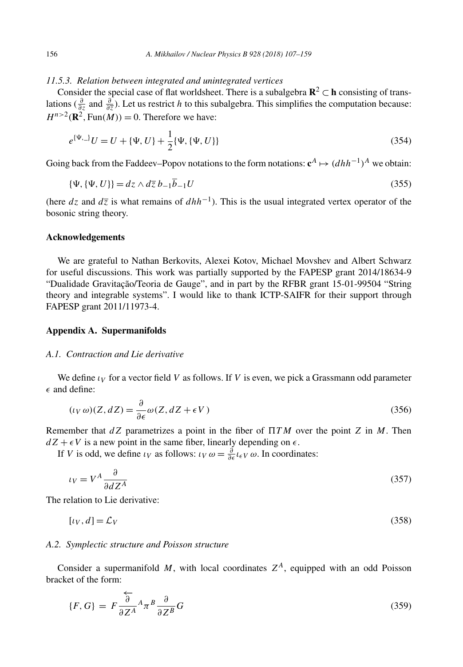## <span id="page-49-0"></span>*11.5.3. Relation between integrated and unintegrated vertices*

Consider the special case of flat worldsheet. There is a subalgebra  $\mathbb{R}^2 \subset \mathbb{h}$  consisting of translations ( *<sup>∂</sup> ∂z* and *<sup>∂</sup> ∂z* ). Let us restrict *h* to this subalgebra. This simplifies the computation because:  $H^{n>2}(\mathbb{R}^2, \text{Fun}(M)) = 0$ . Therefore we have:

$$
e^{\{\Psi, \_\}}U = U + \{\Psi, U\} + \frac{1}{2}\{\Psi, \{\Psi, U\}\}\tag{354}
$$

Going back from the Faddeev–Popov notations to the form notations:  $\mathbf{c}^A \mapsto (dhh^{-1})^A$  we obtain:

$$
\{\Psi, \{\Psi, U\}\} = dz \wedge d\overline{z} b_{-1} \overline{b}_{-1} U \tag{355}
$$

(here  $dz$  and  $d\overline{z}$  is what remains of  $dhh^{-1}$ ). This is the usual integrated vertex operator of the bosonic string theory.

## **Acknowledgements**

We are grateful to Nathan Berkovits, Alexei Kotov, Michael Movshev and Albert Schwarz for useful discussions. This work was partially supported by the FAPESP grant 2014/18634-9 "Dualidade Gravitação/Teoria de Gauge", and in part by the RFBR grant 15-01-99504 "String theory and integrable systems". I would like to thank ICTP-SAIFR for their support through FAPESP grant 2011/11973-4.

## **Appendix A. Supermanifolds**

#### *A.1. Contraction and Lie derivative*

We define  $\iota_V$  for a vector field V as follows. If V is even, we pick a Grassmann odd parameter  $\epsilon$  and define:

$$
(\iota_V \,\omega)(Z, dZ) = \frac{\partial}{\partial \epsilon} \omega(Z, dZ + \epsilon V) \tag{356}
$$

Remember that *dZ* parametrizes a point in the fiber of  *T M* over the point *Z* in *M*. Then  $dZ + \epsilon V$  is a new point in the same fiber, linearly depending on  $\epsilon$ .

If *V* is odd, we define *ι<sub>V</sub>* as follows: *ι<sub>V</sub>*  $\omega = \frac{\partial}{\partial \epsilon} l_{\epsilon V} \omega$ . In coordinates:

$$
\iota_V = V^A \frac{\partial}{\partial d Z^A} \tag{357}
$$

The relation to Lie derivative:

$$
[i_V, d] = \mathcal{L}_V \tag{358}
$$

#### *A.2. Symplectic structure and Poisson structure*

Consider a supermanifold  $M$ , with local coordinates  $Z^A$ , equipped with an odd Poisson bracket of the form:

$$
\{F, G\} = F \frac{\overleftarrow{\partial}}{\partial Z^A} A_{\pi}{}^B \frac{\partial}{\partial Z^B} G \tag{359}
$$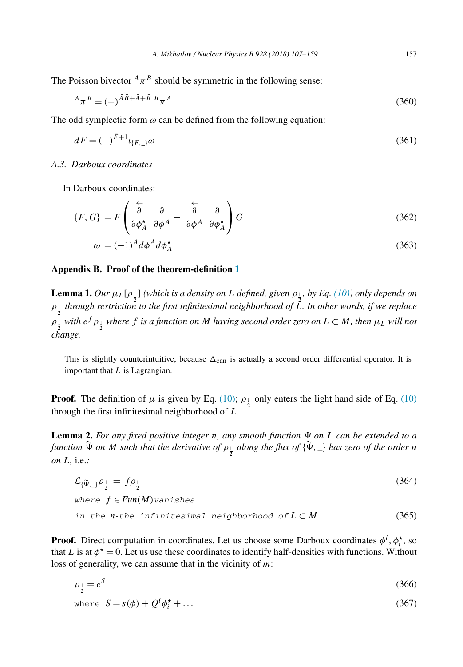<span id="page-50-0"></span>The Poisson bivector  $^{A}$  $\pi^{B}$  should be symmetric in the following sense:

$$
{}^{A}\pi^{B} = (-)^{\bar{A}\bar{B} + \bar{A} + \bar{B} \;B} \pi^{A}
$$
\n
$$
(360)
$$

The odd symplectic form  $\omega$  can be defined from the following equation:

$$
dF = (-)^{\bar{F}+1} \iota_{\{F,\_}\omega} \omega \tag{361}
$$

## *A.3. Darboux coordinates*

In Darboux coordinates:

$$
\{F, G\} = F\left(\frac{\stackrel{\leftarrow}{\partial}}{\partial \phi_A^{\star}} \frac{\partial}{\partial \phi^A} - \frac{\stackrel{\leftarrow}{\partial}}{\partial \phi^A} \frac{\partial}{\partial \phi_A^{\star}}\right) G\tag{362}
$$

$$
\omega = (-1)^A d\phi^A d\phi_A^{\star}
$$
\n(363)

#### **Appendix B. Proof of the theorem-definition [1](#page-3-0)**

**Lemma 1.** Our  $\mu_L[\rho_{\frac{1}{2}}]$  (which is a density on L defined, given  $\rho_{\frac{1}{2}}$ , by Eq. [\(10\)\)](#page-3-0) only depends on  $\rho_{\frac{1}{2}}$  *through restriction to the first infinitesimal neighborhood of*  $\hat{L}$ *. In other words, if we replace*  $\rho_{\frac{1}{2}}$  with  $e^f \rho_{\frac{1}{2}}$  where f is a function on M having second order zero on  $L \subset M$ , then  $\mu_L$  will not *change.*

This is slightly counterintuitive, because  $\Delta_{can}$  is actually a second order differential operator. It is important that *L* is Lagrangian.

**Proof.** The definition of *μ* is given by Eq. [\(10\);](#page-3-0)  $\rho_1$  only enters the light hand side of Eq. [\(10\)](#page-3-0) through the first infinitesimal neighborhood of *L*.

**Lemma 2.** For any fixed positive integer n, any smooth function  $\Psi$  on L can be extended to a function  $\Psi$  on M such that the derivative of  $\rho_{\frac{1}{2}}$  along the flux of  $\{\Psi, \_\}$  has zero of the order n *on L,* i.e.*:*

$$
\mathcal{L}_{\{\widetilde{\Psi},\_\}}\rho_{\frac{1}{2}} = f\rho_{\frac{1}{2}}
$$
\n(364)

\nwhere  $f \in Fun(M)$  vanishes

\nin the *n*-the infinitesimal neighborhood of  $L \subset M$ 

\n(365)

**Proof.** Direct computation in coordinates. Let us choose some Darboux coordinates  $\phi^i$ ,  $\phi^*$ , so that *L* is at  $\phi^* = 0$ . Let us use these coordinates to identify half-densities with functions. Without loss of generality, we can assume that in the vicinity of *m*:

$$
\rho_{\frac{1}{2}} = e^S \tag{366}
$$

where 
$$
S = s(\phi) + Q^{i} \phi_{i}^{\star} + \dots
$$
 (367)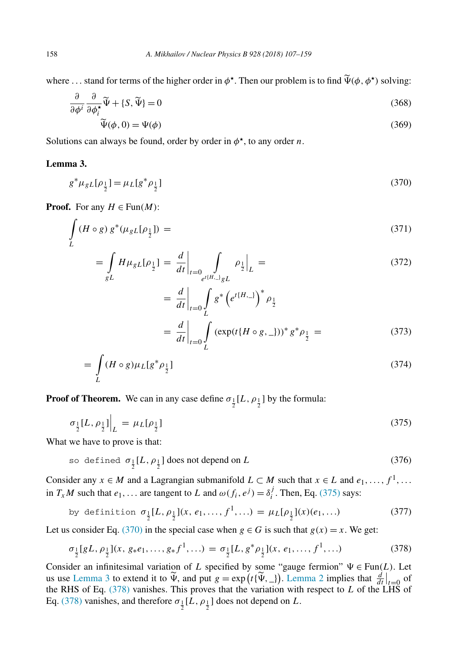where ... stand for terms of the higher order in  $\phi^*$ . Then our problem is to find  $\tilde{\Psi}(\phi, \phi^*)$  solving:

$$
\frac{\partial}{\partial \phi^i} \frac{\partial}{\partial \phi_i^*} \widetilde{\Psi} + \{S, \widetilde{\Psi}\} = 0
$$
\n(368)

$$
\widetilde{\Psi}(\phi,0) = \Psi(\phi) \tag{369}
$$

Solutions can always be found, order by order in  $\phi^*$ , to any order *n*.

## **Lemma 3.**

$$
g^* \mu_{gL}[\rho_{\frac{1}{2}}] = \mu_L[g^* \rho_{\frac{1}{2}}]
$$
\n(370)

**Proof.** For any  $H \in \text{Fun}(M)$ :

$$
\int\limits_L (H \circ g) g^* (\mu_{gL} [\rho_{\frac{1}{2}}]) = \tag{371}
$$

$$
= \int_{gL} H\mu_{gL}[\rho_{\frac{1}{2}}] = \frac{d}{dt}\bigg|_{t=0} \int_{e^{t(H_{\cdot})}gL} \rho_{\frac{1}{2}}\bigg|_{L} = \tag{372}
$$

$$
= \frac{d}{dt}\Big|_{t=0} \int_{L} g^* \left(e^{t(H_{\cdot-})}\right)^* \rho_{\frac{1}{2}}
$$
  

$$
= \frac{d}{dt}\Big|_{t=0} \int_{L} (\exp(t\{H \circ g, \_\))^* g^* \rho_{\frac{1}{2}} = (373)
$$

$$
=\int_{L} (H \circ g) \mu_L [g^* \rho_{\frac{1}{2}}]
$$
\n(374)

**Proof of Theorem.** We can in any case define  $\sigma_{\frac{1}{2}}[L, \rho_{\frac{1}{2}}]$  by the formula:

$$
\sigma_{\frac{1}{2}}[L,\rho_{\frac{1}{2}}]\Big|_{L} = \mu_L[\rho_{\frac{1}{2}}] \tag{375}
$$

What we have to prove is that:

so defined 
$$
\sigma_{\frac{1}{2}}[L, \rho_{\frac{1}{2}}]
$$
 does not depend on L\n
$$
(376)
$$

Consider any  $x \in M$  and a Lagrangian submanifold  $L \subset M$  such that  $x \in L$  and  $e_1, \ldots, f^1, \ldots$ in *T<sub>x</sub>M* such that  $e_1$ ,... are tangent to *L* and  $\omega(f_i, e^j) = \delta_i^j$ . Then, Eq. (375) says:

by definition 
$$
\sigma_{\frac{1}{2}}[L, \rho_{\frac{1}{2}}](x, e_1, ..., f^1, ...) = \mu_L[\rho_{\frac{1}{2}}](x)(e_1, ...)
$$
 (377)

Let us consider Eq. (370) in the special case when  $g \in G$  is such that  $g(x) = x$ . We get:

$$
\sigma_{\frac{1}{2}}[gL, \rho_{\frac{1}{2}}](x, g_*e_1, \dots, g_*f^1, \dots) = \sigma_{\frac{1}{2}}[L, g^* \rho_{\frac{1}{2}}](x, e_1, \dots, f^1, \dots)
$$
\n(378)

Consider an infinitesimal variation of *L* specified by some "gauge fermion"  $\Psi \in \text{Fun}(L)$ . Let us use Lemma 3 to extend it to  $\widetilde{\Psi}$ , and put  $g = \exp(t\{\widetilde{\Psi}, \_\})$ . [Lemma 2](#page-50-0) implies that  $\frac{d}{dt}\Big|_{t=0}$  of the PHS of Eq. (278) vanishes. This proves that the variation with respect to *L* of the LHS of the RHS of Eq. (378) vanishes. This proves that the variation with respect to *L* of the LHS of Eq. (378) vanishes, and therefore  $\sigma_{\frac{1}{2}}[L, \rho_{\frac{1}{2}}]$  does not depend on L.